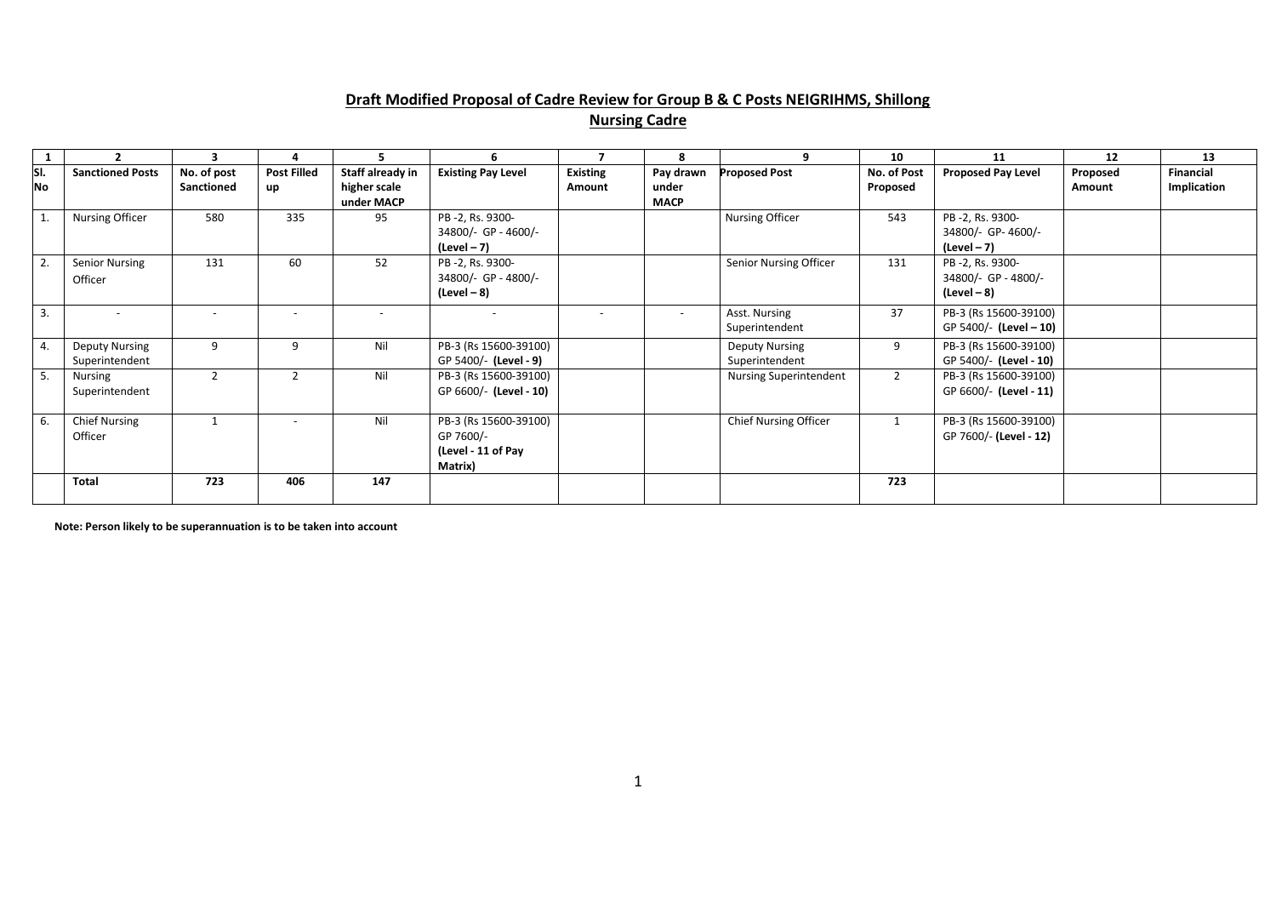#### **Draft Modified Proposal of Cadre Review for Group B & C Posts NEIGRIHMS, Shillong Nursing Cadre**

| $\mathbf{1}$ | 2                       | 3           | Δ                        | 5.               | 6                         |                 | 8           | 9                            | 10             | 11                        | 12       | 13          |
|--------------|-------------------------|-------------|--------------------------|------------------|---------------------------|-----------------|-------------|------------------------------|----------------|---------------------------|----------|-------------|
| SI.          | <b>Sanctioned Posts</b> | No. of post | <b>Post Filled</b>       | Staff already in | <b>Existing Pay Level</b> | <b>Existing</b> | Pay drawn   | <b>Proposed Post</b>         | No. of Post    | <b>Proposed Pay Level</b> | Proposed | Financial   |
| No           |                         | Sanctioned  | up                       | higher scale     |                           | Amount          | under       |                              | Proposed       |                           | Amount   | Implication |
|              |                         |             |                          | under MACP       |                           |                 | <b>MACP</b> |                              |                |                           |          |             |
| 1.           | Nursing Officer         | 580         | 335                      | 95               | PB-2, Rs. 9300-           |                 |             | Nursing Officer              | 543            | PB -2, Rs. 9300-          |          |             |
|              |                         |             |                          |                  | 34800/- GP - 4600/-       |                 |             |                              |                | 34800/- GP-4600/-         |          |             |
|              |                         |             |                          |                  | (Level – 7)               |                 |             |                              |                | $(Level-7)$               |          |             |
|              | <b>Senior Nursing</b>   | 131         | 60                       | 52               | PB-2, Rs. 9300-           |                 |             | Senior Nursing Officer       | 131            | PB-2, Rs. 9300-           |          |             |
|              | Officer                 |             |                          |                  | 34800/- GP - 4800/-       |                 |             |                              |                | 34800/- GP - 4800/-       |          |             |
|              |                         |             |                          |                  | $(Level - 8)$             |                 |             |                              |                | $(Level - 8)$             |          |             |
| 3.           |                         |             |                          |                  |                           |                 |             | Asst. Nursing                | 37             | PB-3 (Rs 15600-39100)     |          |             |
|              |                         |             |                          |                  |                           |                 |             | Superintendent               |                | GP 5400/- (Level - 10)    |          |             |
| 4.           | <b>Deputy Nursing</b>   | 9           | 9                        | Nil              | PB-3 (Rs 15600-39100)     |                 |             | <b>Deputy Nursing</b>        | 9              | PB-3 (Rs 15600-39100)     |          |             |
|              | Superintendent          |             |                          |                  | GP 5400/- (Level - 9)     |                 |             | Superintendent               |                | GP 5400/- (Level - 10)    |          |             |
| 5.           | <b>Nursing</b>          |             | $\overline{2}$           | Nil              | PB-3 (Rs 15600-39100)     |                 |             | Nursing Superintendent       | $\overline{2}$ | PB-3 (Rs 15600-39100)     |          |             |
|              | Superintendent          |             |                          |                  | GP 6600/- (Level - 10)    |                 |             |                              |                | GP 6600/- (Level - 11)    |          |             |
|              |                         |             |                          |                  |                           |                 |             |                              |                |                           |          |             |
| 6.           | <b>Chief Nursing</b>    |             | $\overline{\phantom{a}}$ | Nil              | PB-3 (Rs 15600-39100)     |                 |             | <b>Chief Nursing Officer</b> |                | PB-3 (Rs 15600-39100)     |          |             |
|              | Officer                 |             |                          |                  | GP 7600/-                 |                 |             |                              |                | GP 7600/- (Level - 12)    |          |             |
|              |                         |             |                          |                  | (Level - 11 of Pay        |                 |             |                              |                |                           |          |             |
|              |                         |             |                          |                  | Matrix)                   |                 |             |                              |                |                           |          |             |
|              | <b>Total</b>            | 723         | 406                      | 147              |                           |                 |             |                              | 723            |                           |          |             |
|              |                         |             |                          |                  |                           |                 |             |                              |                |                           |          |             |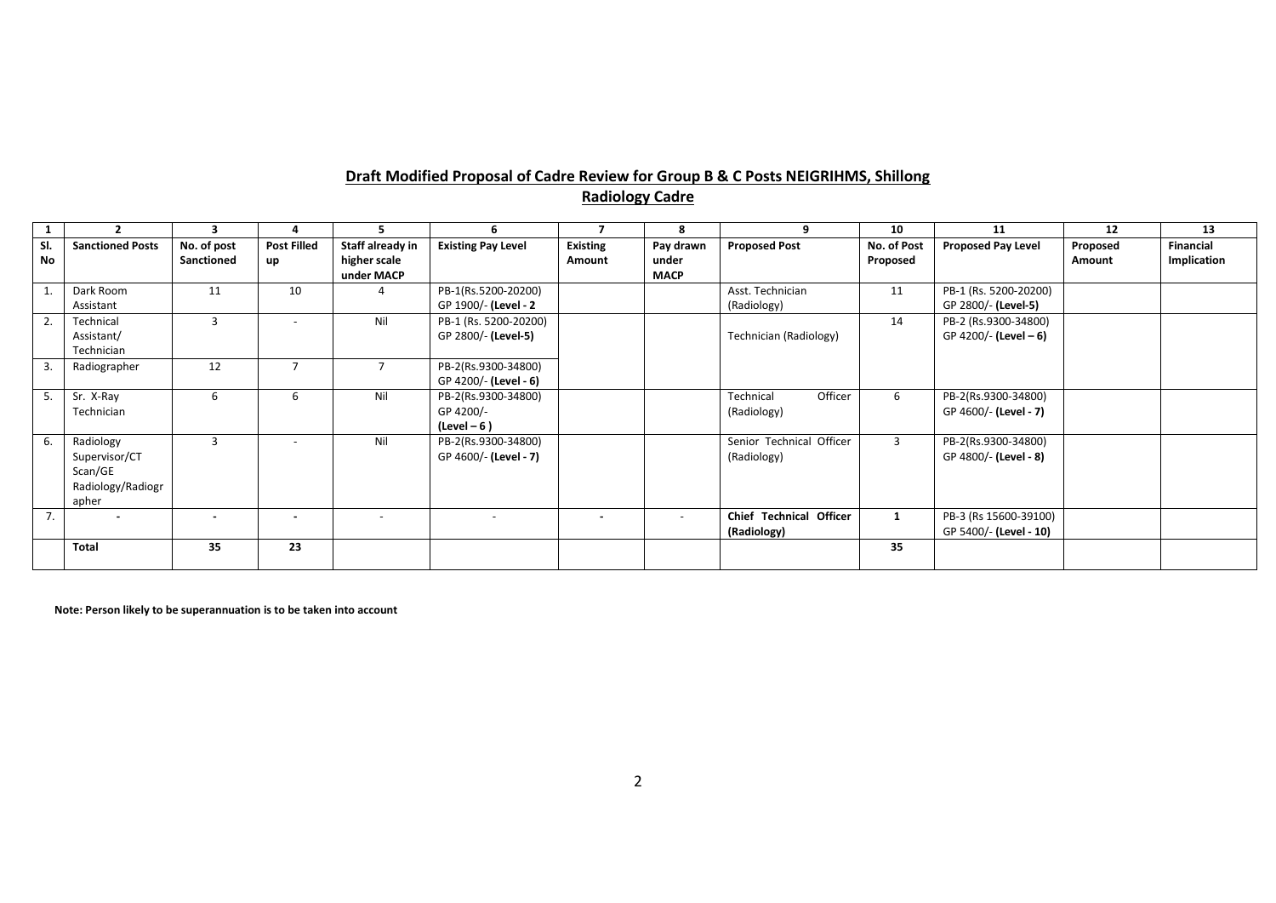# **Draft Modified Proposal of Cadre Review for Group B & C Posts NEIGRIHMS, Shillong Radiology Cadre**

| -1               |                                                                     | 3                         |                          | э                                              | 6                                                 |                           | 8                                 | $\alpha$                                | 10                      | 11                                              | 12                 | 13                              |
|------------------|---------------------------------------------------------------------|---------------------------|--------------------------|------------------------------------------------|---------------------------------------------------|---------------------------|-----------------------------------|-----------------------------------------|-------------------------|-------------------------------------------------|--------------------|---------------------------------|
| SI.<br>No        | <b>Sanctioned Posts</b>                                             | No. of post<br>Sanctioned | <b>Post Filled</b><br>up | Staff already in<br>higher scale<br>under MACP | <b>Existing Pay Level</b>                         | <b>Existing</b><br>Amount | Pay drawn<br>under<br><b>MACP</b> | <b>Proposed Post</b>                    | No. of Post<br>Proposed | <b>Proposed Pay Level</b>                       | Proposed<br>Amount | <b>Financial</b><br>Implication |
|                  | Dark Room<br>Assistant                                              | 11                        | 10                       |                                                | PB-1(Rs.5200-20200)<br>GP 1900/- (Level - 2       |                           |                                   | Asst. Technician<br>(Radiology)         | 11                      | PB-1 (Rs. 5200-20200)<br>GP 2800/- (Level-5)    |                    |                                 |
| $\overline{2}$ . | Technical<br>Assistant/<br>Technician                               | 3                         |                          | Nil                                            | PB-1 (Rs. 5200-20200)<br>GP 2800/- (Level-5)      |                           |                                   | Technician (Radiology)                  | 14                      | PB-2 (Rs.9300-34800)<br>GP 4200/- (Level - 6)   |                    |                                 |
| 3.               | Radiographer                                                        | 12                        |                          |                                                | PB-2(Rs.9300-34800)<br>GP 4200/- (Level - 6)      |                           |                                   |                                         |                         |                                                 |                    |                                 |
|                  | Sr. X-Ray<br>Technician                                             | 6                         | 6                        | Nil                                            | PB-2(Rs.9300-34800)<br>GP 4200/-<br>$(Level - 6)$ |                           |                                   | Officer<br>Technical<br>(Radiology)     | 6                       | PB-2(Rs.9300-34800)<br>GP 4600/- (Level - 7)    |                    |                                 |
| 6.               | Radiology<br>Supervisor/CT<br>Scan/GE<br>Radiology/Radiogr<br>apher | 3                         | $\overline{\phantom{a}}$ | Nil                                            | PB-2(Rs.9300-34800)<br>GP 4600/- (Level - 7)      |                           |                                   | Senior Technical Officer<br>(Radiology) | 3                       | PB-2(Rs.9300-34800)<br>GP 4800/- (Level - 8)    |                    |                                 |
| 7.               | $\overline{\phantom{a}}$                                            | $\sim$                    | $\blacksquare$           | $\overline{\phantom{a}}$                       | $\overline{\phantom{a}}$                          | $\overline{\phantom{a}}$  | $\overline{\phantom{a}}$          | Chief Technical Officer<br>(Radiology)  | 1                       | PB-3 (Rs 15600-39100)<br>GP 5400/- (Level - 10) |                    |                                 |
|                  | <b>Total</b>                                                        | 35                        | 23                       |                                                |                                                   |                           |                                   |                                         | 35                      |                                                 |                    |                                 |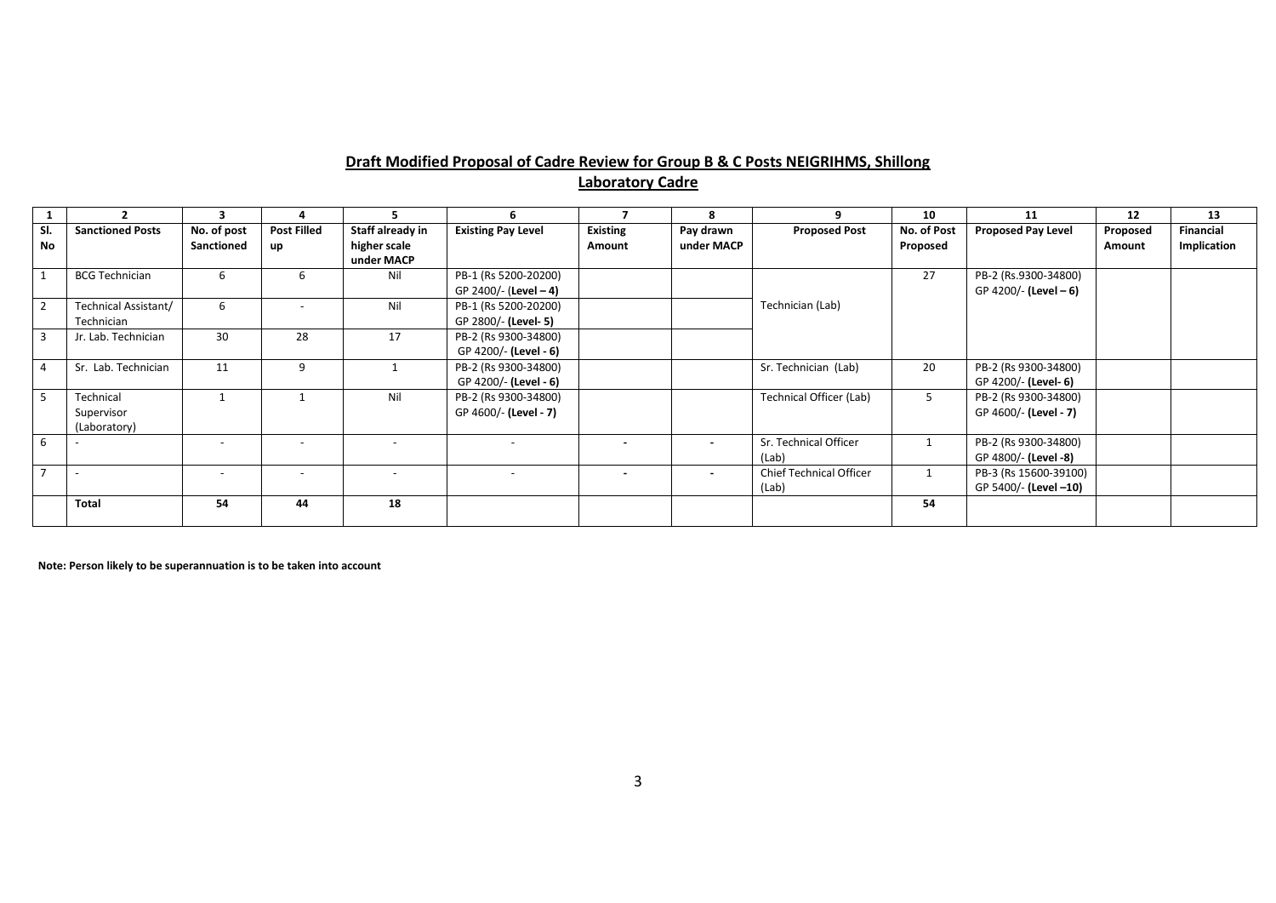# **Draft Modified Proposal of Cadre Review for Group B & C Posts NEIGRIHMS, Shillong**

**Laboratory Cadre**

|                |                                         | 3                         |                          |                                                |                                               |                           |                         |                                         | 10                      | 11                                              | 12                 | 13                       |
|----------------|-----------------------------------------|---------------------------|--------------------------|------------------------------------------------|-----------------------------------------------|---------------------------|-------------------------|-----------------------------------------|-------------------------|-------------------------------------------------|--------------------|--------------------------|
| SI.<br>No      | <b>Sanctioned Posts</b>                 | No. of post<br>Sanctioned | <b>Post Filled</b><br>up | Staff already in<br>higher scale<br>under MACP | <b>Existing Pay Level</b>                     | <b>Existing</b><br>Amount | Pay drawn<br>under MACP | <b>Proposed Post</b>                    | No. of Post<br>Proposed | <b>Proposed Pay Level</b>                       | Proposed<br>Amount | Financial<br>Implication |
|                | <b>BCG Technician</b>                   | 6                         | 6                        | Nil                                            | PB-1 (Rs 5200-20200)<br>GP 2400/- (Level - 4) |                           |                         |                                         | 27                      | PB-2 (Rs.9300-34800)<br>GP 4200/- (Level $-6$ ) |                    |                          |
| $\overline{2}$ | Technical Assistant/<br>Technician      | 6                         | $\overline{\phantom{0}}$ | Nil                                            | PB-1 (Rs 5200-20200)<br>GP 2800/- (Level- 5)  |                           |                         | Technician (Lab)                        |                         |                                                 |                    |                          |
| $\overline{3}$ | Jr. Lab. Technician                     | 30                        | 28                       | 17                                             | PB-2 (Rs 9300-34800)<br>GP 4200/- (Level - 6) |                           |                         |                                         |                         |                                                 |                    |                          |
| $\overline{4}$ | Sr. Lab. Technician                     | 11                        | 9                        |                                                | PB-2 (Rs 9300-34800)<br>GP 4200/- (Level - 6) |                           |                         | Sr. Technician (Lab)                    | 20                      | PB-2 (Rs 9300-34800)<br>GP 4200/- (Level- 6)    |                    |                          |
| 5              | Technical<br>Supervisor<br>(Laboratory) |                           |                          | Nil                                            | PB-2 (Rs 9300-34800)<br>GP 4600/- (Level - 7) |                           |                         | <b>Technical Officer (Lab)</b>          | 5                       | PB-2 (Rs 9300-34800)<br>GP 4600/- (Level - 7)   |                    |                          |
| 6              |                                         | $\overline{\phantom{a}}$  |                          |                                                |                                               | $\overline{\phantom{a}}$  |                         | Sr. Technical Officer<br>(Lab)          | 1                       | PB-2 (Rs 9300-34800)<br>GP 4800/- (Level -8)    |                    |                          |
| $\overline{7}$ |                                         | $\overline{\phantom{0}}$  | -                        |                                                |                                               | $\,$ $\,$                 | $\blacksquare$          | <b>Chief Technical Officer</b><br>(Lab) | 1                       | PB-3 (Rs 15600-39100)<br>GP 5400/- (Level -10)  |                    |                          |
|                | <b>Total</b>                            | 54                        | 44                       | 18                                             |                                               |                           |                         |                                         | 54                      |                                                 |                    |                          |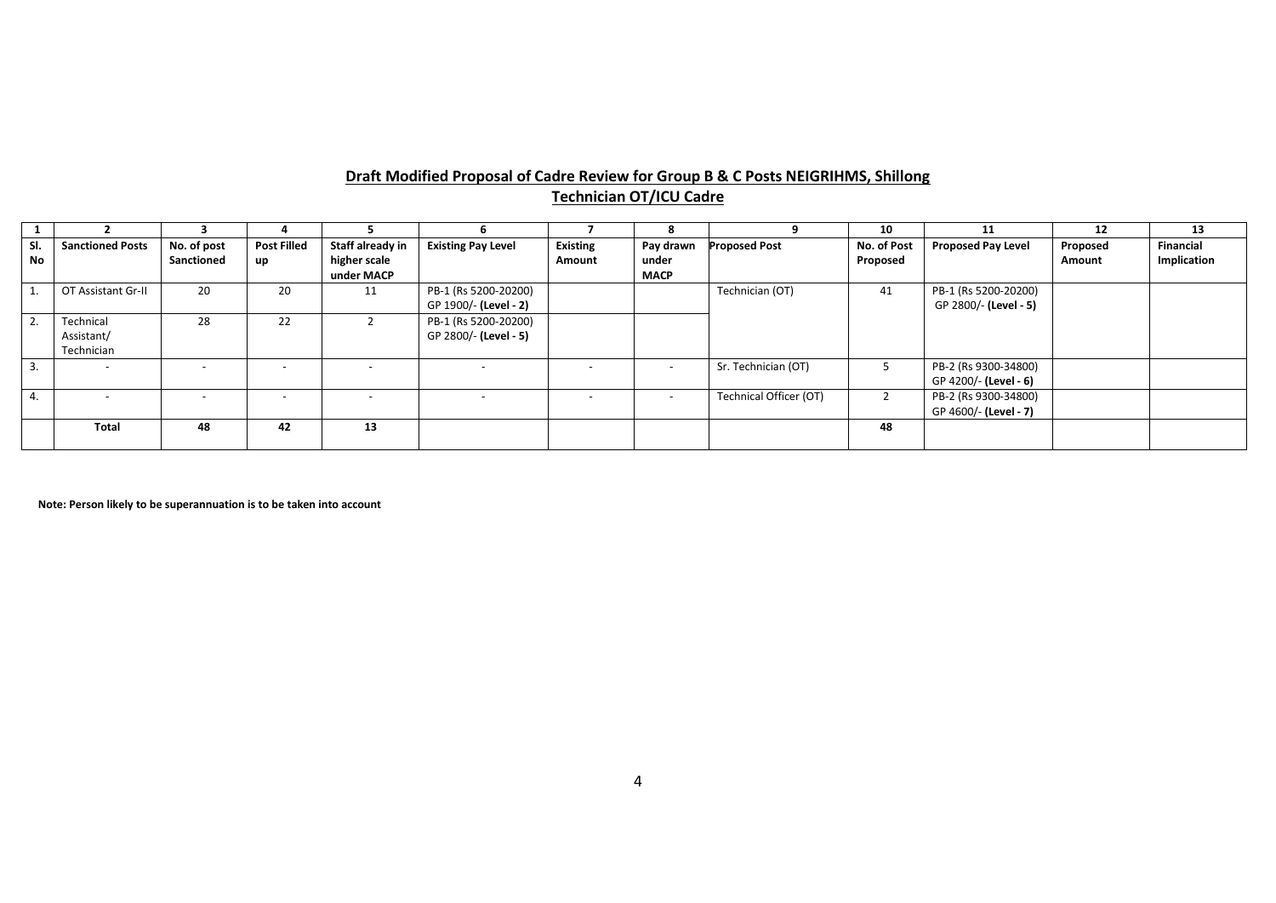# **Draft Modified Proposal of Cadre Review for Group B & C Posts NEIGRIHMS, Shillong Technician OT/ICU Cadre**

|     |                         |             |                          |                  |                           |                          |                          |                        | 10             |                           | 12       | 13          |
|-----|-------------------------|-------------|--------------------------|------------------|---------------------------|--------------------------|--------------------------|------------------------|----------------|---------------------------|----------|-------------|
| SI. | <b>Sanctioned Posts</b> | No. of post | <b>Post Filled</b>       | Staff already in | <b>Existing Pay Level</b> | <b>Existing</b>          | Pay drawn                | <b>Proposed Post</b>   | No. of Post    | <b>Proposed Pay Level</b> | Proposed | Financial   |
| No  |                         | Sanctioned  | up                       | higher scale     |                           | Amount                   | under                    |                        | Proposed       |                           | Amount   | Implication |
|     |                         |             |                          | under MACP       |                           |                          | <b>MACP</b>              |                        |                |                           |          |             |
|     | OT Assistant Gr-II      | 20          | 20                       | 11               | PB-1 (Rs 5200-20200)      |                          |                          | Technician (OT)        | 41             | PB-1 (Rs 5200-20200)      |          |             |
|     |                         |             |                          |                  | GP 1900/- (Level - 2)     |                          |                          |                        |                | GP 2800/- (Level - 5)     |          |             |
|     | Technical               | 28          | 22                       |                  | PB-1 (Rs 5200-20200)      |                          |                          |                        |                |                           |          |             |
|     | Assistant/              |             |                          |                  | GP 2800/- (Level - 5)     |                          |                          |                        |                |                           |          |             |
|     | Technician              |             |                          |                  |                           |                          |                          |                        |                |                           |          |             |
| 3.  |                         |             |                          |                  |                           |                          | $\overline{\phantom{a}}$ | Sr. Technician (OT)    | 5              | PB-2 (Rs 9300-34800)      |          |             |
|     |                         |             |                          |                  |                           |                          |                          |                        |                | GP 4200/- (Level - 6)     |          |             |
| 4.  |                         |             | $\overline{\phantom{a}}$ |                  |                           | $\overline{\phantom{a}}$ | $\overline{\phantom{a}}$ | Technical Officer (OT) | $\overline{2}$ | PB-2 (Rs 9300-34800)      |          |             |
|     |                         |             |                          |                  |                           |                          |                          |                        |                | GP 4600/- (Level - 7)     |          |             |
|     | <b>Total</b>            | 48          | 42                       | 13               |                           |                          |                          |                        | 48             |                           |          |             |
|     |                         |             |                          |                  |                           |                          |                          |                        |                |                           |          |             |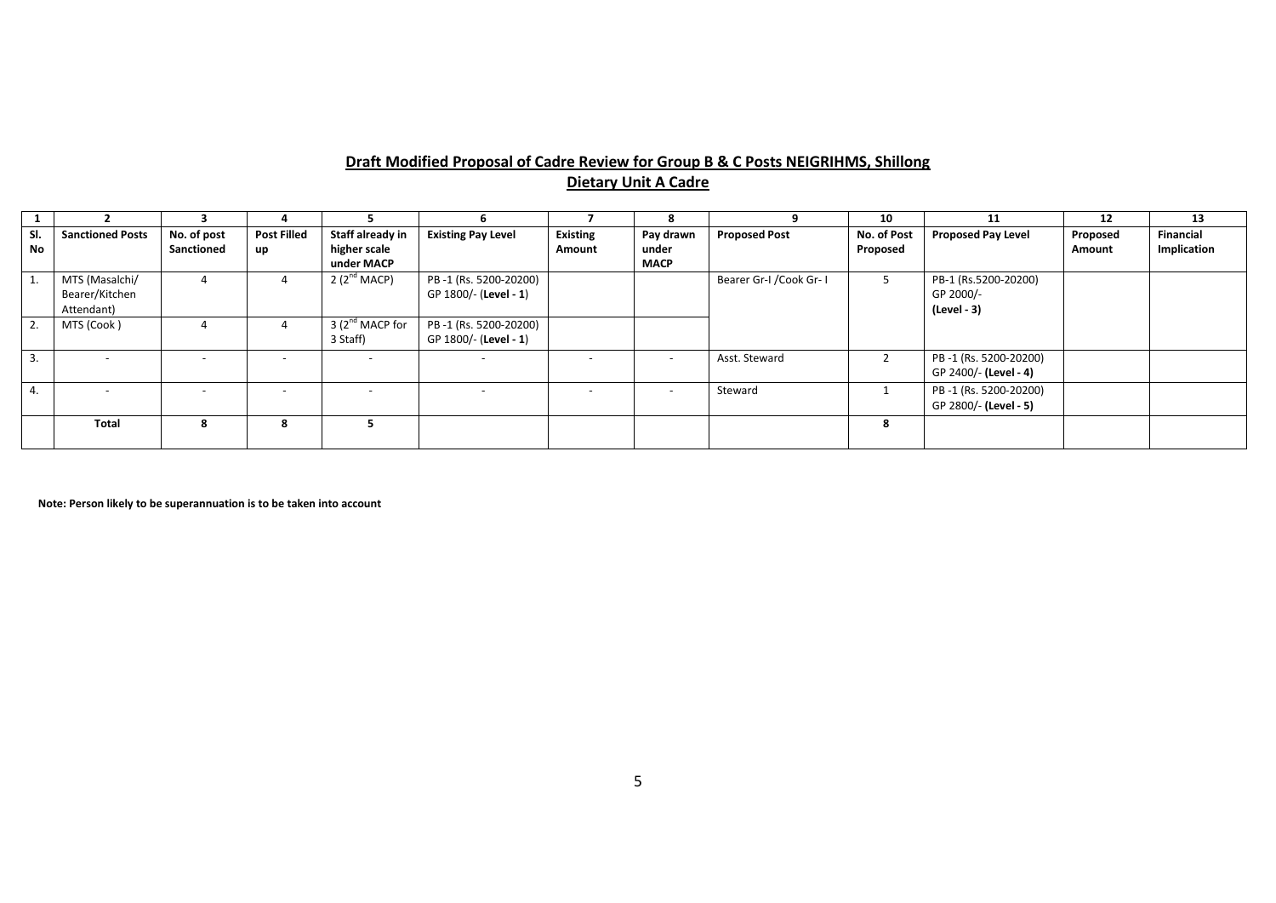# **Draft Modified Proposal of Cadre Review for Group B & C Posts NEIGRIHMS, Shillong Dietary Unit A Cadre**

|                  |                         |             |                          |                             | ь.                        |                 |                |                          | 10          | 11                        | 12       | 13               |
|------------------|-------------------------|-------------|--------------------------|-----------------------------|---------------------------|-----------------|----------------|--------------------------|-------------|---------------------------|----------|------------------|
| SI.              | <b>Sanctioned Posts</b> | No. of post | <b>Post Filled</b>       | Staff already in            | <b>Existing Pay Level</b> | <b>Existing</b> | Pay drawn      | <b>Proposed Post</b>     | No. of Post | <b>Proposed Pay Level</b> | Proposed | <b>Financial</b> |
| No               |                         | Sanctioned  | <b>up</b>                | higher scale                |                           | Amount          | under          |                          | Proposed    |                           | Amount   | Implication      |
|                  |                         |             |                          | under MACP                  |                           |                 | <b>MACP</b>    |                          |             |                           |          |                  |
| $\overline{1}$ . | MTS (Masalchi/          | 4           |                          | 2 ( $2^{\text{nd}}$ MACP)   | PB-1 (Rs. 5200-20200)     |                 |                | Bearer Gr-I / Cook Gr- I |             | PB-1 (Rs.5200-20200)      |          |                  |
|                  | Bearer/Kitchen          |             |                          |                             | GP 1800/- (Level - 1)     |                 |                |                          |             | GP 2000/-                 |          |                  |
|                  | Attendant)              |             |                          |                             |                           |                 |                |                          |             | (Level - 3)               |          |                  |
| $^{\circ}$ 2.    | MTS (Cook)              |             |                          | 3 (2 <sup>nd</sup> MACP for | PB-1 (Rs. 5200-20200)     |                 |                |                          |             |                           |          |                  |
|                  |                         |             |                          | 3 Staff)                    | GP 1800/- (Level - 1)     |                 |                |                          |             |                           |          |                  |
| 3.               |                         |             | $\overline{\phantom{a}}$ |                             | $\overline{\phantom{0}}$  |                 | $\overline{a}$ | Asst. Steward            |             | PB -1 (Rs. 5200-20200)    |          |                  |
|                  |                         |             |                          |                             |                           |                 |                |                          |             | GP 2400/- (Level - 4)     |          |                  |
| 4.               |                         |             |                          |                             |                           |                 |                | Steward                  |             | PB-1 (Rs. 5200-20200)     |          |                  |
|                  |                         |             |                          |                             |                           |                 |                |                          |             | GP 2800/- (Level - 5)     |          |                  |
|                  | <b>Total</b>            | 8           | -8                       |                             |                           |                 |                |                          | 8           |                           |          |                  |
|                  |                         |             |                          |                             |                           |                 |                |                          |             |                           |          |                  |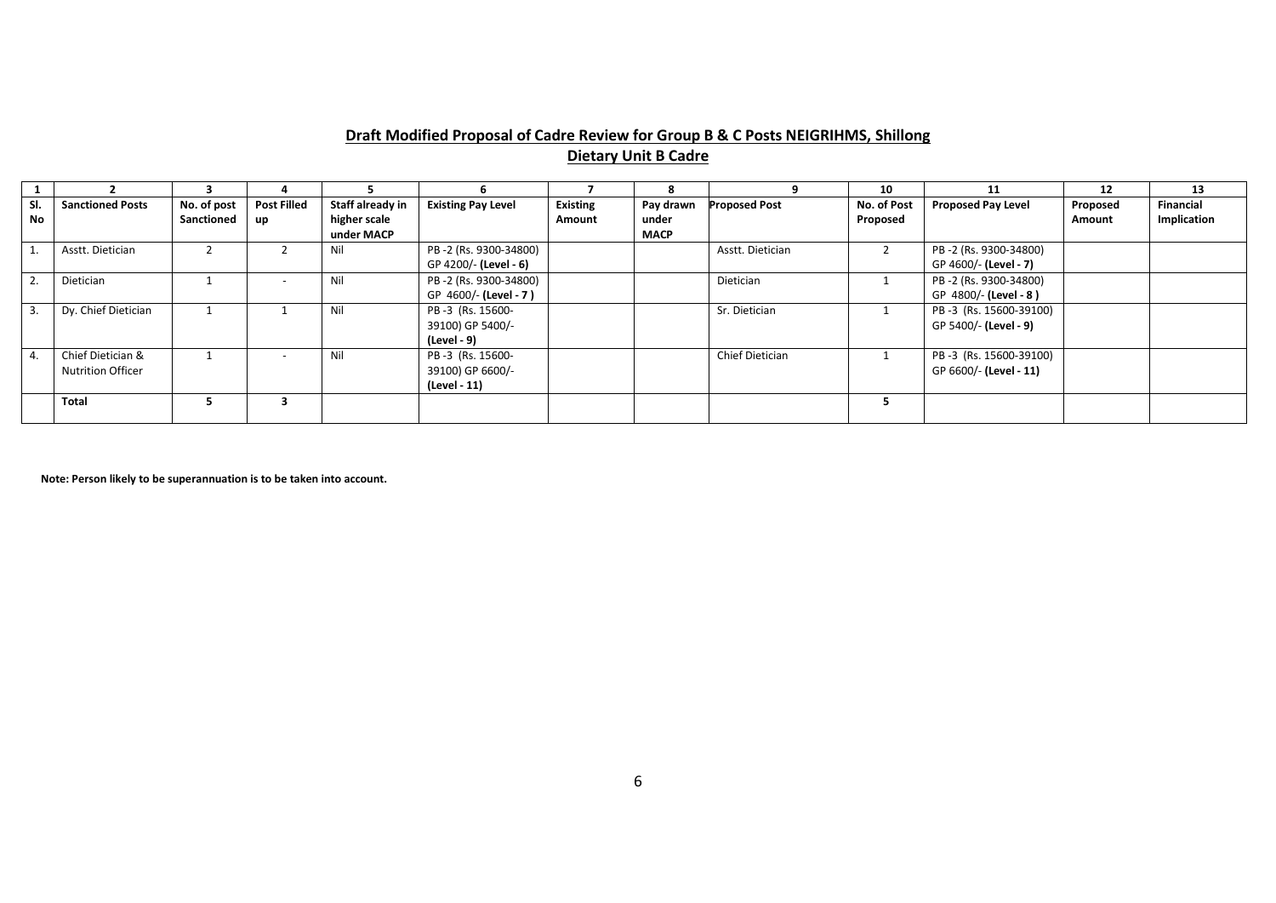# **Draft Modified Proposal of Cadre Review for Group B & C Posts NEIGRIHMS, Shillong Dietary Unit B Cadre**

|                |                                               |                           |                          |                                  |                                                      |                           |                    |                      | 10                      | 11                                               | 12                 | 13                              |
|----------------|-----------------------------------------------|---------------------------|--------------------------|----------------------------------|------------------------------------------------------|---------------------------|--------------------|----------------------|-------------------------|--------------------------------------------------|--------------------|---------------------------------|
| SI.<br>No      | <b>Sanctioned Posts</b>                       | No. of post<br>Sanctioned | <b>Post Filled</b><br>up | Staff already in<br>higher scale | <b>Existing Pay Level</b>                            | <b>Existing</b><br>Amount | Pay drawn<br>under | <b>Proposed Post</b> | No. of Post<br>Proposed | <b>Proposed Pay Level</b>                        | Proposed<br>Amount | <b>Financial</b><br>Implication |
|                |                                               |                           |                          | under MACP                       |                                                      |                           | <b>MACP</b>        |                      |                         |                                                  |                    |                                 |
|                | Asstt. Dietician                              |                           |                          | Nil                              | PB-2 (Rs. 9300-34800)<br>GP 4200/- (Level - 6)       |                           |                    | Asstt. Dietician     |                         | PB-2 (Rs. 9300-34800)<br>GP 4600/- (Level - 7)   |                    |                                 |
| 2.             | Dietician                                     |                           |                          | Nil                              | PB-2 (Rs. 9300-34800)<br>GP 4600/- (Level - 7)       |                           |                    | Dietician            |                         | PB-2 (Rs. 9300-34800)<br>GP 4800/- (Level - 8)   |                    |                                 |
| $\overline{3}$ | Dy. Chief Dietician                           |                           |                          | Nil                              | PB-3 (Rs. 15600-<br>39100) GP 5400/-<br>(Level - 9)  |                           |                    | Sr. Dietician        |                         | PB-3 (Rs. 15600-39100)<br>GP 5400/- (Level - 9)  |                    |                                 |
| $\mathbf{4}$   | Chief Dietician &<br><b>Nutrition Officer</b> |                           | $\sim$                   | Nil                              | PB-3 (Rs. 15600-<br>39100) GP 6600/-<br>(Level - 11) |                           |                    | Chief Dietician      |                         | PB-3 (Rs. 15600-39100)<br>GP 6600/- (Level - 11) |                    |                                 |
|                | <b>Total</b>                                  |                           |                          |                                  |                                                      |                           |                    |                      |                         |                                                  |                    |                                 |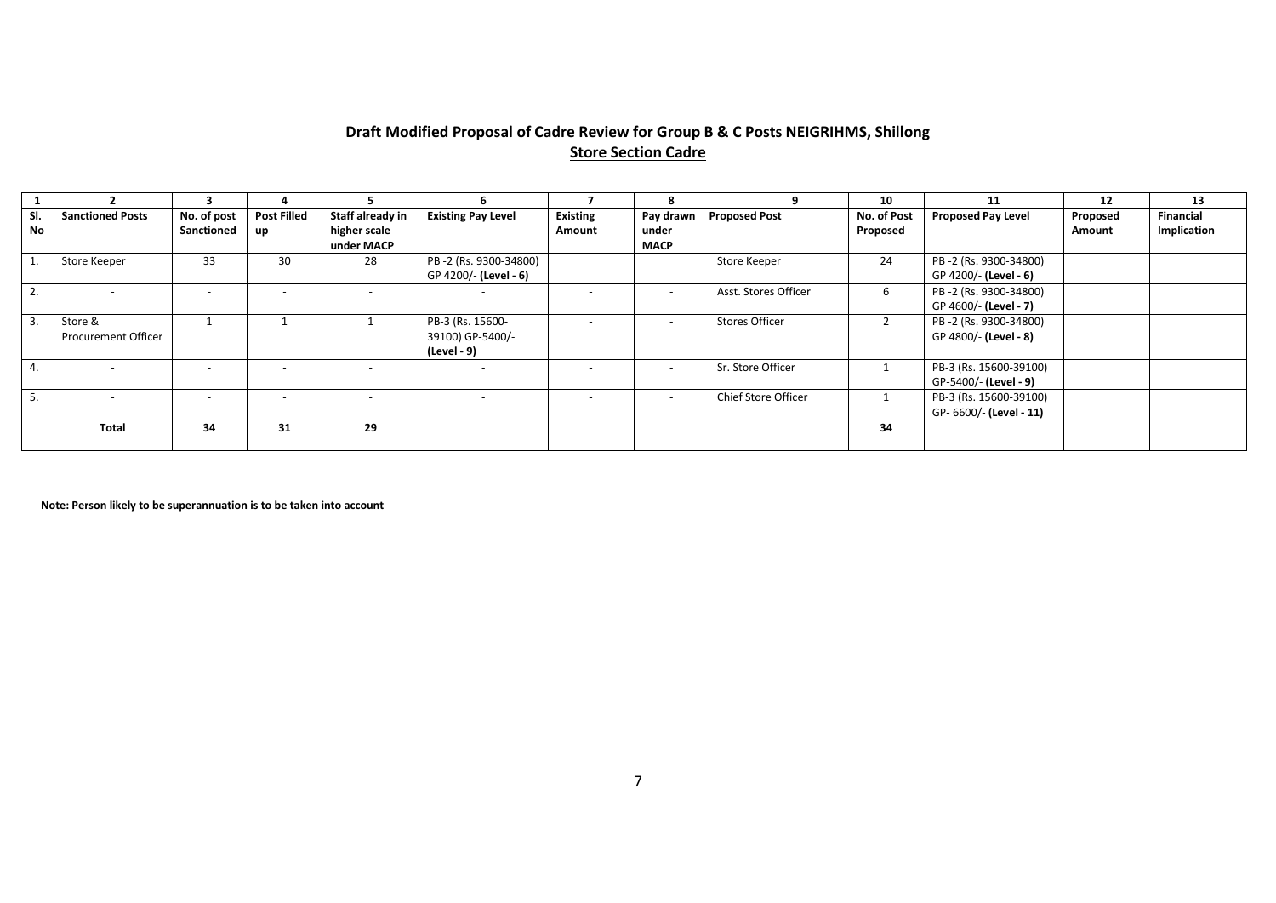# **Draft Modified Proposal of Cadre Review for Group B & C Posts NEIGRIHMS, Shillong Store Section Cadre**

|                |                                       |                           |                          |                                                |                                                     |                           | я                                 |                       | 10                      | 11                                                | 12                 | 13                              |
|----------------|---------------------------------------|---------------------------|--------------------------|------------------------------------------------|-----------------------------------------------------|---------------------------|-----------------------------------|-----------------------|-------------------------|---------------------------------------------------|--------------------|---------------------------------|
| SI.<br>No      | <b>Sanctioned Posts</b>               | No. of post<br>Sanctioned | <b>Post Filled</b><br>up | Staff already in<br>higher scale<br>under MACP | <b>Existing Pay Level</b>                           | <b>Existing</b><br>Amount | Pay drawn<br>under<br><b>MACP</b> | <b>Proposed Post</b>  | No. of Post<br>Proposed | <b>Proposed Pay Level</b>                         | Proposed<br>Amount | <b>Financial</b><br>Implication |
| 1.             | Store Keeper                          | 33                        | 30                       | 28                                             | PB-2 (Rs. 9300-34800)<br>GP 4200/- (Level - 6)      |                           |                                   | Store Keeper          | 24                      | PB-2 (Rs. 9300-34800)<br>GP 4200/- (Level - 6)    |                    |                                 |
| 2.             |                                       |                           |                          |                                                |                                                     |                           |                                   | Asst. Stores Officer  | 6                       | PB-2 (Rs. 9300-34800)<br>GP 4600/- (Level - 7)    |                    |                                 |
| 3.             | Store &<br><b>Procurement Officer</b> |                           |                          |                                                | PB-3 (Rs. 15600-<br>39100) GP-5400/-<br>(Level - 9) |                           | $\overline{a}$                    | <b>Stores Officer</b> |                         | PB-2 (Rs. 9300-34800)<br>GP 4800/- (Level - 8)    |                    |                                 |
| $\mathbf{4}$ . |                                       |                           |                          |                                                |                                                     |                           |                                   | Sr. Store Officer     |                         | PB-3 (Rs. 15600-39100)<br>GP-5400/- (Level - 9)   |                    |                                 |
| 5.             |                                       |                           |                          | $\overline{\phantom{a}}$                       |                                                     |                           | $\overline{a}$                    | Chief Store Officer   |                         | PB-3 (Rs. 15600-39100)<br>GP- 6600/- (Level - 11) |                    |                                 |
|                | Total                                 | 34                        | 31                       | 29                                             |                                                     |                           |                                   |                       | 34                      |                                                   |                    |                                 |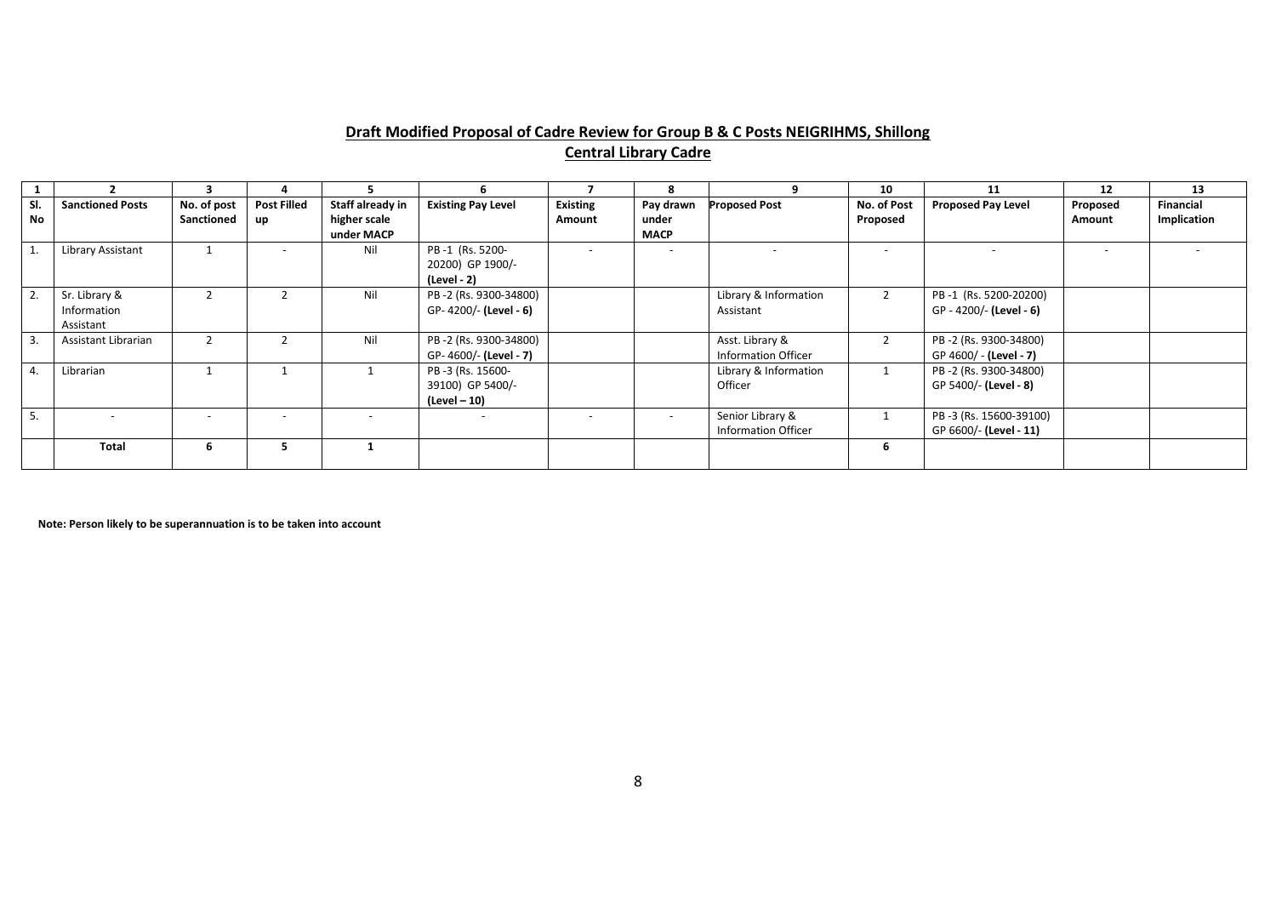# **Draft Modified Proposal of Cadre Review for Group B & C Posts NEIGRIHMS, Shillong Central Library Cadre**

|                  |                                           |                           |                          |                                                |                                                       |                           | 8                                 |                                                | 10                       | 11                                               | 12                 | 13                       |
|------------------|-------------------------------------------|---------------------------|--------------------------|------------------------------------------------|-------------------------------------------------------|---------------------------|-----------------------------------|------------------------------------------------|--------------------------|--------------------------------------------------|--------------------|--------------------------|
| SI.<br><b>No</b> | <b>Sanctioned Posts</b>                   | No. of post<br>Sanctioned | <b>Post Filled</b><br>up | Staff already in<br>higher scale<br>under MACP | <b>Existing Pay Level</b>                             | <b>Existing</b><br>Amount | Pay drawn<br>under<br><b>MACP</b> | <b>Proposed Post</b>                           | No. of Post<br>Proposed  | <b>Proposed Pay Level</b>                        | Proposed<br>Amount | Financial<br>Implication |
|                  | Library Assistant                         |                           | $\overline{\phantom{0}}$ | Nil                                            | PB-1 (Rs. 5200-<br>20200) GP 1900/-<br>(Level - 2)    |                           |                                   |                                                | $\overline{\phantom{a}}$ |                                                  | $\overline{a}$     |                          |
| 2.               | Sr. Library &<br>Information<br>Assistant |                           |                          | Nil                                            | PB-2 (Rs. 9300-34800)<br>GP-4200/- (Level - 6)        |                           |                                   | Library & Information<br>Assistant             | $\overline{2}$           | PB-1 (Rs. 5200-20200)<br>GP - 4200/- (Level - 6) |                    |                          |
| 3.               | Assistant Librarian                       |                           |                          | Nil                                            | PB-2 (Rs. 9300-34800)<br>GP-4600/- (Level - 7)        |                           |                                   | Asst. Library &<br><b>Information Officer</b>  |                          | PB-2 (Rs. 9300-34800)<br>GP 4600/ - (Level - 7)  |                    |                          |
| 4.               | Librarian                                 |                           |                          |                                                | PB -3 (Rs. 15600-<br>39100) GP 5400/-<br>(Level – 10) |                           |                                   | Library & Information<br>Officer               |                          | PB-2 (Rs. 9300-34800)<br>GP 5400/- (Level - 8)   |                    |                          |
| 5.               |                                           |                           |                          | $\overline{\phantom{0}}$                       | $\overline{\phantom{0}}$                              | $\overline{\phantom{0}}$  |                                   | Senior Library &<br><b>Information Officer</b> |                          | PB-3 (Rs. 15600-39100)<br>GP 6600/- (Level - 11) |                    |                          |
|                  | Total                                     | b                         |                          |                                                |                                                       |                           |                                   |                                                | ь                        |                                                  |                    |                          |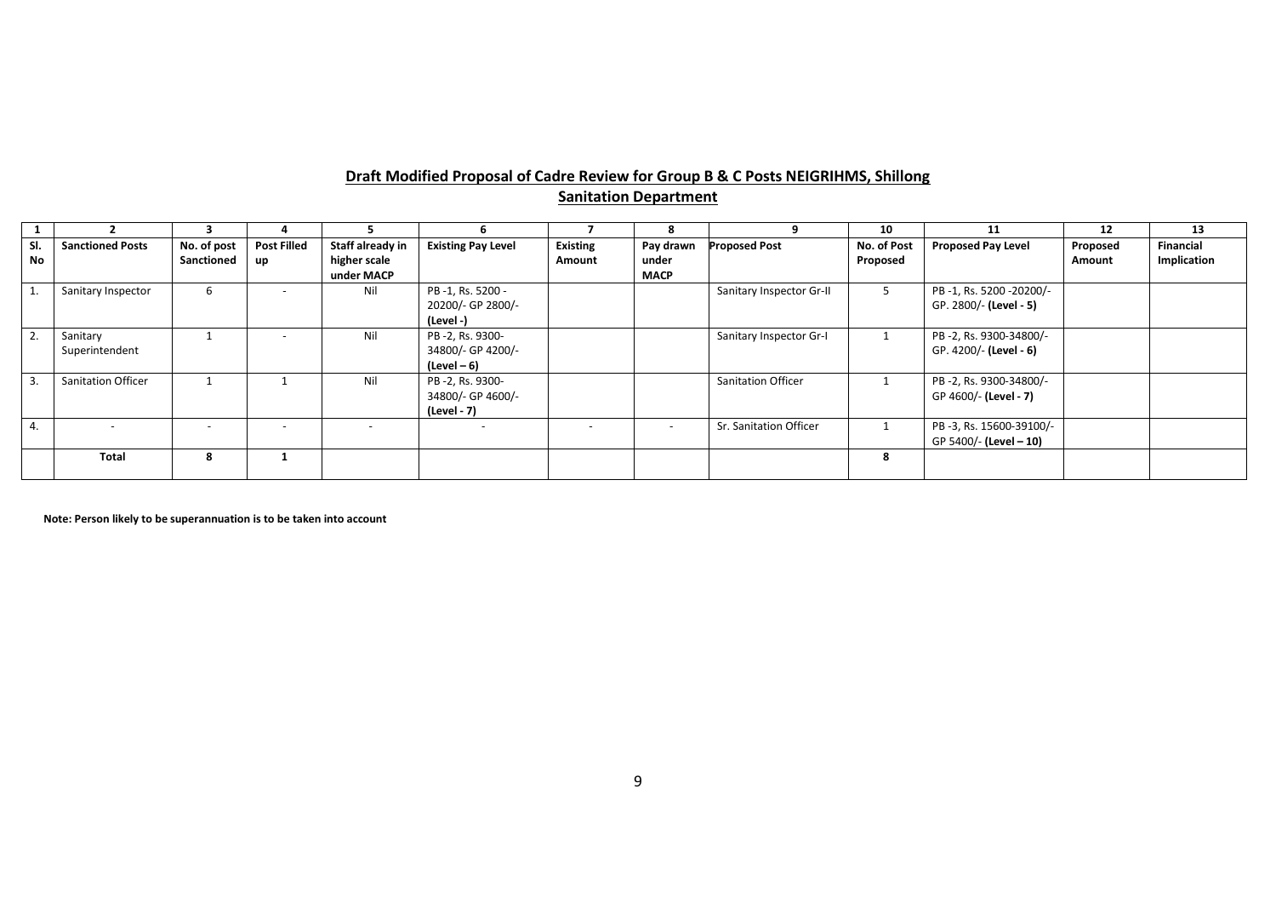# **Draft Modified Proposal of Cadre Review for Group B & C Posts NEIGRIHMS, Shillong Sanitation Department**

|           |                            |                           |                          |                                  |                                                     |                           |                          |                           | 10                      | 11                                                | 12                 | 13                              |
|-----------|----------------------------|---------------------------|--------------------------|----------------------------------|-----------------------------------------------------|---------------------------|--------------------------|---------------------------|-------------------------|---------------------------------------------------|--------------------|---------------------------------|
| SI.<br>No | <b>Sanctioned Posts</b>    | No. of post<br>Sanctioned | <b>Post Filled</b><br>up | Staff already in<br>higher scale | <b>Existing Pay Level</b>                           | <b>Existing</b><br>Amount | Pay drawn<br>under       | <b>Proposed Post</b>      | No. of Post<br>Proposed | <b>Proposed Pay Level</b>                         | Proposed<br>Amount | <b>Financial</b><br>Implication |
|           |                            |                           |                          | under MACP                       |                                                     |                           | <b>MACP</b>              |                           |                         |                                                   |                    |                                 |
|           | Sanitary Inspector         | 6                         |                          | Nil                              | PB-1, Rs. 5200 -<br>20200/- GP 2800/-<br>(Level -)  |                           |                          | Sanitary Inspector Gr-II  |                         | PB-1, Rs. 5200-20200/-<br>GP. 2800/- (Level - 5)  |                    |                                 |
| 2.        | Sanitary<br>Superintendent |                           |                          | Nil                              | PB-2, Rs. 9300-<br>34800/- GP 4200/-<br>(Level – 6) |                           |                          | Sanitary Inspector Gr-I   |                         | PB-2, Rs. 9300-34800/-<br>GP. 4200/- (Level - 6)  |                    |                                 |
| 3.        | <b>Sanitation Officer</b>  |                           |                          | Nil                              | PB-2, Rs. 9300-<br>34800/- GP 4600/-<br>(Level - 7) |                           |                          | <b>Sanitation Officer</b> |                         | PB-2, Rs. 9300-34800/-<br>GP 4600/- (Level - 7)   |                    |                                 |
| 4.        |                            | $\overline{\phantom{0}}$  |                          |                                  | $\overline{\phantom{a}}$                            |                           | $\overline{\phantom{a}}$ | Sr. Sanitation Officer    |                         | PB-3, Rs. 15600-39100/-<br>GP 5400/- (Level - 10) |                    |                                 |
|           | Total                      | 8                         |                          |                                  |                                                     |                           |                          |                           |                         |                                                   |                    |                                 |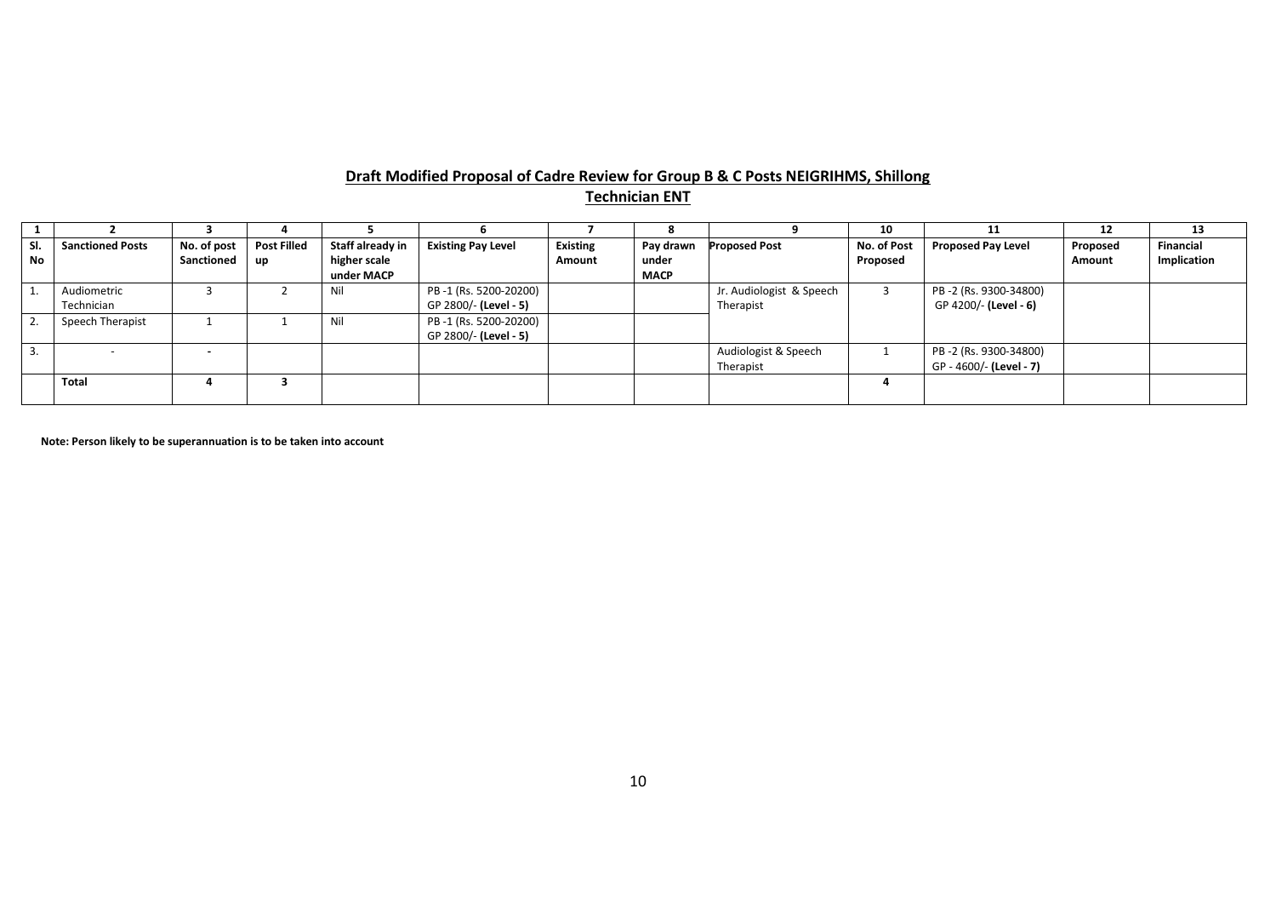# **Draft Modified Proposal of Cadre Review for Group B & C Posts NEIGRIHMS, Shillong Technician ENT**

|                  |                           |                           |                          |                                                |                                                |                           |                                   |                                       | 10                      | 11                                               | 12                 | 13                       |
|------------------|---------------------------|---------------------------|--------------------------|------------------------------------------------|------------------------------------------------|---------------------------|-----------------------------------|---------------------------------------|-------------------------|--------------------------------------------------|--------------------|--------------------------|
| SI.<br><b>No</b> | <b>Sanctioned Posts</b>   | No. of post<br>Sanctioned | <b>Post Filled</b><br>up | Staff already in<br>higher scale<br>under MACP | <b>Existing Pay Level</b>                      | <b>Existing</b><br>Amount | Pay drawn<br>under<br><b>MACP</b> | <b>Proposed Post</b>                  | No. of Post<br>Proposed | <b>Proposed Pay Level</b>                        | Proposed<br>Amount | Financial<br>Implication |
|                  | Audiometric<br>Technician |                           |                          | Nil                                            | PB-1 (Rs. 5200-20200)<br>GP 2800/- (Level - 5) |                           |                                   | Jr. Audiologist & Speech<br>Therapist |                         | PB-2 (Rs. 9300-34800)<br>GP 4200/- (Level - 6)   |                    |                          |
|                  | Speech Therapist          |                           |                          | Nil                                            | PB-1 (Rs. 5200-20200)<br>GP 2800/- (Level - 5) |                           |                                   |                                       |                         |                                                  |                    |                          |
|                  |                           | $\overline{\phantom{a}}$  |                          |                                                |                                                |                           |                                   | Audiologist & Speech<br>Therapist     |                         | PB-2 (Rs. 9300-34800)<br>GP - 4600/- (Level - 7) |                    |                          |
|                  | Total                     |                           |                          |                                                |                                                |                           |                                   |                                       |                         |                                                  |                    |                          |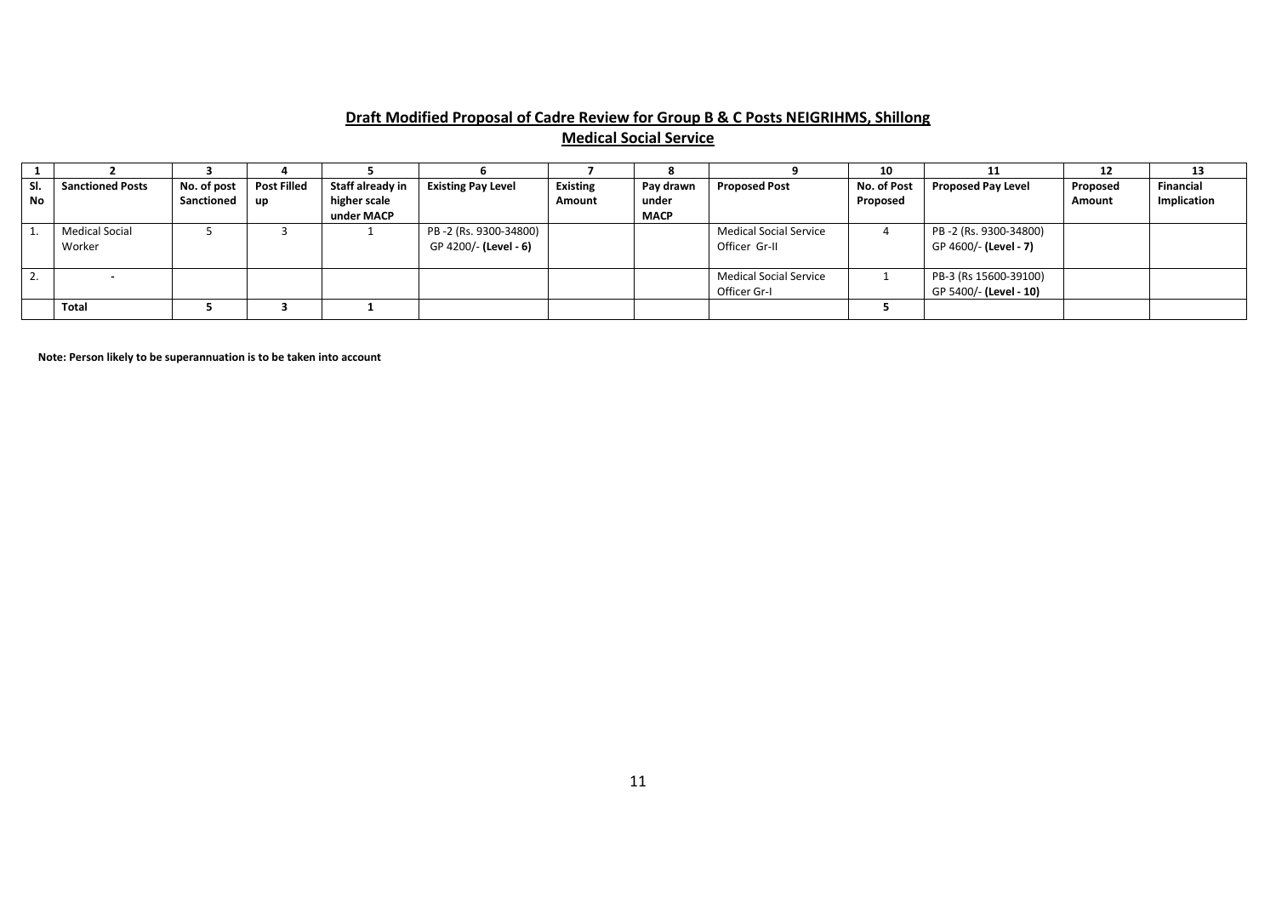# **Draft Modified Proposal of Cadre Review for Group B & C Posts NEIGRIHMS, Shillong Medical Social Service**

|     |                         |             |                    |                  |                           |                 |             |                        | 10          | 11                        | 12            | 13               |
|-----|-------------------------|-------------|--------------------|------------------|---------------------------|-----------------|-------------|------------------------|-------------|---------------------------|---------------|------------------|
| SI. | <b>Sanctioned Posts</b> | No. of post | <b>Post Filled</b> | Staff already in | <b>Existing Pay Level</b> | <b>Existing</b> | Pay drawn   | <b>Proposed Post</b>   | No. of Post | <b>Proposed Pay Level</b> | Proposed      | <b>Financial</b> |
| No  |                         | Sanctioned  | up                 | higher scale     |                           | Amount          | under       |                        | Proposed    |                           | <b>Amount</b> | Implication      |
|     |                         |             |                    | under MACP       |                           |                 | <b>MACP</b> |                        |             |                           |               |                  |
|     | <b>Medical Social</b>   |             |                    |                  | PB-2 (Rs. 9300-34800)     |                 |             | Medical Social Service |             | PB-2 (Rs. 9300-34800)     |               |                  |
|     | Worker                  |             |                    |                  | GP 4200/- (Level - 6)     |                 |             | Officer Gr-II          |             | GP 4600/- (Level - 7)     |               |                  |
|     |                         |             |                    |                  |                           |                 |             |                        |             |                           |               |                  |
| L.  |                         |             |                    |                  |                           |                 |             | Medical Social Service |             | PB-3 (Rs 15600-39100)     |               |                  |
|     |                         |             |                    |                  |                           |                 |             | Officer Gr-I           |             | GP 5400/- (Level - 10)    |               |                  |
|     | Total                   |             |                    |                  |                           |                 |             |                        |             |                           |               |                  |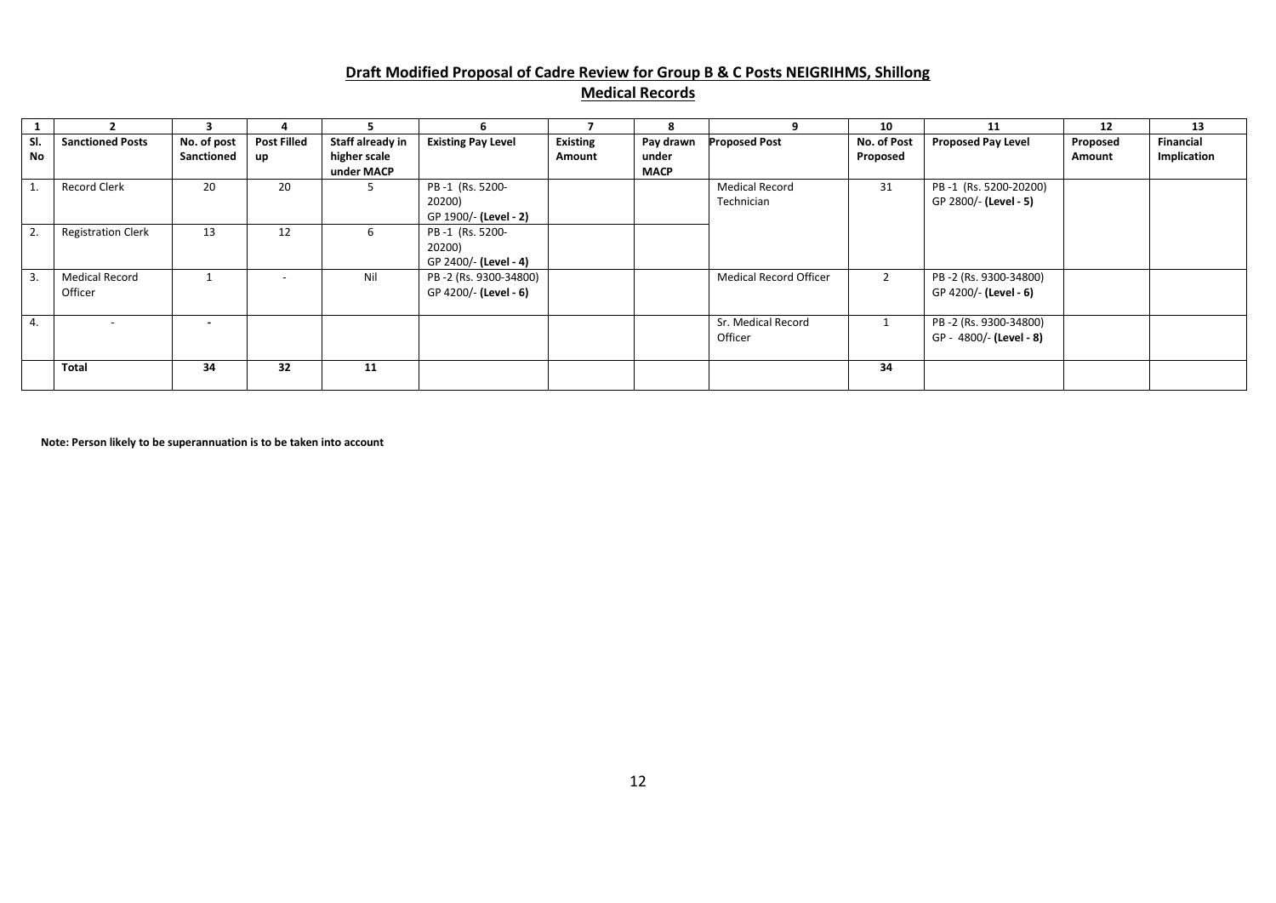# **Draft Modified Proposal of Cadre Review for Group B & C Posts NEIGRIHMS, Shillong Medical Records**

|           |                                  | 3                         |                                 |                                                | ь.                                                 |                           | 8                                 |                                     | 10                      | 11                                               | 12                 | 13                       |
|-----------|----------------------------------|---------------------------|---------------------------------|------------------------------------------------|----------------------------------------------------|---------------------------|-----------------------------------|-------------------------------------|-------------------------|--------------------------------------------------|--------------------|--------------------------|
| SI.<br>No | <b>Sanctioned Posts</b>          | No. of post<br>Sanctioned | <b>Post Filled</b><br><b>up</b> | Staff already in<br>higher scale<br>under MACP | <b>Existing Pay Level</b>                          | <b>Existing</b><br>Amount | Pay drawn<br>under<br><b>MACP</b> | <b>Proposed Post</b>                | No. of Post<br>Proposed | <b>Proposed Pay Level</b>                        | Proposed<br>Amount | Financial<br>Implication |
|           | Record Clerk                     | 20                        | 20                              | 5                                              | PB-1 (Rs. 5200-<br>20200)<br>GP 1900/- (Level - 2) |                           |                                   | <b>Medical Record</b><br>Technician | 31                      | PB-1 (Rs. 5200-20200)<br>GP 2800/- (Level - 5)   |                    |                          |
| 2.        | <b>Registration Clerk</b>        | 13                        | 12                              | 6                                              | PB-1 (Rs. 5200-<br>20200)<br>GP 2400/- (Level - 4) |                           |                                   |                                     |                         |                                                  |                    |                          |
| 3.        | <b>Medical Record</b><br>Officer |                           | $\overline{\phantom{a}}$        | Nil                                            | PB-2 (Rs. 9300-34800)<br>GP 4200/- (Level - 6)     |                           |                                   | Medical Record Officer              | $\overline{2}$          | PB-2 (Rs. 9300-34800)<br>GP 4200/- (Level - 6)   |                    |                          |
| 4.        |                                  | $\sim$                    |                                 |                                                |                                                    |                           |                                   | Sr. Medical Record<br>Officer       |                         | PB-2 (Rs. 9300-34800)<br>GP - 4800/- (Level - 8) |                    |                          |
|           | <b>Total</b>                     | 34                        | 32                              | 11                                             |                                                    |                           |                                   |                                     | 34                      |                                                  |                    |                          |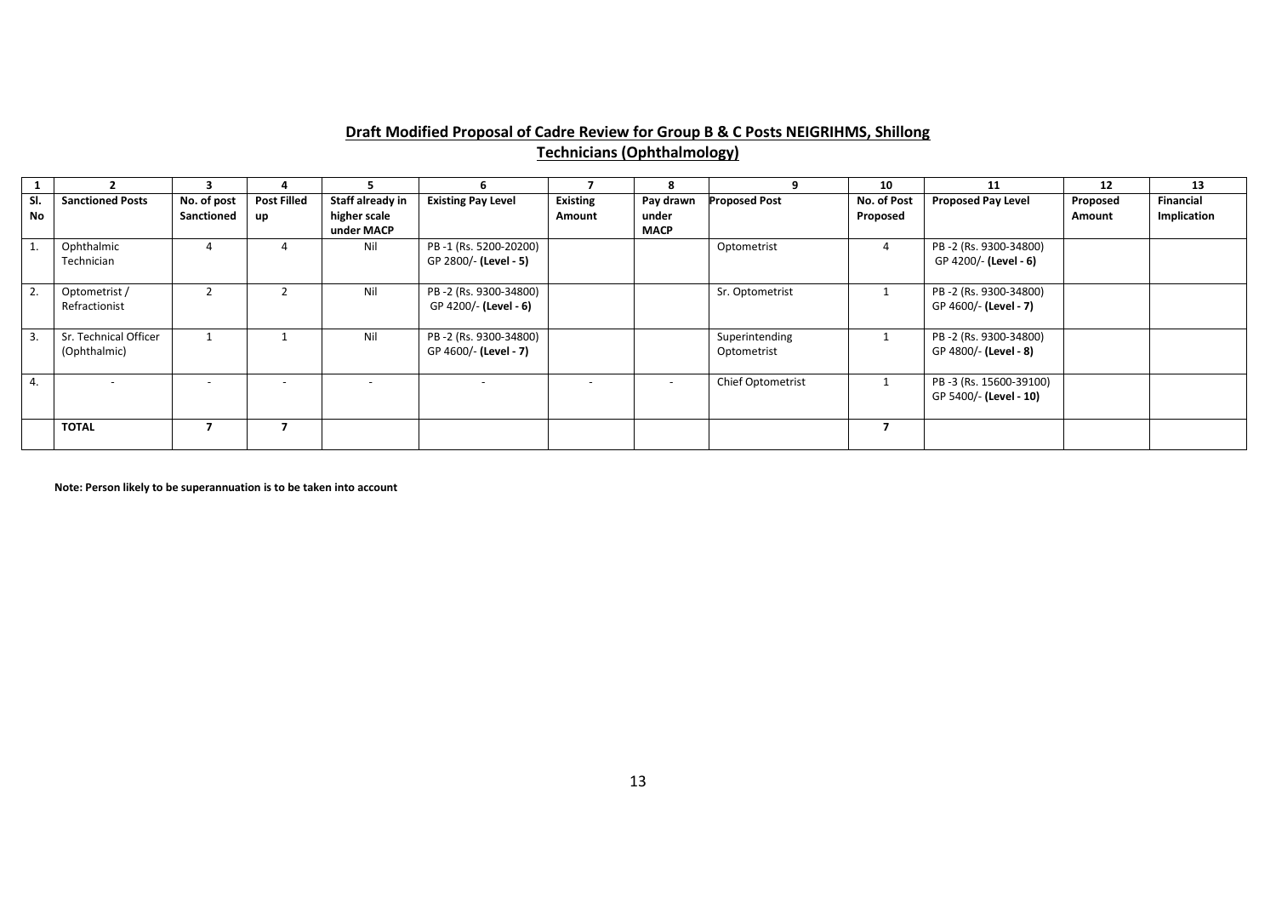# **Draft Modified Proposal of Cadre Review for Group B & C Posts NEIGRIHMS, Shillong Technicians (Ophthalmology)**

|           |                                       | ર                         |                          |                                                |                                                |                           | 8                                 |                               | 10                      | 11                                               | 12                 | 13                              |
|-----------|---------------------------------------|---------------------------|--------------------------|------------------------------------------------|------------------------------------------------|---------------------------|-----------------------------------|-------------------------------|-------------------------|--------------------------------------------------|--------------------|---------------------------------|
| SI.<br>No | <b>Sanctioned Posts</b>               | No. of post<br>Sanctioned | <b>Post Filled</b><br>up | Staff already in<br>higher scale<br>under MACP | <b>Existing Pay Level</b>                      | <b>Existing</b><br>Amount | Pay drawn<br>under<br><b>MACP</b> | <b>Proposed Post</b>          | No. of Post<br>Proposed | <b>Proposed Pay Level</b>                        | Proposed<br>Amount | <b>Financial</b><br>Implication |
|           | Ophthalmic<br>Technician              | 4                         |                          | Nil                                            | PB-1 (Rs. 5200-20200)<br>GP 2800/- (Level - 5) |                           |                                   | Optometrist                   |                         | PB-2 (Rs. 9300-34800)<br>GP 4200/- (Level - 6)   |                    |                                 |
|           | Optometrist /<br>Refractionist        |                           |                          | Nil                                            | PB-2 (Rs. 9300-34800)<br>GP 4200/- (Level - 6) |                           |                                   | Sr. Optometrist               |                         | PB-2 (Rs. 9300-34800)<br>GP 4600/- (Level - 7)   |                    |                                 |
| 3.        | Sr. Technical Officer<br>(Ophthalmic) |                           |                          | Nil                                            | PB-2 (Rs. 9300-34800)<br>GP 4600/- (Level - 7) |                           |                                   | Superintending<br>Optometrist |                         | PB-2 (Rs. 9300-34800)<br>GP 4800/- (Level - 8)   |                    |                                 |
| 4.        |                                       | $\overline{\phantom{a}}$  | $\overline{\phantom{a}}$ | $\overline{\phantom{a}}$                       |                                                |                           | $\sim$                            | Chief Optometrist             |                         | PB-3 (Rs. 15600-39100)<br>GP 5400/- (Level - 10) |                    |                                 |
|           | <b>TOTAL</b>                          |                           |                          |                                                |                                                |                           |                                   |                               |                         |                                                  |                    |                                 |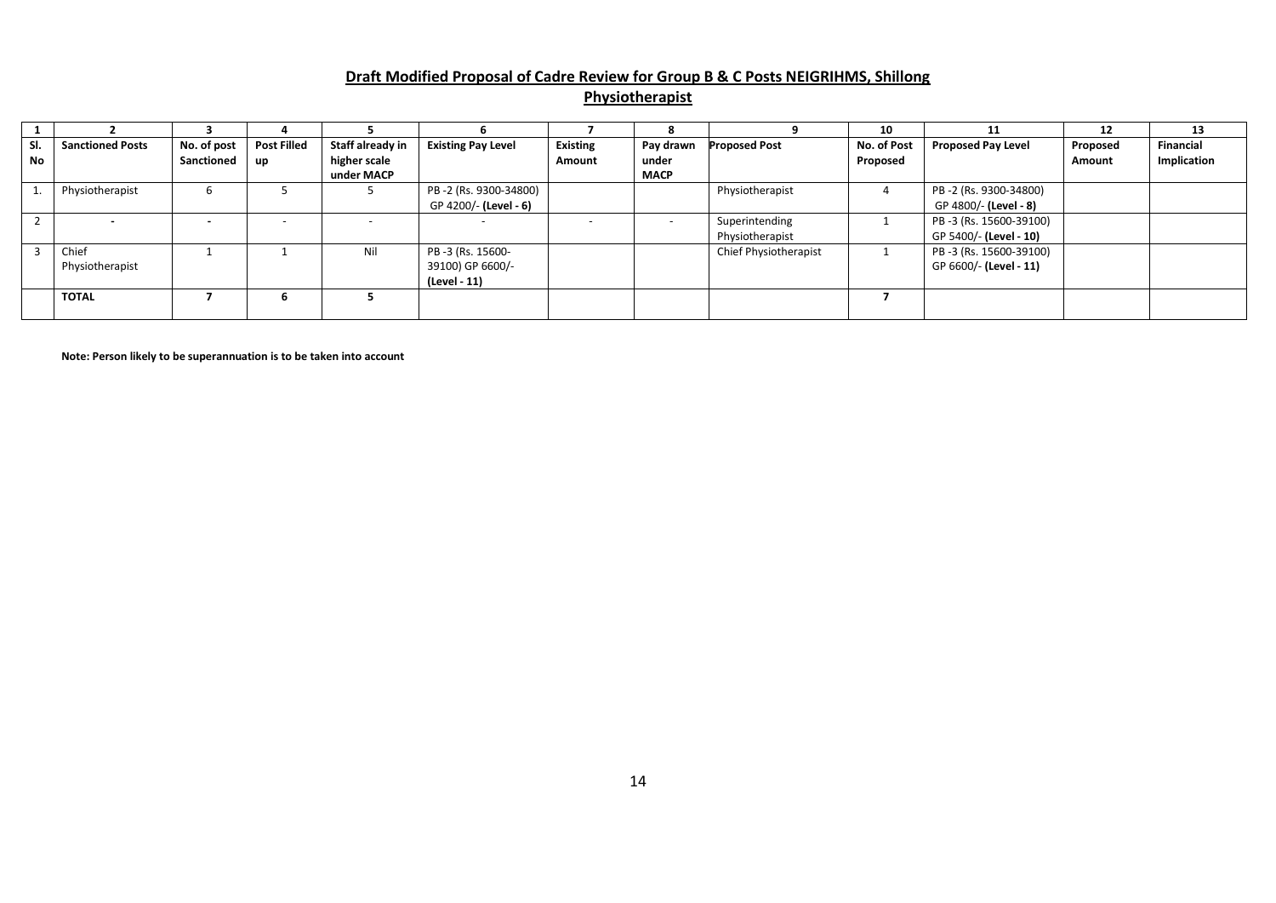#### **Draft Modified Proposal of Cadre Review for Group B & C Posts NEIGRIHMS, Shillong Physiotherapist**

|     |                         |             |                    |                  |                           |                 |                |                       | 10          |                           | 12       | 13               |
|-----|-------------------------|-------------|--------------------|------------------|---------------------------|-----------------|----------------|-----------------------|-------------|---------------------------|----------|------------------|
| SI. | <b>Sanctioned Posts</b> | No. of post | <b>Post Filled</b> | Staff already in | <b>Existing Pay Level</b> | <b>Existing</b> | Pay drawn      | <b>Proposed Post</b>  | No. of Post | <b>Proposed Pay Level</b> | Proposed | <b>Financial</b> |
| No  |                         | Sanctioned  | <b>up</b>          | higher scale     |                           | Amount          | under          |                       | Proposed    |                           | Amount   | Implication      |
|     |                         |             |                    | under MACP       |                           |                 | <b>MACP</b>    |                       |             |                           |          |                  |
|     | Physiotherapist         |             |                    |                  | PB-2 (Rs. 9300-34800)     |                 |                | Physiotherapist       |             | PB-2 (Rs. 9300-34800)     |          |                  |
|     |                         |             |                    |                  | GP 4200/- (Level - 6)     |                 |                |                       |             | GP 4800/- (Level - 8)     |          |                  |
|     |                         |             |                    |                  |                           |                 | $\overline{a}$ | Superintending        |             | PB-3 (Rs. 15600-39100)    |          |                  |
|     |                         |             |                    |                  |                           |                 |                | Physiotherapist       |             | GP 5400/- (Level - 10)    |          |                  |
|     | Chief                   |             |                    | Nil              | PB -3 (Rs. 15600-         |                 |                | Chief Physiotherapist |             | PB-3 (Rs. 15600-39100)    |          |                  |
|     | Physiotherapist         |             |                    |                  | 39100) GP 6600/-          |                 |                |                       |             | GP 6600/- (Level - 11)    |          |                  |
|     |                         |             |                    |                  | (Level - 11)              |                 |                |                       |             |                           |          |                  |
|     | <b>TOTAL</b>            |             | h                  |                  |                           |                 |                |                       |             |                           |          |                  |
|     |                         |             |                    |                  |                           |                 |                |                       |             |                           |          |                  |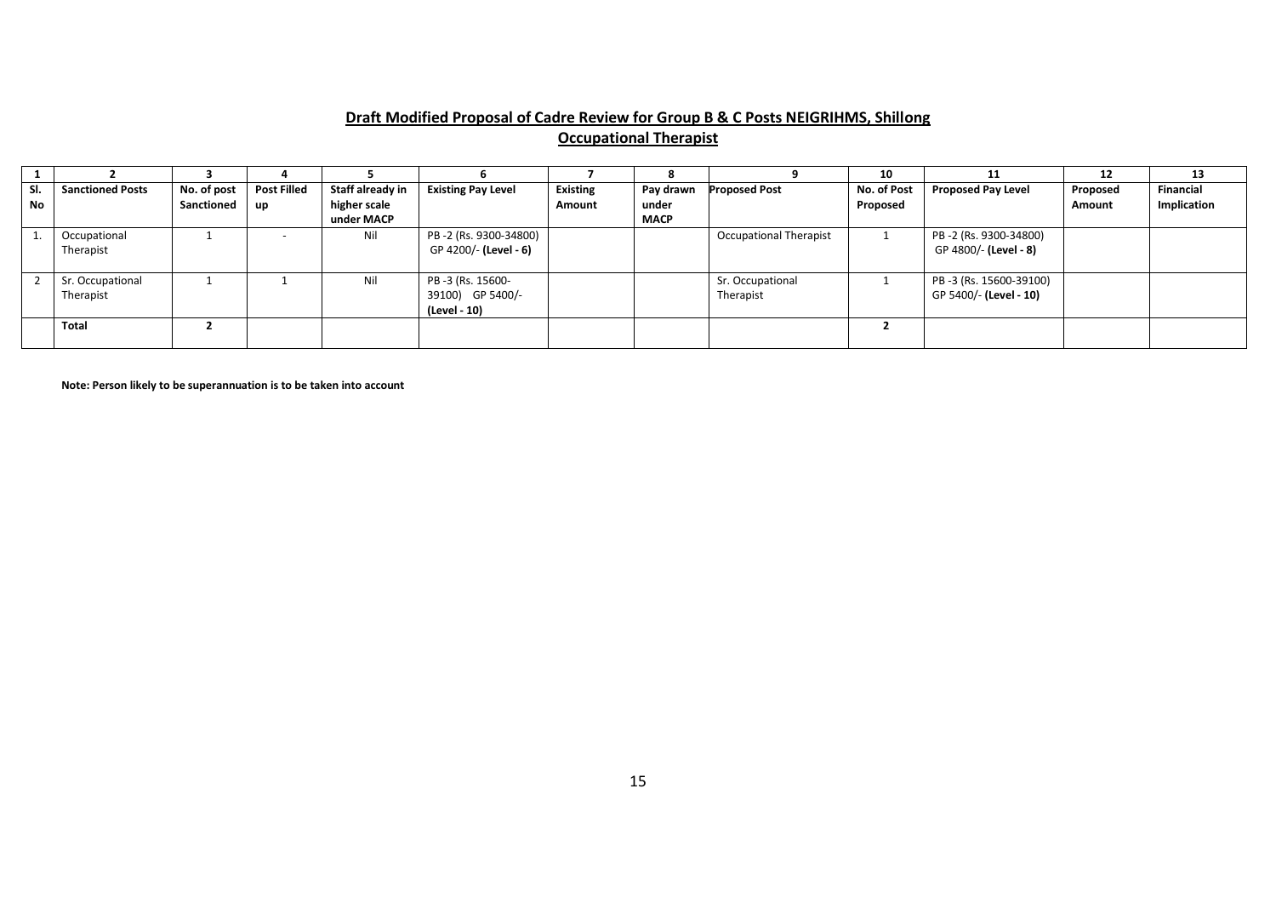# **Draft Modified Proposal of Cadre Review for Group B & C Posts NEIGRIHMS, Shillong Occupational Therapist**

|     |                         |             |                    |                  |                           |                 |             |                               | 10          |                           | 12       | 13          |
|-----|-------------------------|-------------|--------------------|------------------|---------------------------|-----------------|-------------|-------------------------------|-------------|---------------------------|----------|-------------|
| SI. | <b>Sanctioned Posts</b> | No. of post | <b>Post Filled</b> | Staff already in | <b>Existing Pay Level</b> | <b>Existing</b> | Pay drawn   | <b>Proposed Post</b>          | No. of Post | <b>Proposed Pay Level</b> | Proposed | Financial   |
| No  |                         | Sanctioned  | up                 | higher scale     |                           | Amount          | under       |                               | Proposed    |                           | Amount   | Implication |
|     |                         |             |                    | under MACP       |                           |                 | <b>MACP</b> |                               |             |                           |          |             |
|     | Occupational            |             |                    | Nil              | PB-2 (Rs. 9300-34800)     |                 |             | <b>Occupational Therapist</b> |             | PB-2 (Rs. 9300-34800)     |          |             |
|     | Therapist               |             |                    |                  | GP 4200/- (Level - 6)     |                 |             |                               |             | GP 4800/- (Level - 8)     |          |             |
|     |                         |             |                    |                  |                           |                 |             |                               |             |                           |          |             |
|     | Sr. Occupational        |             |                    | Nil              | PB -3 (Rs. 15600-         |                 |             | Sr. Occupational              |             | PB-3 (Rs. 15600-39100)    |          |             |
|     | Therapist               |             |                    |                  | 39100) GP 5400/-          |                 |             | Therapist                     |             | GP 5400/- (Level - 10)    |          |             |
|     |                         |             |                    |                  | (Level - 10)              |                 |             |                               |             |                           |          |             |
|     | Total                   |             |                    |                  |                           |                 |             |                               |             |                           |          |             |
|     |                         |             |                    |                  |                           |                 |             |                               |             |                           |          |             |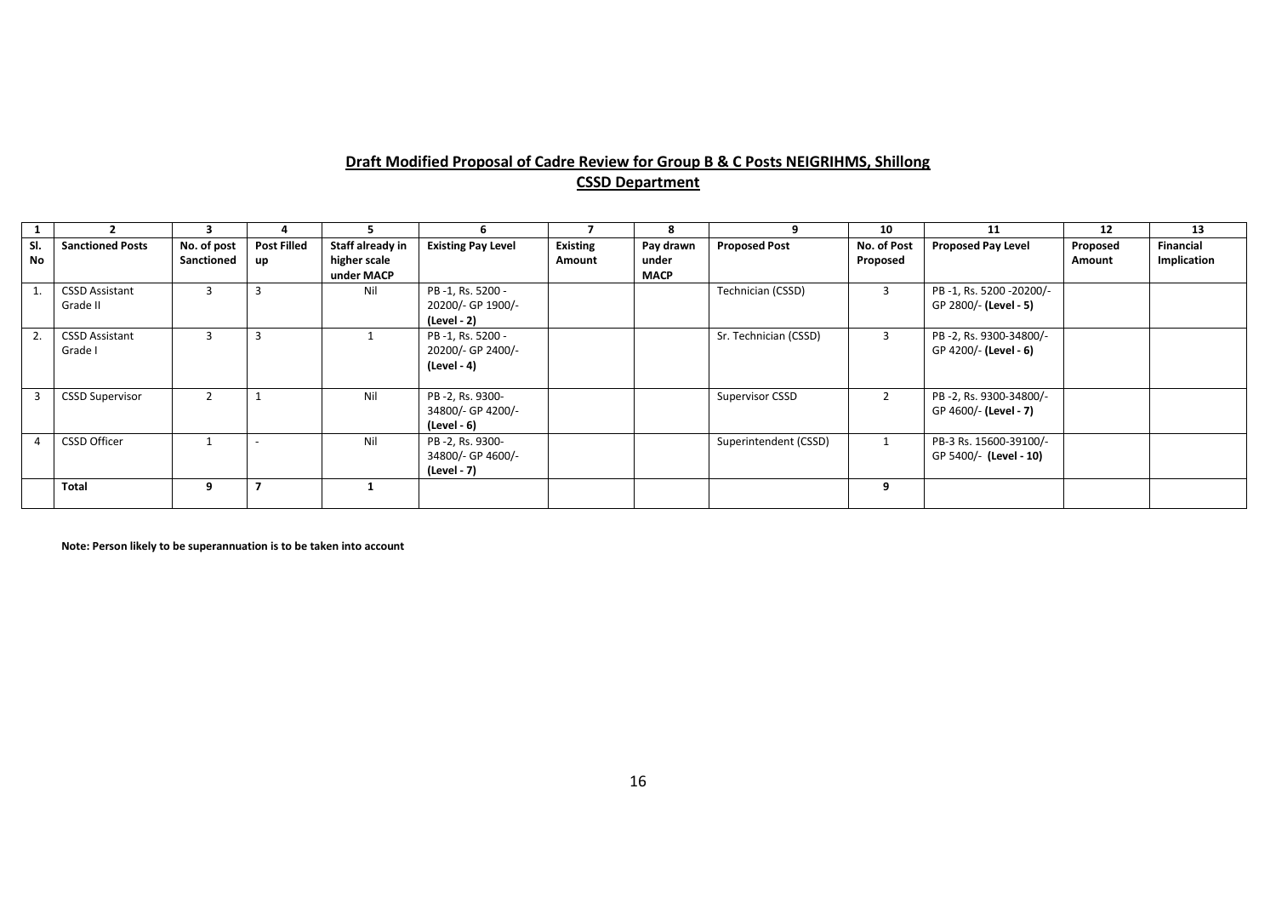# **Draft Modified Proposal of Cadre Review for Group B & C Posts NEIGRIHMS, Shillong CSSD Department**

|           |                                   |                           |                          |                                                |                                                      |                           | я                                 |                       | 10                      | 11                                               | 12                 | 13                       |
|-----------|-----------------------------------|---------------------------|--------------------------|------------------------------------------------|------------------------------------------------------|---------------------------|-----------------------------------|-----------------------|-------------------------|--------------------------------------------------|--------------------|--------------------------|
| SI.<br>No | <b>Sanctioned Posts</b>           | No. of post<br>Sanctioned | <b>Post Filled</b><br>up | Staff already in<br>higher scale<br>under MACP | <b>Existing Pay Level</b>                            | <b>Existing</b><br>Amount | Pay drawn<br>under<br><b>MACP</b> | <b>Proposed Post</b>  | No. of Post<br>Proposed | <b>Proposed Pay Level</b>                        | Proposed<br>Amount | Financial<br>Implication |
|           | <b>CSSD Assistant</b><br>Grade II |                           |                          | Nil                                            | PB-1, Rs. 5200 -<br>20200/- GP 1900/-<br>(Level - 2) |                           |                                   | Technician (CSSD)     | 3                       | PB-1, Rs. 5200-20200/-<br>GP 2800/- (Level - 5)  |                    |                          |
| 2.        | <b>CSSD Assistant</b><br>Grade I  |                           |                          |                                                | PB-1, Rs. 5200 -<br>20200/- GP 2400/-<br>(Level - 4) |                           |                                   | Sr. Technician (CSSD) | 3                       | PB-2, Rs. 9300-34800/-<br>GP 4200/- (Level - 6)  |                    |                          |
|           | <b>CSSD Supervisor</b>            | $\mathcal{L}$             |                          | Nil                                            | PB-2, Rs. 9300-<br>34800/- GP 4200/-<br>(Level - 6)  |                           |                                   | Supervisor CSSD       | $\overline{2}$          | PB-2, Rs. 9300-34800/-<br>GP 4600/- (Level - 7)  |                    |                          |
|           | <b>CSSD Officer</b>               |                           |                          | Nil                                            | PB-2, Rs. 9300-<br>34800/- GP 4600/-<br>(Level - 7)  |                           |                                   | Superintendent (CSSD) | $\mathbf{1}$            | PB-3 Rs. 15600-39100/-<br>GP 5400/- (Level - 10) |                    |                          |
|           | Total                             | 9                         |                          |                                                |                                                      |                           |                                   |                       | 9                       |                                                  |                    |                          |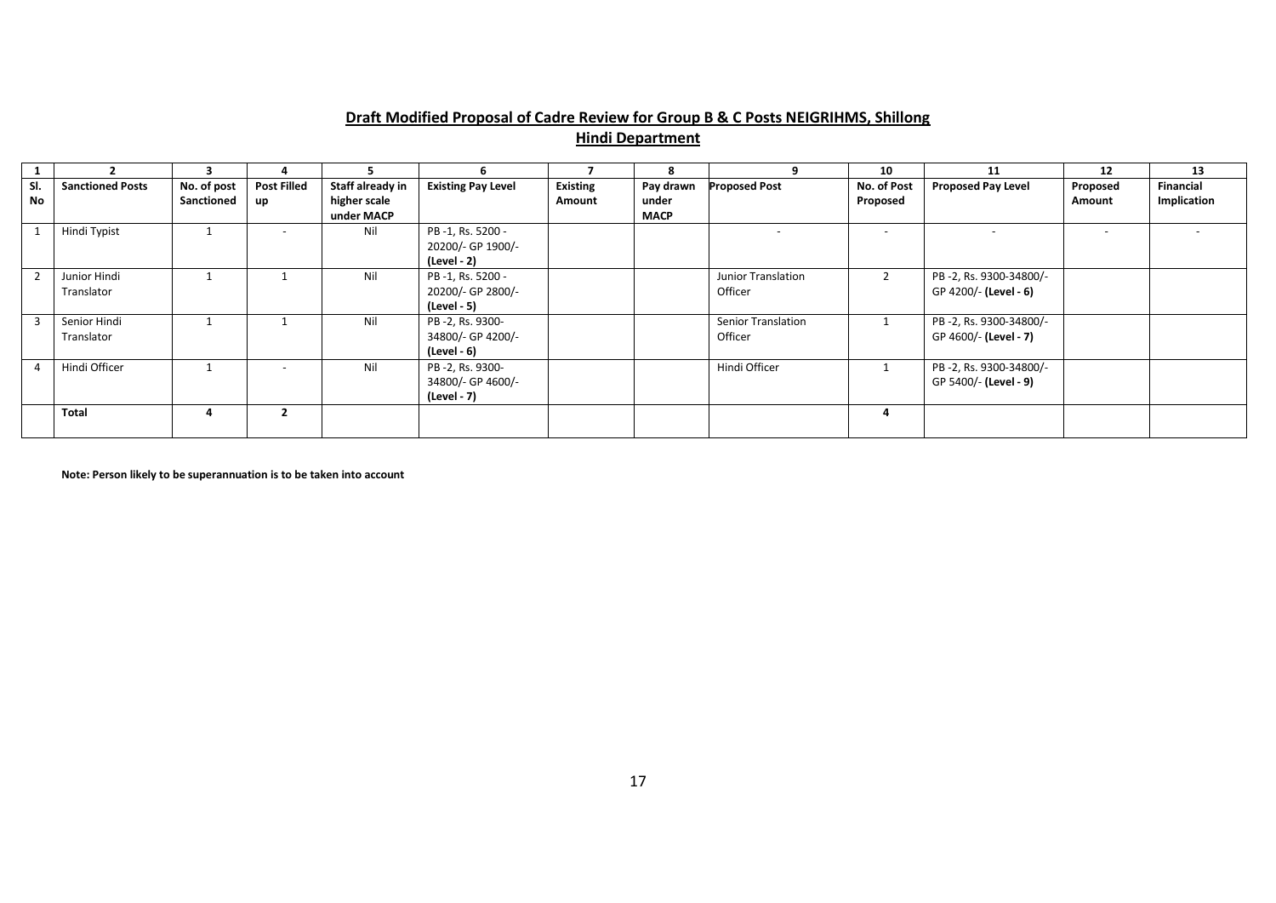# **Draft Modified Proposal of Cadre Review for Group B & C Posts NEIGRIHMS, Shillong**

# **Hindi Department**

|           |                            | 3                         |                          |                                  | h                                                    |                           | 8                  | 9                                    | 10                       | 11                                              | 12                       | 13                              |
|-----------|----------------------------|---------------------------|--------------------------|----------------------------------|------------------------------------------------------|---------------------------|--------------------|--------------------------------------|--------------------------|-------------------------------------------------|--------------------------|---------------------------------|
| SI.<br>No | <b>Sanctioned Posts</b>    | No. of post<br>Sanctioned | <b>Post Filled</b><br>up | Staff already in<br>higher scale | <b>Existing Pay Level</b>                            | <b>Existing</b><br>Amount | Pay drawn<br>under | <b>Proposed Post</b>                 | No. of Post<br>Proposed  | <b>Proposed Pay Level</b>                       | Proposed<br>Amount       | <b>Financial</b><br>Implication |
|           |                            |                           |                          | under MACP                       |                                                      |                           | <b>MACP</b>        |                                      |                          |                                                 |                          |                                 |
|           | Hindi Typist               |                           | $\overline{\phantom{a}}$ | Nil                              | PB-1, Rs. 5200 -<br>20200/- GP 1900/-<br>(Level - 2) |                           |                    |                                      | $\overline{\phantom{a}}$ |                                                 | $\overline{\phantom{0}}$ |                                 |
|           | Junior Hindi<br>Translator |                           |                          | Nil                              | PB-1, Rs. 5200 -<br>20200/- GP 2800/-<br>(Level - 5) |                           |                    | Junior Translation<br>Officer        |                          | PB-2, Rs. 9300-34800/-<br>GP 4200/- (Level - 6) |                          |                                 |
|           | Senior Hindi<br>Translator |                           |                          | Nil                              | PB-2, Rs. 9300-<br>34800/- GP 4200/-<br>(Level - 6)  |                           |                    | <b>Senior Translation</b><br>Officer |                          | PB-2, Rs. 9300-34800/-<br>GP 4600/- (Level - 7) |                          |                                 |
|           | Hindi Officer              |                           | $\overline{\phantom{a}}$ | Nil                              | PB-2, Rs. 9300-<br>34800/- GP 4600/-<br>(Level - 7)  |                           |                    | Hindi Officer                        |                          | PB-2, Rs. 9300-34800/-<br>GP 5400/- (Level - 9) |                          |                                 |
|           | <b>Total</b>               | 4                         |                          |                                  |                                                      |                           |                    |                                      |                          |                                                 |                          |                                 |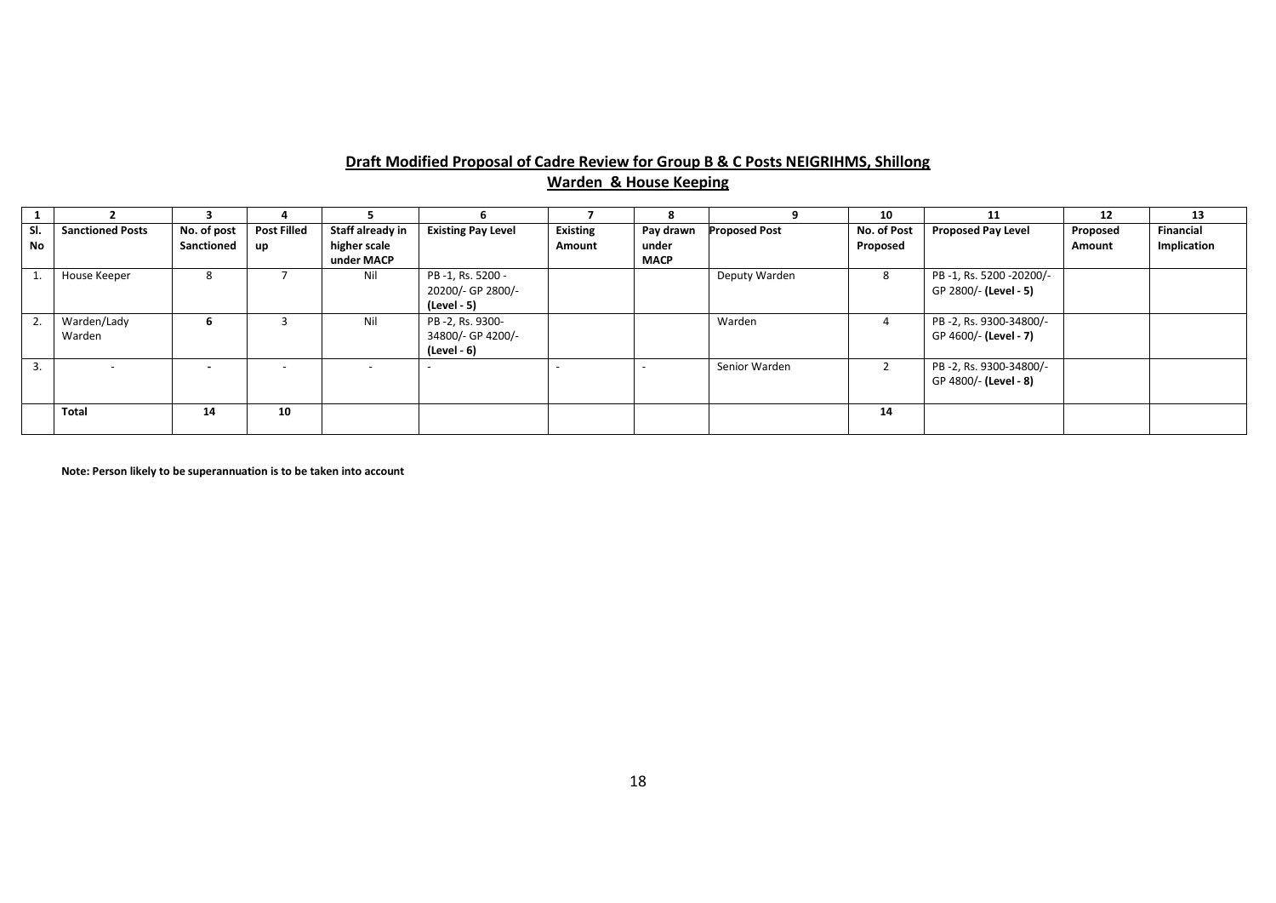#### **Draft Modified Proposal of Cadre Review for Group B & C Posts NEIGRIHMS, Shillong Warden & House Keeping**

|     |                         |                          |                    |                  |                           |                 |             |                      | 10          | 11                        | 12       | 13               |
|-----|-------------------------|--------------------------|--------------------|------------------|---------------------------|-----------------|-------------|----------------------|-------------|---------------------------|----------|------------------|
| SI. | <b>Sanctioned Posts</b> | No. of post              | <b>Post Filled</b> | Staff already in | <b>Existing Pay Level</b> | <b>Existing</b> | Pay drawn   | <b>Proposed Post</b> | No. of Post | <b>Proposed Pay Level</b> | Proposed | <b>Financial</b> |
| No  |                         | Sanctioned               | up                 | higher scale     |                           | Amount          | under       |                      | Proposed    |                           | Amount   | Implication      |
|     |                         |                          |                    | under MACP       |                           |                 | <b>MACP</b> |                      |             |                           |          |                  |
|     | House Keeper            | 8                        |                    | Nil              | PB-1, Rs. 5200 -          |                 |             | Deputy Warden        | 8           | PB-1, Rs. 5200-20200/-    |          |                  |
|     |                         |                          |                    |                  | 20200/- GP 2800/-         |                 |             |                      |             | GP 2800/- (Level - 5)     |          |                  |
|     |                         |                          |                    |                  | (Level - 5)               |                 |             |                      |             |                           |          |                  |
| 2.  | Warden/Lady             | 6                        |                    | Nil              | PB-2, Rs. 9300-           |                 |             | Warden               | 4           | PB-2, Rs. 9300-34800/-    |          |                  |
|     | Warden                  |                          |                    |                  | 34800/- GP 4200/-         |                 |             |                      |             | GP 4600/- (Level - 7)     |          |                  |
|     |                         |                          |                    |                  | (Level - 6)               |                 |             |                      |             |                           |          |                  |
| 3.  |                         | $\overline{\phantom{0}}$ |                    |                  |                           |                 |             | Senior Warden        |             | PB-2, Rs. 9300-34800/-    |          |                  |
|     |                         |                          |                    |                  |                           |                 |             |                      |             | GP 4800/- (Level - 8)     |          |                  |
|     |                         |                          |                    |                  |                           |                 |             |                      |             |                           |          |                  |
|     | Total                   | 14                       | 10                 |                  |                           |                 |             |                      | 14          |                           |          |                  |
|     |                         |                          |                    |                  |                           |                 |             |                      |             |                           |          |                  |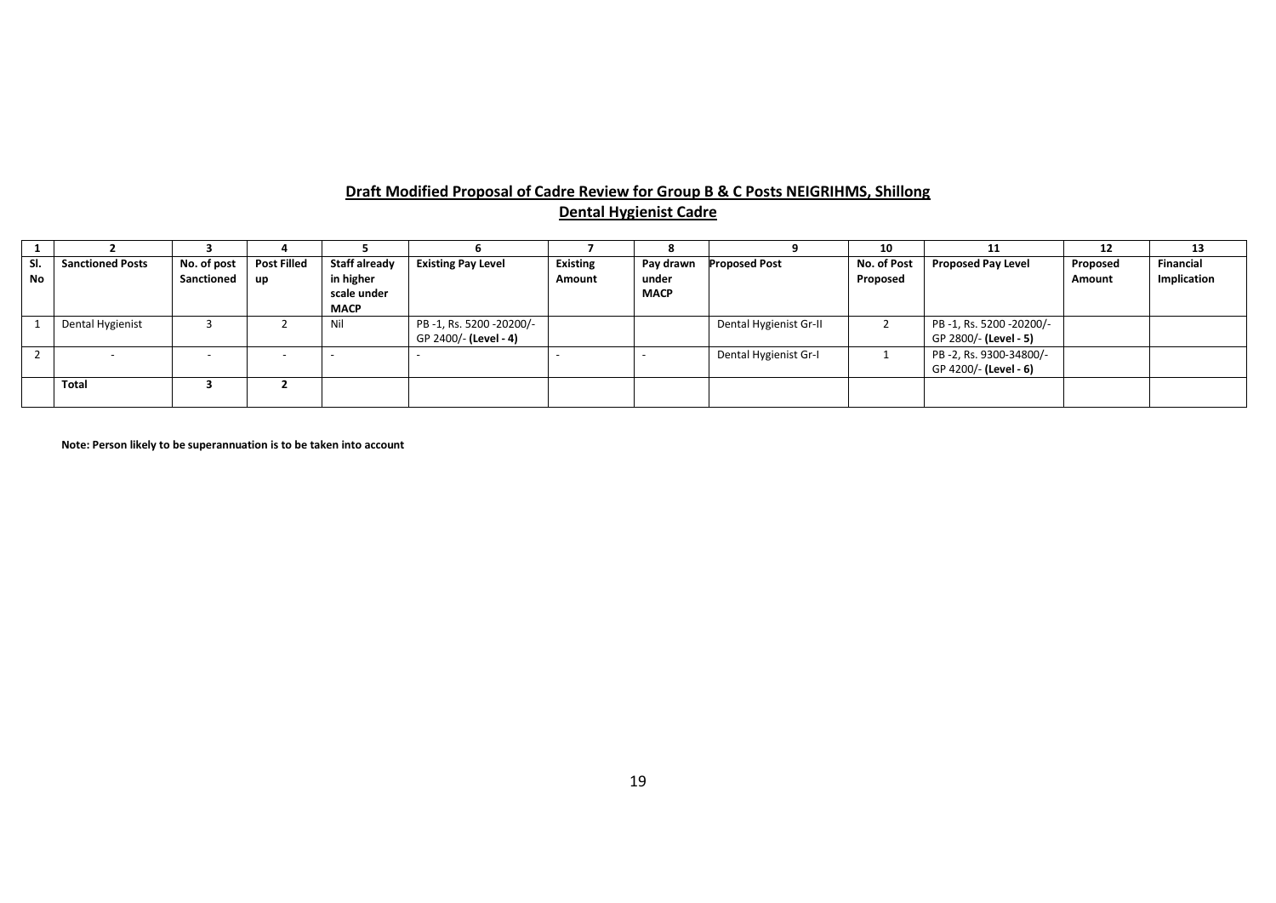#### **Draft Modified Proposal of Cadre Review for Group B & C Posts NEIGRIHMS, Shillong Dental Hygienist Cadre**

|                  |                         |                           |                          |                                                                 |                                                 |                           |                                   |                        | 10                      | 11                                              | 12                 | 13                              |
|------------------|-------------------------|---------------------------|--------------------------|-----------------------------------------------------------------|-------------------------------------------------|---------------------------|-----------------------------------|------------------------|-------------------------|-------------------------------------------------|--------------------|---------------------------------|
| SI.<br><b>No</b> | <b>Sanctioned Posts</b> | No. of post<br>Sanctioned | <b>Post Filled</b><br>up | <b>Staff already</b><br>in higher<br>scale under<br><b>MACP</b> | <b>Existing Pay Level</b>                       | <b>Existing</b><br>Amount | Pay drawn<br>under<br><b>MACP</b> | <b>Proposed Post</b>   | No. of Post<br>Proposed | <b>Proposed Pay Level</b>                       | Proposed<br>Amount | <b>Financial</b><br>Implication |
|                  | Dental Hygienist        |                           |                          | Nil                                                             | PB-1, Rs. 5200-20200/-<br>GP 2400/- (Level - 4) |                           |                                   | Dental Hygienist Gr-II |                         | PB-1, Rs. 5200-20200/-<br>GP 2800/- (Level - 5) |                    |                                 |
|                  | $\sim$                  | $\overline{\phantom{a}}$  | $\overline{\phantom{a}}$ |                                                                 |                                                 |                           |                                   | Dental Hygienist Gr-I  |                         | PB-2, Rs. 9300-34800/-<br>GP 4200/- (Level - 6) |                    |                                 |
|                  | <b>Total</b>            |                           |                          |                                                                 |                                                 |                           |                                   |                        |                         |                                                 |                    |                                 |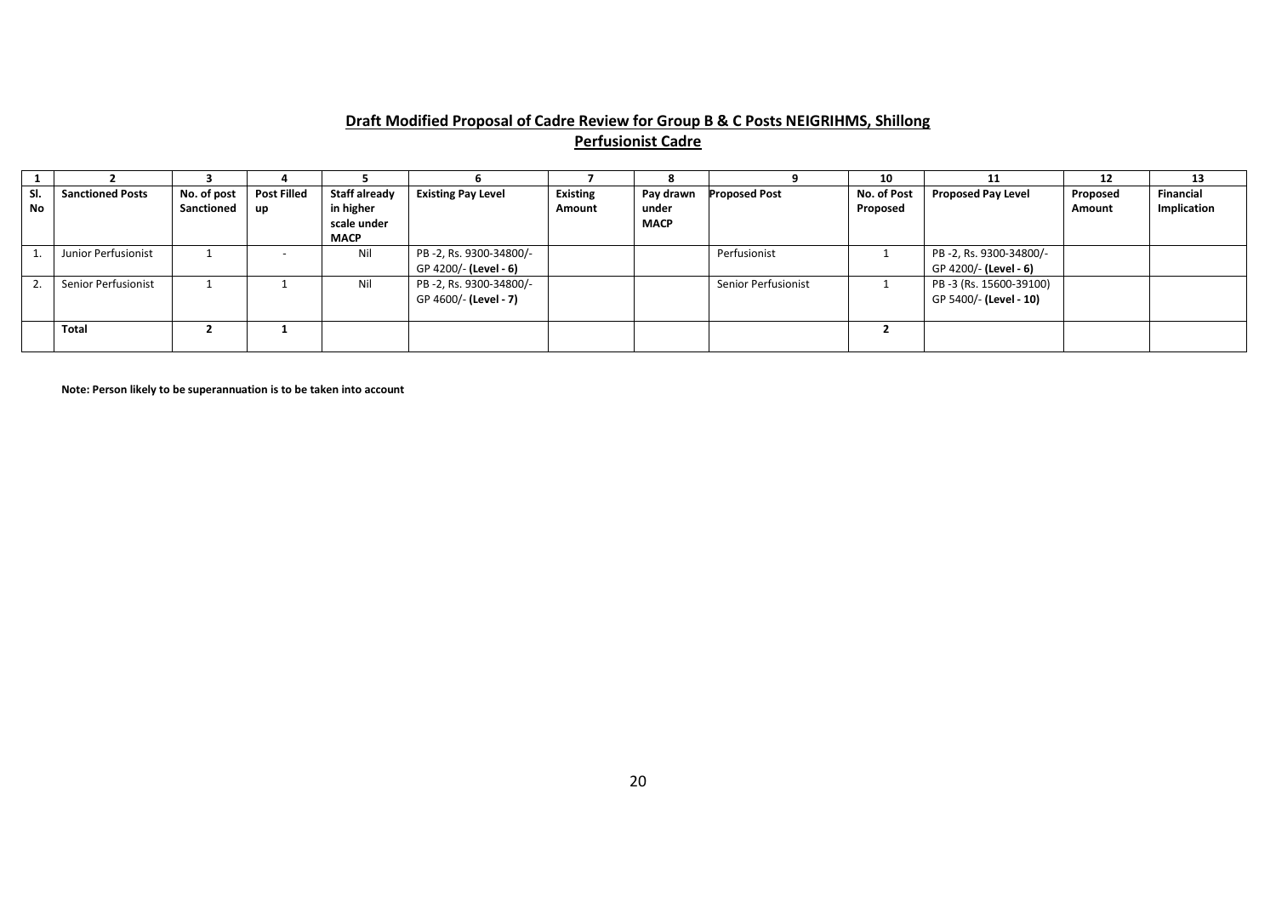# **Draft Modified Proposal of Cadre Review for Group B & C Posts NEIGRIHMS, Shillong Perfusionist Cadre**

|           |                         |             |                    |                      |                           |                 |             |                      | 10          | 11                        | 12       | 13               |
|-----------|-------------------------|-------------|--------------------|----------------------|---------------------------|-----------------|-------------|----------------------|-------------|---------------------------|----------|------------------|
| SI.       | <b>Sanctioned Posts</b> | No. of post | <b>Post Filled</b> | <b>Staff already</b> | <b>Existing Pay Level</b> | <b>Existing</b> | Pay drawn   | <b>Proposed Post</b> | No. of Post | <b>Proposed Pay Level</b> | Proposed | <b>Financial</b> |
| <b>No</b> |                         | Sanctioned  | up                 | in higher            |                           | Amount          | under       |                      | Proposed    |                           | Amount   | Implication      |
|           |                         |             |                    | scale under          |                           |                 | <b>MACP</b> |                      |             |                           |          |                  |
|           |                         |             |                    | <b>MACP</b>          |                           |                 |             |                      |             |                           |          |                  |
|           | Junior Perfusionist     |             |                    | Nil                  | PB-2, Rs. 9300-34800/-    |                 |             | Perfusionist         |             | PB-2, Rs. 9300-34800/-    |          |                  |
|           |                         |             |                    |                      | GP 4200/- (Level - 6)     |                 |             |                      |             | GP 4200/- (Level - 6)     |          |                  |
|           | Senior Perfusionist     |             |                    | Nil                  | PB-2, Rs. 9300-34800/-    |                 |             | Senior Perfusionist  |             | PB-3 (Rs. 15600-39100)    |          |                  |
|           |                         |             |                    |                      | GP 4600/- (Level - 7)     |                 |             |                      |             | GP 5400/- (Level - 10)    |          |                  |
|           |                         |             |                    |                      |                           |                 |             |                      |             |                           |          |                  |
|           | <b>Total</b>            |             |                    |                      |                           |                 |             |                      |             |                           |          |                  |
|           |                         |             |                    |                      |                           |                 |             |                      |             |                           |          |                  |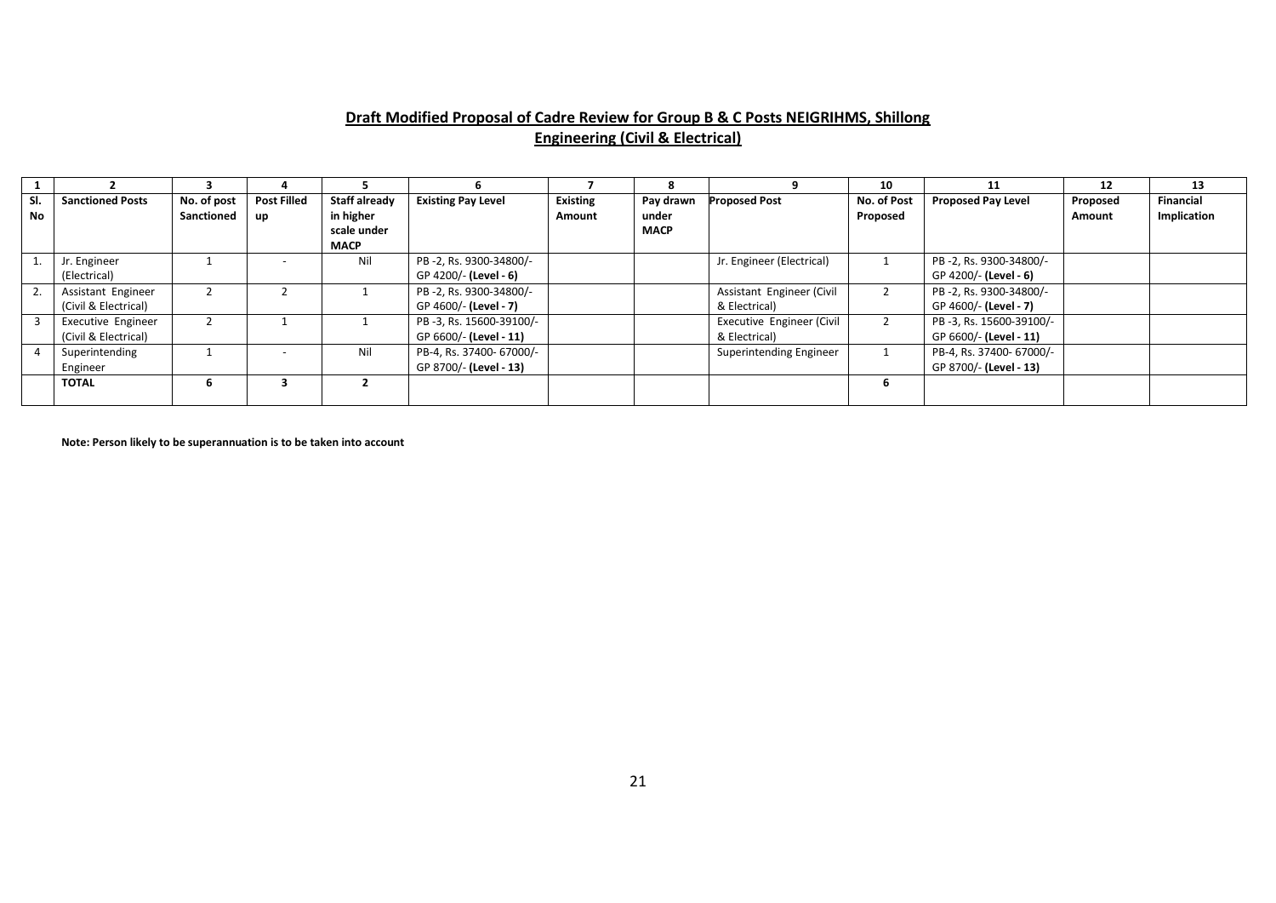# **Draft Modified Proposal of Cadre Review for Group B & C Posts NEIGRIHMS, Shillong Engineering (Civil & Electrical)**

|                  |                                            |                           |                                 |                                                          |                                                    |                           |                                   |                                            | 10                      |                                                    | 12                        | 13                              |
|------------------|--------------------------------------------|---------------------------|---------------------------------|----------------------------------------------------------|----------------------------------------------------|---------------------------|-----------------------------------|--------------------------------------------|-------------------------|----------------------------------------------------|---------------------------|---------------------------------|
| SI.<br><b>No</b> | <b>Sanctioned Posts</b>                    | No. of post<br>Sanctioned | <b>Post Filled</b><br><b>up</b> | Staff already<br>in higher<br>scale under<br><b>MACP</b> | <b>Existing Pay Level</b>                          | <b>Existing</b><br>Amount | Pay drawn<br>under<br><b>MACP</b> | <b>Proposed Post</b>                       | No. of Post<br>Proposed | <b>Proposed Pay Level</b>                          | Proposed<br><b>Amount</b> | <b>Financial</b><br>Implication |
|                  | Jr. Engineer<br>(Electrical)               |                           |                                 | Nil                                                      | PB-2, Rs. 9300-34800/-<br>GP 4200/- (Level - 6)    |                           |                                   | Jr. Engineer (Electrical)                  |                         | PB-2, Rs. 9300-34800/-<br>GP 4200/- (Level - 6)    |                           |                                 |
|                  | Assistant Engineer<br>(Civil & Electrical) |                           |                                 |                                                          | PB-2, Rs. 9300-34800/-<br>GP 4600/- (Level - 7)    |                           |                                   | Assistant Engineer (Civil<br>& Electrical) | $\overline{2}$          | PB-2, Rs. 9300-34800/-<br>GP 4600/- (Level - 7)    |                           |                                 |
|                  | Executive Engineer<br>(Civil & Electrical) |                           |                                 |                                                          | PB-3, Rs. 15600-39100/-<br>GP 6600/- (Level - 11)  |                           |                                   | Executive Engineer (Civil<br>& Electrical) |                         | PB-3, Rs. 15600-39100/-<br>GP 6600/- (Level - 11)  |                           |                                 |
|                  | Superintending<br>Engineer                 |                           |                                 | Nil                                                      | PB-4, Rs. 37400- 67000/-<br>GP 8700/- (Level - 13) |                           |                                   | Superintending Engineer                    |                         | PB-4, Rs. 37400- 67000/-<br>GP 8700/- (Level - 13) |                           |                                 |
|                  | <b>TOTAL</b>                               |                           |                                 |                                                          |                                                    |                           |                                   |                                            |                         |                                                    |                           |                                 |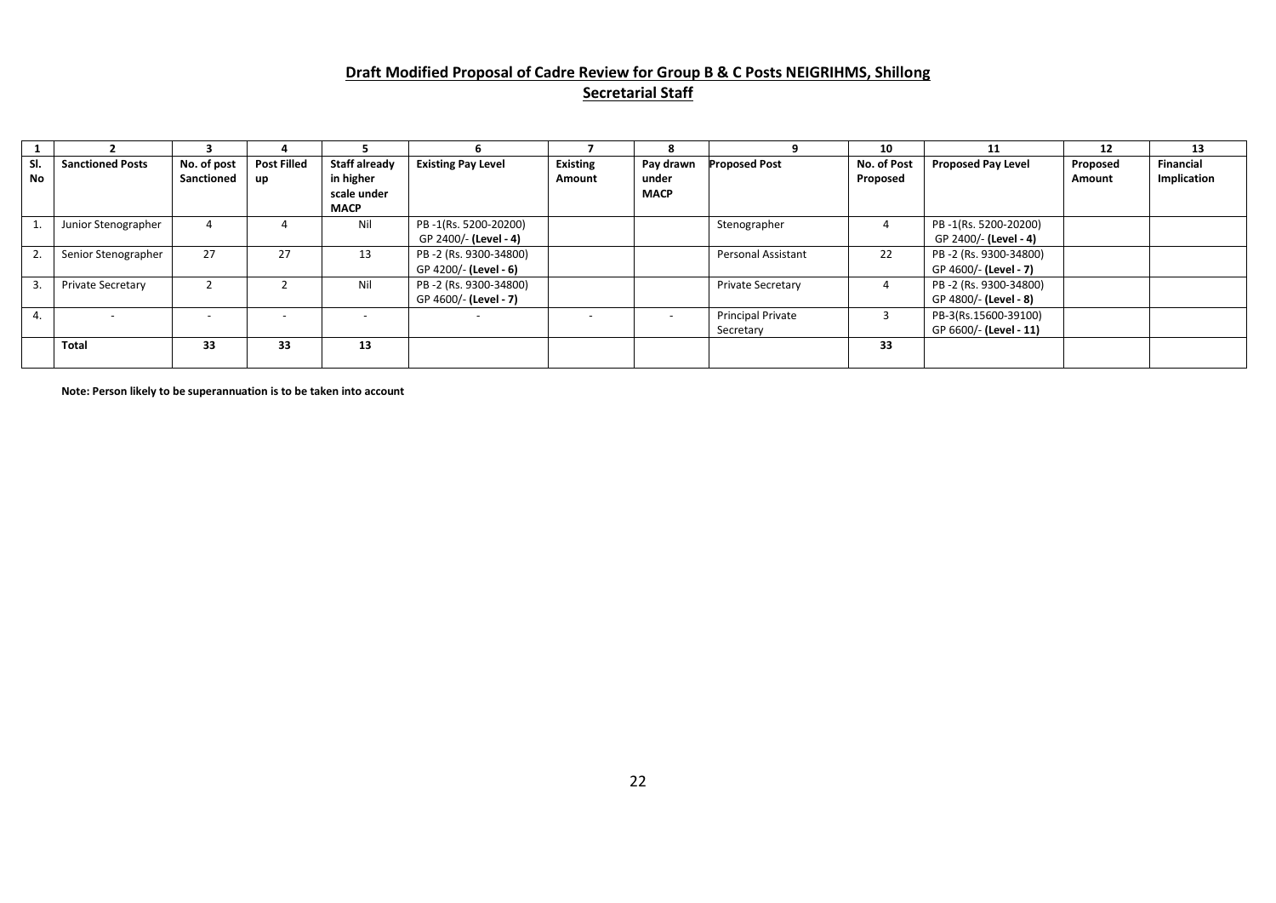# **Draft Modified Proposal of Cadre Review for Group B & C Posts NEIGRIHMS, Shillong Secretarial Staff**

|           |                          |                           |                                 |                                                                 |                                                |                           | 8                                 |                                       | 10                      | 11                                             | 12                 | 13                              |
|-----------|--------------------------|---------------------------|---------------------------------|-----------------------------------------------------------------|------------------------------------------------|---------------------------|-----------------------------------|---------------------------------------|-------------------------|------------------------------------------------|--------------------|---------------------------------|
| SI.<br>No | <b>Sanctioned Posts</b>  | No. of post<br>Sanctioned | <b>Post Filled</b><br><b>up</b> | <b>Staff already</b><br>in higher<br>scale under<br><b>MACP</b> | <b>Existing Pay Level</b>                      | <b>Existing</b><br>Amount | Pay drawn<br>under<br><b>MACP</b> | <b>Proposed Post</b>                  | No. of Post<br>Proposed | <b>Proposed Pay Level</b>                      | Proposed<br>Amount | <b>Financial</b><br>Implication |
|           | Junior Stenographer      | 4                         |                                 | Nil                                                             | PB-1(Rs. 5200-20200)<br>GP 2400/- (Level - 4)  |                           |                                   | Stenographer                          |                         | PB-1(Rs. 5200-20200)<br>GP 2400/- (Level - 4)  |                    |                                 |
|           | Senior Stenographer      | 27                        | 27                              | 13                                                              | PB-2 (Rs. 9300-34800)<br>GP 4200/- (Level - 6) |                           |                                   | <b>Personal Assistant</b>             | 22                      | PB-2 (Rs. 9300-34800)<br>GP 4600/- (Level - 7) |                    |                                 |
|           | <b>Private Secretary</b> |                           |                                 | Nil                                                             | PB-2 (Rs. 9300-34800)<br>GP 4600/- (Level - 7) |                           |                                   | Private Secretary                     | 4                       | PB-2 (Rs. 9300-34800)<br>GP 4800/- (Level - 8) |                    |                                 |
| 4.        |                          | $\overline{\phantom{0}}$  |                                 |                                                                 | $\overline{\phantom{0}}$                       |                           | $\overline{a}$                    | <b>Principal Private</b><br>Secretary |                         | PB-3(Rs.15600-39100)<br>GP 6600/- (Level - 11) |                    |                                 |
|           | <b>Total</b>             | 33                        | 33                              | 13                                                              |                                                |                           |                                   |                                       | 33                      |                                                |                    |                                 |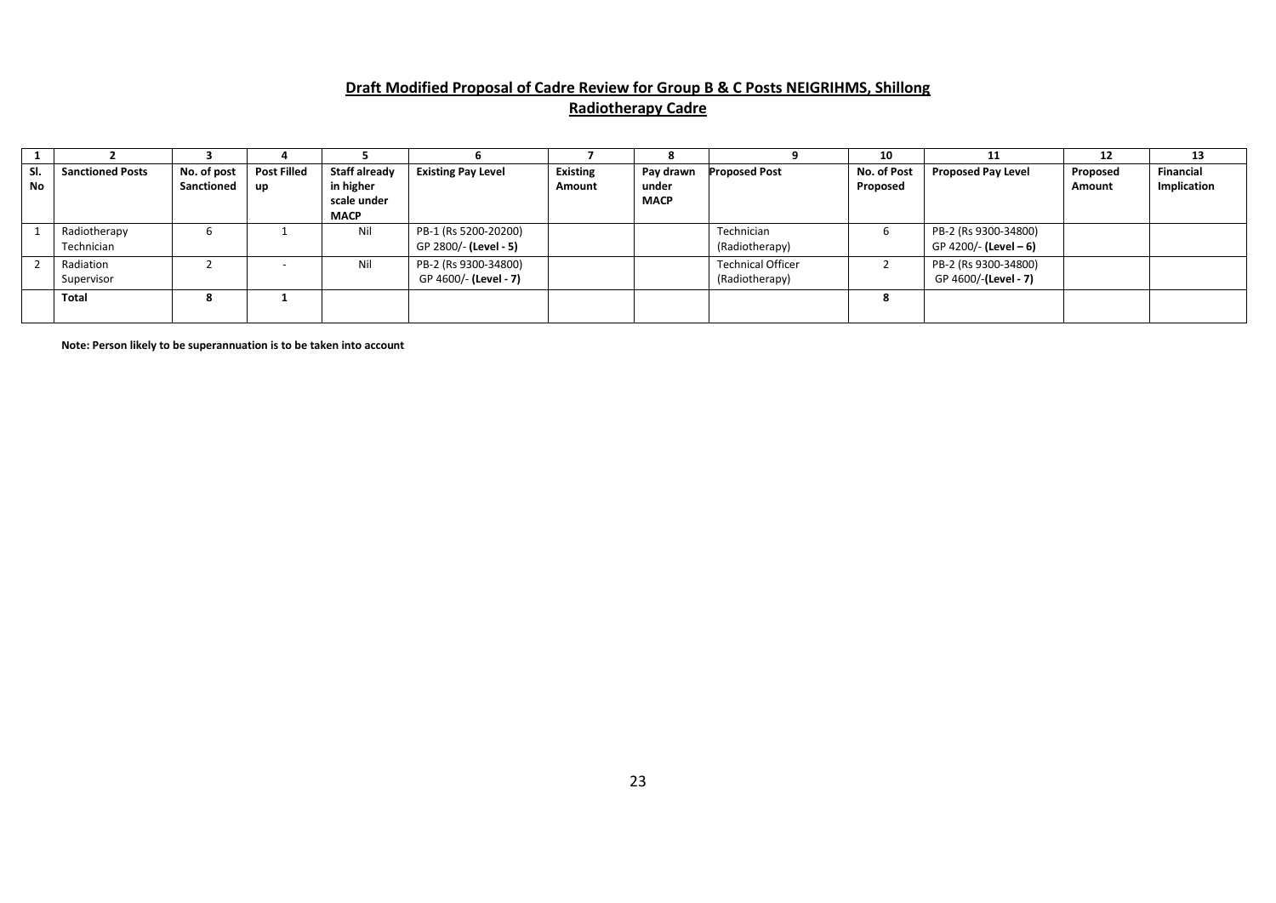# **Draft Modified Proposal of Cadre Review for Group B & C Posts NEIGRIHMS, Shillong Radiotherapy Cadre**

|     |                         |             |                    |               |                           |                 | ō           |                          | 10          | 11                        | 12       | 13               |
|-----|-------------------------|-------------|--------------------|---------------|---------------------------|-----------------|-------------|--------------------------|-------------|---------------------------|----------|------------------|
| SI. | <b>Sanctioned Posts</b> | No. of post | <b>Post Filled</b> | Staff already | <b>Existing Pay Level</b> | <b>Existing</b> | Pay drawn   | <b>Proposed Post</b>     | No. of Post | <b>Proposed Pay Level</b> | Proposed | <b>Financial</b> |
| No  |                         | Sanctioned  | up                 | in higher     |                           | Amount          | under       |                          | Proposed    |                           | Amount   | Implication      |
|     |                         |             |                    | scale under   |                           |                 | <b>MACP</b> |                          |             |                           |          |                  |
|     |                         |             |                    | <b>MACP</b>   |                           |                 |             |                          |             |                           |          |                  |
|     | Radiotherapy            | O           |                    | Nil           | PB-1 (Rs 5200-20200)      |                 |             | Technician               | b           | PB-2 (Rs 9300-34800)      |          |                  |
|     | Technician              |             |                    |               | GP 2800/- (Level - 5)     |                 |             | (Radiotherapy)           |             | GP 4200/- (Level - 6)     |          |                  |
|     | Radiation               |             |                    | Nil           | PB-2 (Rs 9300-34800)      |                 |             | <b>Technical Officer</b> |             | PB-2 (Rs 9300-34800)      |          |                  |
|     | Supervisor              |             |                    |               | GP 4600/- (Level - 7)     |                 |             | (Radiotherapy)           |             | GP 4600/-(Level - 7)      |          |                  |
|     | <b>Total</b>            | 8           |                    |               |                           |                 |             |                          |             |                           |          |                  |
|     |                         |             |                    |               |                           |                 |             |                          |             |                           |          |                  |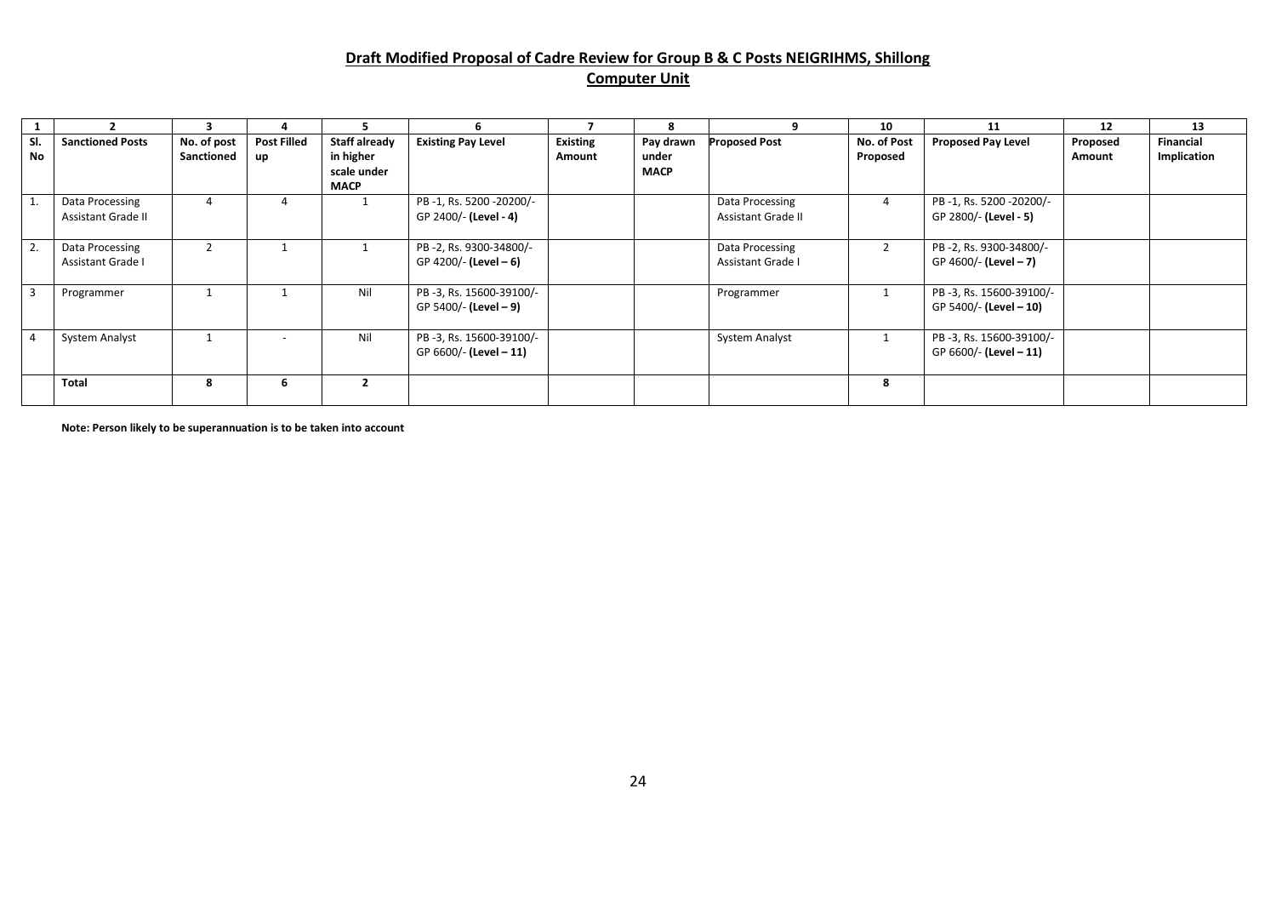# **Draft Modified Proposal of Cadre Review for Group B & C Posts NEIGRIHMS, Shillong**

#### **Computer Unit**

|           |                                              |                           |                          |                                                                 |                                                   |                           | 8                                 | q                                     | 10                      | 11                                                | 12                 | 13                              |
|-----------|----------------------------------------------|---------------------------|--------------------------|-----------------------------------------------------------------|---------------------------------------------------|---------------------------|-----------------------------------|---------------------------------------|-------------------------|---------------------------------------------------|--------------------|---------------------------------|
| SI.<br>No | <b>Sanctioned Posts</b>                      | No. of post<br>Sanctioned | <b>Post Filled</b><br>up | <b>Staff already</b><br>in higher<br>scale under<br><b>MACP</b> | <b>Existing Pay Level</b>                         | <b>Existing</b><br>Amount | Pay drawn<br>under<br><b>MACP</b> | <b>Proposed Post</b>                  | No. of Post<br>Proposed | <b>Proposed Pay Level</b>                         | Proposed<br>Amount | <b>Financial</b><br>Implication |
|           | Data Processing<br><b>Assistant Grade II</b> | 4                         | 4                        |                                                                 | PB-1, Rs. 5200-20200/-<br>GP 2400/- (Level - 4)   |                           |                                   | Data Processing<br>Assistant Grade II | 4                       | PB-1, Rs. 5200-20200/-<br>GP 2800/- (Level - 5)   |                    |                                 |
| Z.        | Data Processing<br>Assistant Grade I         |                           |                          |                                                                 | PB-2, Rs. 9300-34800/-<br>GP 4200/- (Level - 6)   |                           |                                   | Data Processing<br>Assistant Grade I  | $\overline{2}$          | PB-2, Rs. 9300-34800/-<br>GP 4600/- (Level - 7)   |                    |                                 |
|           | Programmer                                   |                           |                          | Nil                                                             | PB-3, Rs. 15600-39100/-<br>GP 5400/- (Level - 9)  |                           |                                   | Programmer                            |                         | PB-3, Rs. 15600-39100/-<br>GP 5400/- (Level - 10) |                    |                                 |
|           | <b>System Analyst</b>                        |                           |                          | Nil                                                             | PB-3, Rs. 15600-39100/-<br>GP 6600/- (Level - 11) |                           |                                   | <b>System Analyst</b>                 |                         | PB-3, Rs. 15600-39100/-<br>GP 6600/- (Level - 11) |                    |                                 |
|           | Total                                        | 8                         | b                        |                                                                 |                                                   |                           |                                   |                                       | 8                       |                                                   |                    |                                 |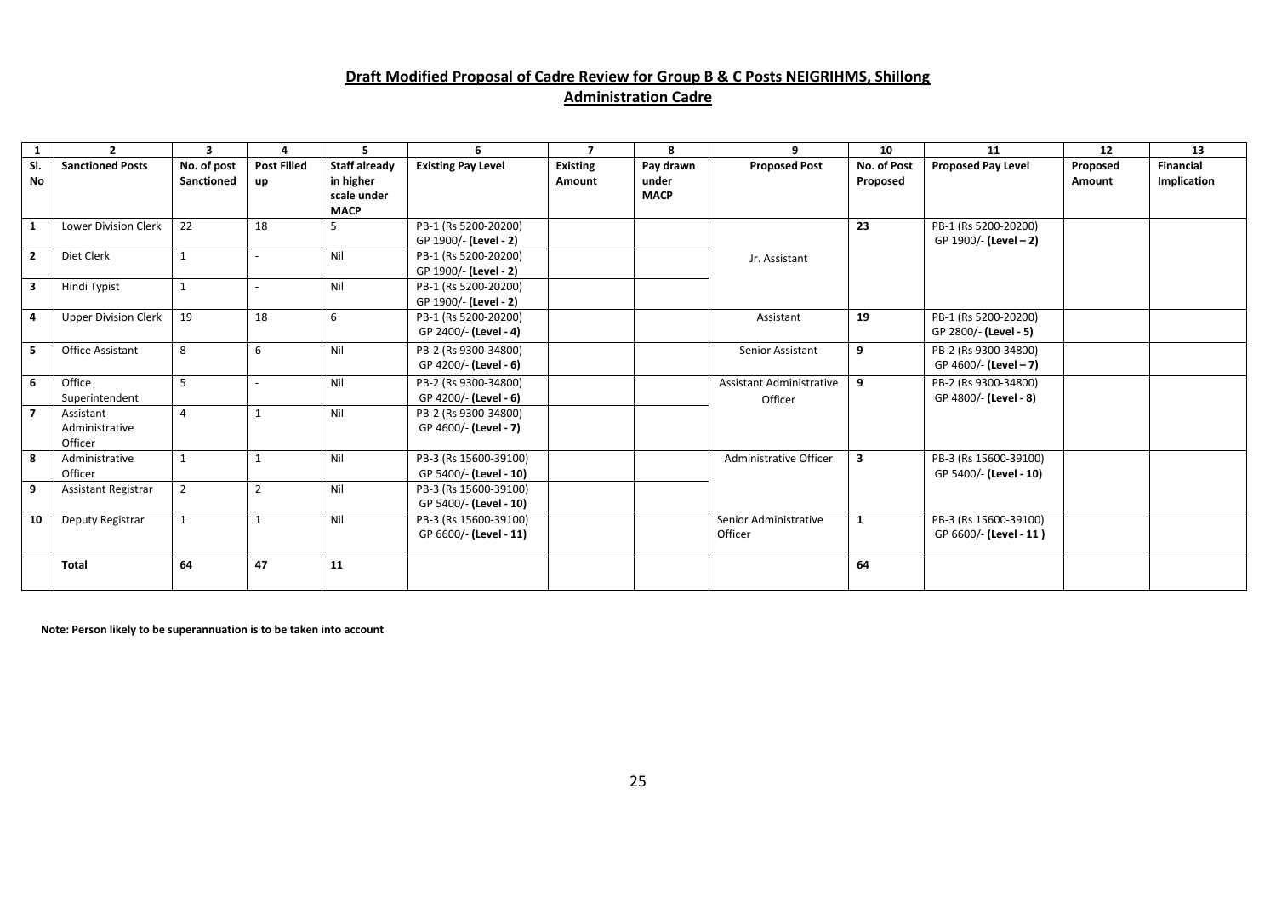#### **Draft Modified Proposal of Cadre Review for Group B & C Posts NEIGRIHMS, Shillong Administration Cadre**

|              | $\overline{\phantom{a}}$               | 3                         | 4                 | 5.                                                       | 6                                               | $\overline{\phantom{a}}$  | 8                                 | q                                          | 10                      | 11                                              | 12                 | 13                              |
|--------------|----------------------------------------|---------------------------|-------------------|----------------------------------------------------------|-------------------------------------------------|---------------------------|-----------------------------------|--------------------------------------------|-------------------------|-------------------------------------------------|--------------------|---------------------------------|
| SI.<br>No    | <b>Sanctioned Posts</b>                | No. of post<br>Sanctioned | Post Filled<br>up | Staff already<br>in higher<br>scale under<br><b>MACP</b> | <b>Existing Pay Level</b>                       | <b>Existing</b><br>Amount | Pay drawn<br>under<br><b>MACP</b> | <b>Proposed Post</b>                       | No. of Post<br>Proposed | <b>Proposed Pay Level</b>                       | Proposed<br>Amount | <b>Financial</b><br>Implication |
| 1            | <b>Lower Division Clerk</b>            | 22                        | 18                | 5                                                        | PB-1 (Rs 5200-20200)<br>GP 1900/- (Level - 2)   |                           |                                   |                                            | 23                      | PB-1 (Rs 5200-20200)<br>GP 1900/- (Level - 2)   |                    |                                 |
| $\mathbf{2}$ | Diet Clerk                             |                           |                   | Nil                                                      | PB-1 (Rs 5200-20200)<br>GP 1900/- (Level - 2)   |                           |                                   | Jr. Assistant                              |                         |                                                 |                    |                                 |
| 3            | Hindi Typist                           |                           | $\sim$            | Nil                                                      | PB-1 (Rs 5200-20200)<br>GP 1900/- (Level - 2)   |                           |                                   |                                            |                         |                                                 |                    |                                 |
| 4            | <b>Upper Division Clerk</b>            | 19                        | 18                | 6                                                        | PB-1 (Rs 5200-20200)<br>GP 2400/- (Level - 4)   |                           |                                   | Assistant                                  | 19                      | PB-1 (Rs 5200-20200)<br>GP 2800/- (Level - 5)   |                    |                                 |
| 5.           | <b>Office Assistant</b>                | 8                         | 6                 | Nil                                                      | PB-2 (Rs 9300-34800)<br>GP 4200/- (Level - 6)   |                           |                                   | Senior Assistant                           | 9                       | PB-2 (Rs 9300-34800)<br>GP 4600/- (Level - 7)   |                    |                                 |
| 6            | Office<br>Superintendent               | 5                         |                   | Nil                                                      | PB-2 (Rs 9300-34800)<br>GP 4200/- (Level - 6)   |                           |                                   | <b>Assistant Administrative</b><br>Officer | 9                       | PB-2 (Rs 9300-34800)<br>GP 4800/- (Level - 8)   |                    |                                 |
|              | Assistant<br>Administrative<br>Officer | 4                         |                   | Nil                                                      | PB-2 (Rs 9300-34800)<br>GP 4600/- (Level - 7)   |                           |                                   |                                            |                         |                                                 |                    |                                 |
| 8            | Administrative<br>Officer              |                           |                   | Nil                                                      | PB-3 (Rs 15600-39100)<br>GP 5400/- (Level - 10) |                           |                                   | Administrative Officer                     | 3                       | PB-3 (Rs 15600-39100)<br>GP 5400/- (Level - 10) |                    |                                 |
| 9            | Assistant Registrar                    | $\overline{2}$            | $\overline{2}$    | Nil                                                      | PB-3 (Rs 15600-39100)<br>GP 5400/- (Level - 10) |                           |                                   |                                            |                         |                                                 |                    |                                 |
| 10           | Deputy Registrar                       |                           |                   | Nil                                                      | PB-3 (Rs 15600-39100)<br>GP 6600/- (Level - 11) |                           |                                   | Senior Administrative<br>Officer           | $\mathbf{1}$            | PB-3 (Rs 15600-39100)<br>GP 6600/- (Level - 11) |                    |                                 |
|              | Total                                  | 64                        | 47                | 11                                                       |                                                 |                           |                                   |                                            | 64                      |                                                 |                    |                                 |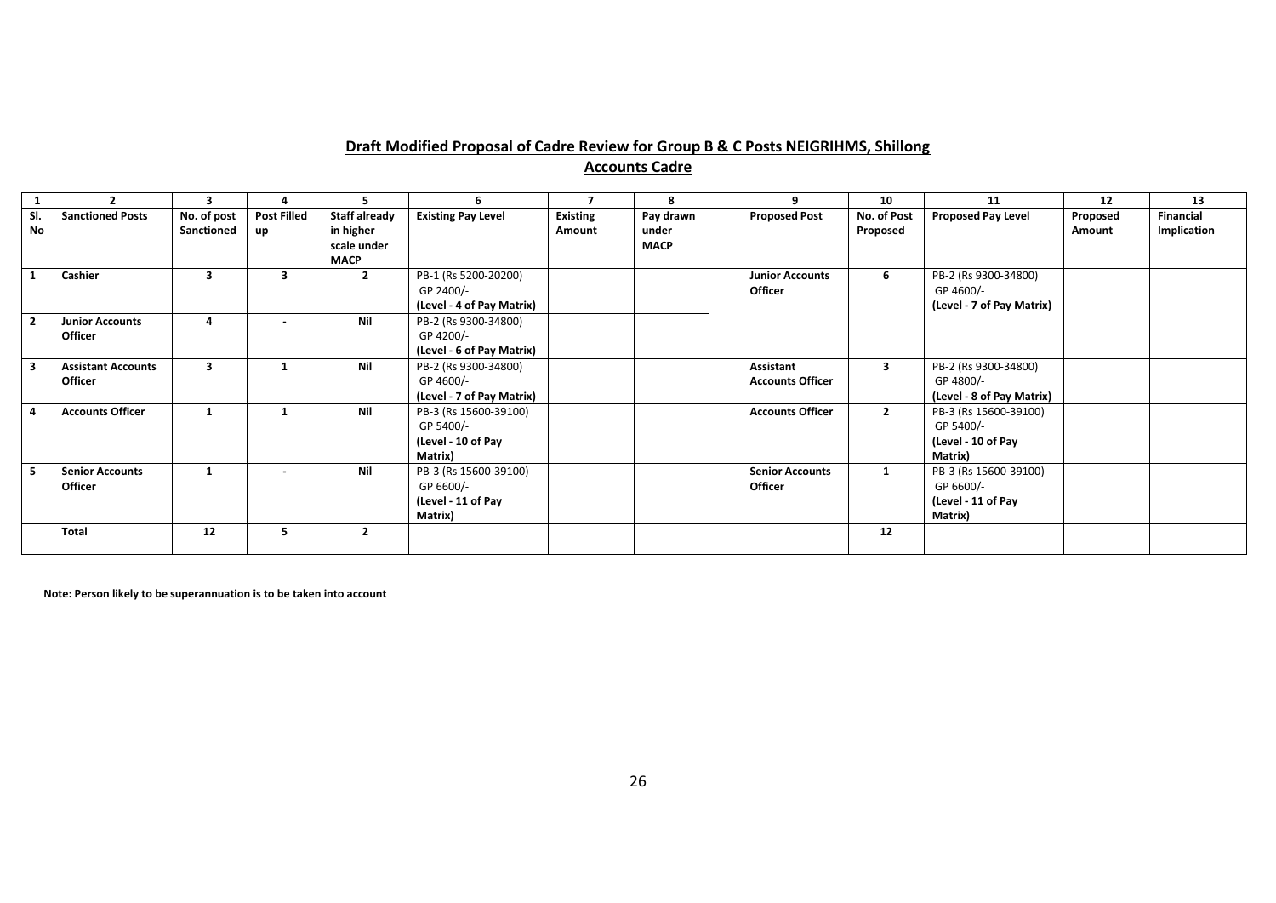#### **Draft Modified Proposal of Cadre Review for Group B & C Posts NEIGRIHMS, Shillong Accounts Cadre**

|                         |                           | 3           |                          | 5                        | 6                         |                 | 8           | 9                       | 10           | 11                        | 12       | 13          |
|-------------------------|---------------------------|-------------|--------------------------|--------------------------|---------------------------|-----------------|-------------|-------------------------|--------------|---------------------------|----------|-------------|
| SI.                     | <b>Sanctioned Posts</b>   | No. of post | <b>Post Filled</b>       | <b>Staff already</b>     | <b>Existing Pay Level</b> | <b>Existing</b> | Pay drawn   | <b>Proposed Post</b>    | No. of Post  | <b>Proposed Pay Level</b> | Proposed | Financial   |
| <b>No</b>               |                           | Sanctioned  | up                       | in higher                |                           | Amount          | under       |                         | Proposed     |                           | Amount   | Implication |
|                         |                           |             |                          | scale under              |                           |                 | <b>MACP</b> |                         |              |                           |          |             |
|                         |                           |             |                          | <b>MACP</b>              |                           |                 |             |                         |              |                           |          |             |
| $\mathbf{1}$            | Cashier                   | 3           | 3                        | $\overline{2}$           | PB-1 (Rs 5200-20200)      |                 |             | <b>Junior Accounts</b>  | 6            | PB-2 (Rs 9300-34800)      |          |             |
|                         |                           |             |                          |                          | GP 2400/-                 |                 |             | <b>Officer</b>          |              | GP 4600/-                 |          |             |
|                         |                           |             |                          |                          | (Level - 4 of Pay Matrix) |                 |             |                         |              | (Level - 7 of Pay Matrix) |          |             |
| $\overline{\mathbf{2}}$ | <b>Junior Accounts</b>    | 4           |                          | Nil                      | PB-2 (Rs 9300-34800)      |                 |             |                         |              |                           |          |             |
|                         | <b>Officer</b>            |             |                          |                          | GP 4200/-                 |                 |             |                         |              |                           |          |             |
|                         |                           |             |                          |                          | (Level - 6 of Pay Matrix) |                 |             |                         |              |                           |          |             |
| $\overline{\mathbf{3}}$ | <b>Assistant Accounts</b> | 3           |                          | Nil                      | PB-2 (Rs 9300-34800)      |                 |             | <b>Assistant</b>        | 3            | PB-2 (Rs 9300-34800)      |          |             |
|                         | <b>Officer</b>            |             |                          |                          | GP 4600/-                 |                 |             | <b>Accounts Officer</b> |              | GP 4800/-                 |          |             |
|                         |                           |             |                          |                          | (Level - 7 of Pay Matrix) |                 |             |                         |              | (Level - 8 of Pay Matrix) |          |             |
| $\overline{4}$          | <b>Accounts Officer</b>   | 1           | 1                        | Nil                      | PB-3 (Rs 15600-39100)     |                 |             | <b>Accounts Officer</b> | $\mathbf{2}$ | PB-3 (Rs 15600-39100)     |          |             |
|                         |                           |             |                          |                          | GP 5400/-                 |                 |             |                         |              | GP 5400/-                 |          |             |
|                         |                           |             |                          |                          | (Level - 10 of Pay        |                 |             |                         |              | (Level - 10 of Pay        |          |             |
|                         |                           |             |                          |                          | Matrix)                   |                 |             |                         |              | Matrix)                   |          |             |
| 5                       | <b>Senior Accounts</b>    |             | $\overline{\phantom{a}}$ | Nil                      | PB-3 (Rs 15600-39100)     |                 |             | <b>Senior Accounts</b>  | $\mathbf{1}$ | PB-3 (Rs 15600-39100)     |          |             |
|                         | <b>Officer</b>            |             |                          |                          | GP 6600/-                 |                 |             | <b>Officer</b>          |              | GP 6600/-                 |          |             |
|                         |                           |             |                          |                          | (Level - 11 of Pay        |                 |             |                         |              | (Level - 11 of Pay        |          |             |
|                         |                           |             |                          |                          | Matrix)                   |                 |             |                         |              | Matrix)                   |          |             |
|                         | Total                     | 12          | 5                        | $\overline{\phantom{a}}$ |                           |                 |             |                         | 12           |                           |          |             |
|                         |                           |             |                          |                          |                           |                 |             |                         |              |                           |          |             |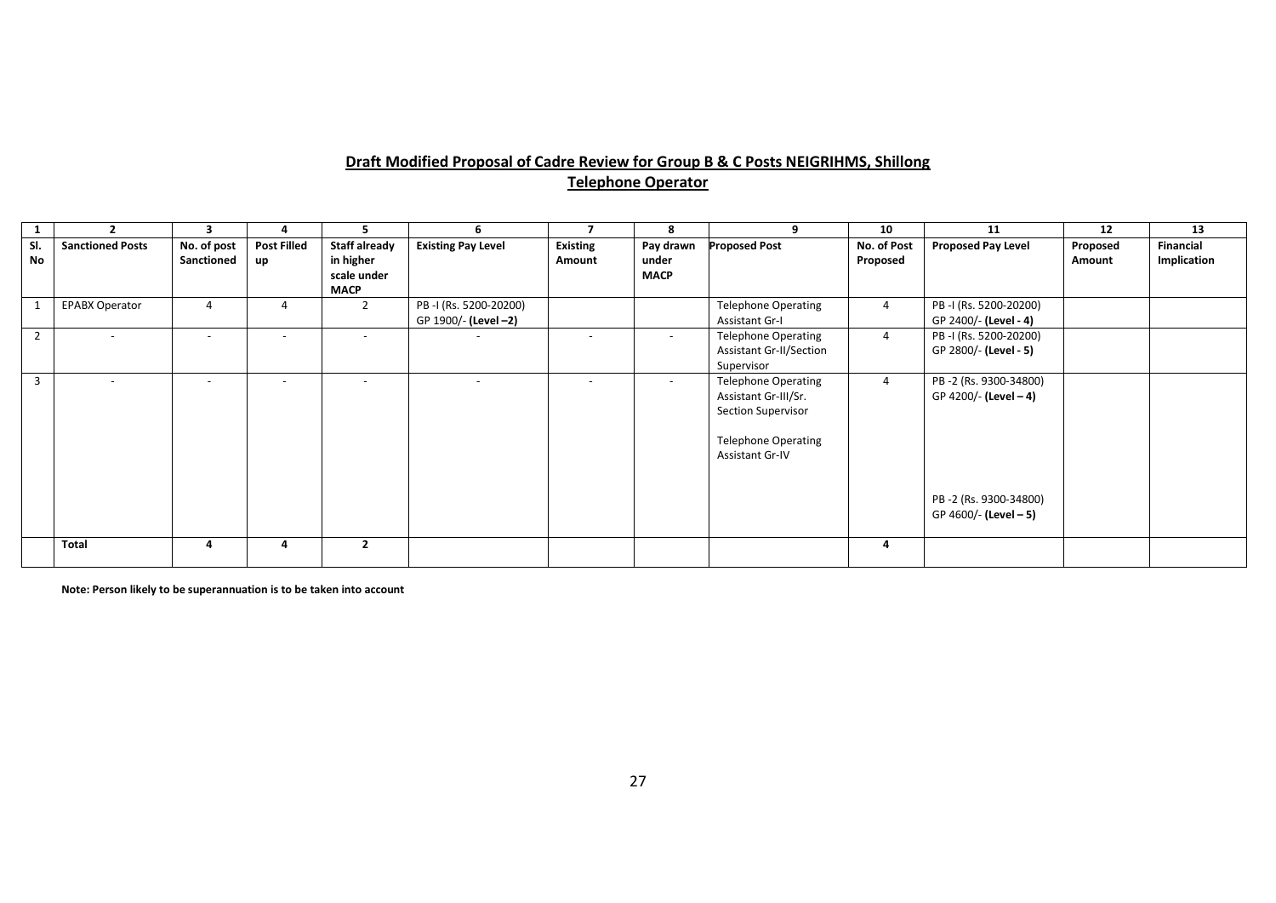# **Draft Modified Proposal of Cadre Review for Group B & C Posts NEIGRIHMS, Shillong Telephone Operator**

|                  |                         | 3                         |                          | 5                                                               |                                               |                           | -8                                | q                                                                                                                                       | 10                      | 11                                                                                               | 12                 | 13                              |
|------------------|-------------------------|---------------------------|--------------------------|-----------------------------------------------------------------|-----------------------------------------------|---------------------------|-----------------------------------|-----------------------------------------------------------------------------------------------------------------------------------------|-------------------------|--------------------------------------------------------------------------------------------------|--------------------|---------------------------------|
| SI.<br><b>No</b> | <b>Sanctioned Posts</b> | No. of post<br>Sanctioned | <b>Post Filled</b><br>up | <b>Staff already</b><br>in higher<br>scale under<br><b>MACP</b> | <b>Existing Pay Level</b>                     | <b>Existing</b><br>Amount | Pay drawn<br>under<br><b>MACP</b> | <b>Proposed Post</b>                                                                                                                    | No. of Post<br>Proposed | <b>Proposed Pay Level</b>                                                                        | Proposed<br>Amount | <b>Financial</b><br>Implication |
|                  | <b>EPABX Operator</b>   |                           |                          |                                                                 | PB-I (Rs. 5200-20200)<br>GP 1900/- (Level -2) |                           |                                   | <b>Telephone Operating</b><br><b>Assistant Gr-I</b>                                                                                     | 4                       | PB-I (Rs. 5200-20200)<br>GP 2400/- (Level - 4)                                                   |                    |                                 |
| $\overline{2}$   |                         | $\overline{\phantom{a}}$  |                          |                                                                 |                                               |                           |                                   | <b>Telephone Operating</b><br><b>Assistant Gr-II/Section</b><br>Supervisor                                                              | $\overline{4}$          | PB-I (Rs. 5200-20200)<br>GP 2800/- (Level - 5)                                                   |                    |                                 |
| 3                |                         | $\overline{\phantom{a}}$  |                          |                                                                 |                                               |                           |                                   | <b>Telephone Operating</b><br>Assistant Gr-III/Sr.<br><b>Section Supervisor</b><br><b>Telephone Operating</b><br><b>Assistant Gr-IV</b> | $\overline{4}$          | PB-2 (Rs. 9300-34800)<br>GP 4200/- (Level - 4)<br>PB-2 (Rs. 9300-34800)<br>GP 4600/- (Level - 5) |                    |                                 |
|                  | <b>Total</b>            | 4                         | 4                        | $\overline{2}$                                                  |                                               |                           |                                   |                                                                                                                                         | 4                       |                                                                                                  |                    |                                 |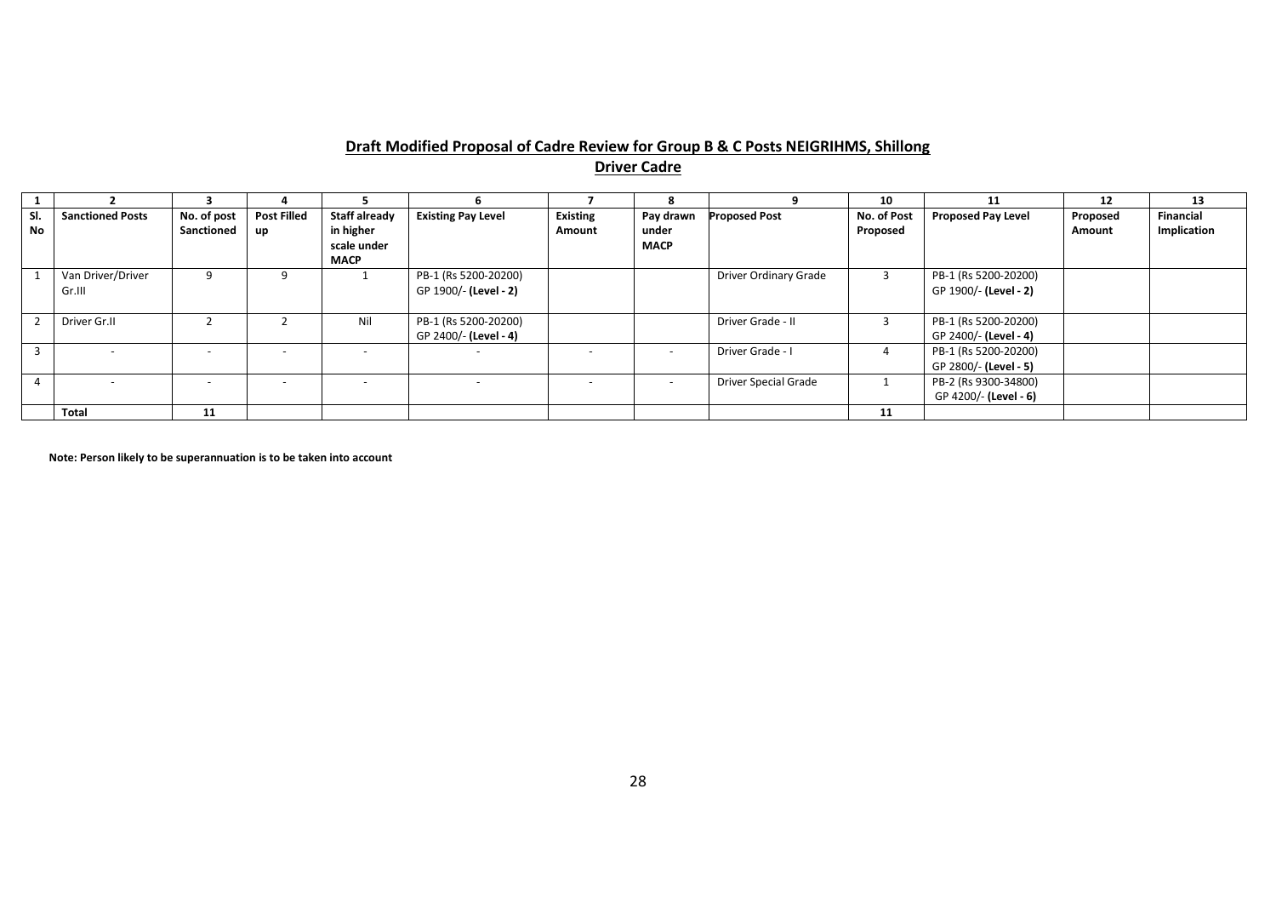#### **Draft Modified Proposal of Cadre Review for Group B & C Posts NEIGRIHMS, Shillong Driver Cadre**

|                  |                             |                           |                          |                                                                 |                                               |                           |                                   |                             | 10                      | 11                                            | 12                 | 13                              |
|------------------|-----------------------------|---------------------------|--------------------------|-----------------------------------------------------------------|-----------------------------------------------|---------------------------|-----------------------------------|-----------------------------|-------------------------|-----------------------------------------------|--------------------|---------------------------------|
| SI.<br><b>No</b> | <b>Sanctioned Posts</b>     | No. of post<br>Sanctioned | <b>Post Filled</b><br>up | <b>Staff already</b><br>in higher<br>scale under<br><b>MACP</b> | <b>Existing Pay Level</b>                     | <b>Existing</b><br>Amount | Pay drawn<br>under<br><b>MACP</b> | <b>Proposed Post</b>        | No. of Post<br>Proposed | <b>Proposed Pay Level</b>                     | Proposed<br>Amount | <b>Financial</b><br>Implication |
|                  | Van Driver/Driver<br>Gr.III | 9                         |                          |                                                                 | PB-1 (Rs 5200-20200)<br>GP 1900/- (Level - 2) |                           |                                   | Driver Ordinary Grade       |                         | PB-1 (Rs 5200-20200)<br>GP 1900/- (Level - 2) |                    |                                 |
|                  | Driver Gr.II                |                           |                          | Nil                                                             | PB-1 (Rs 5200-20200)<br>GP 2400/- (Level - 4) |                           |                                   | Driver Grade - II           |                         | PB-1 (Rs 5200-20200)<br>GP 2400/- (Level - 4) |                    |                                 |
|                  |                             | $\overline{\phantom{a}}$  |                          |                                                                 |                                               |                           | $\overline{a}$                    | Driver Grade - I            |                         | PB-1 (Rs 5200-20200)<br>GP 2800/- (Level - 5) |                    |                                 |
|                  |                             | $\overline{\phantom{a}}$  |                          |                                                                 |                                               |                           | $\overline{\phantom{0}}$          | <b>Driver Special Grade</b> |                         | PB-2 (Rs 9300-34800)<br>GP 4200/- (Level - 6) |                    |                                 |
|                  | <b>Total</b>                | 11                        |                          |                                                                 |                                               |                           |                                   |                             | 11                      |                                               |                    |                                 |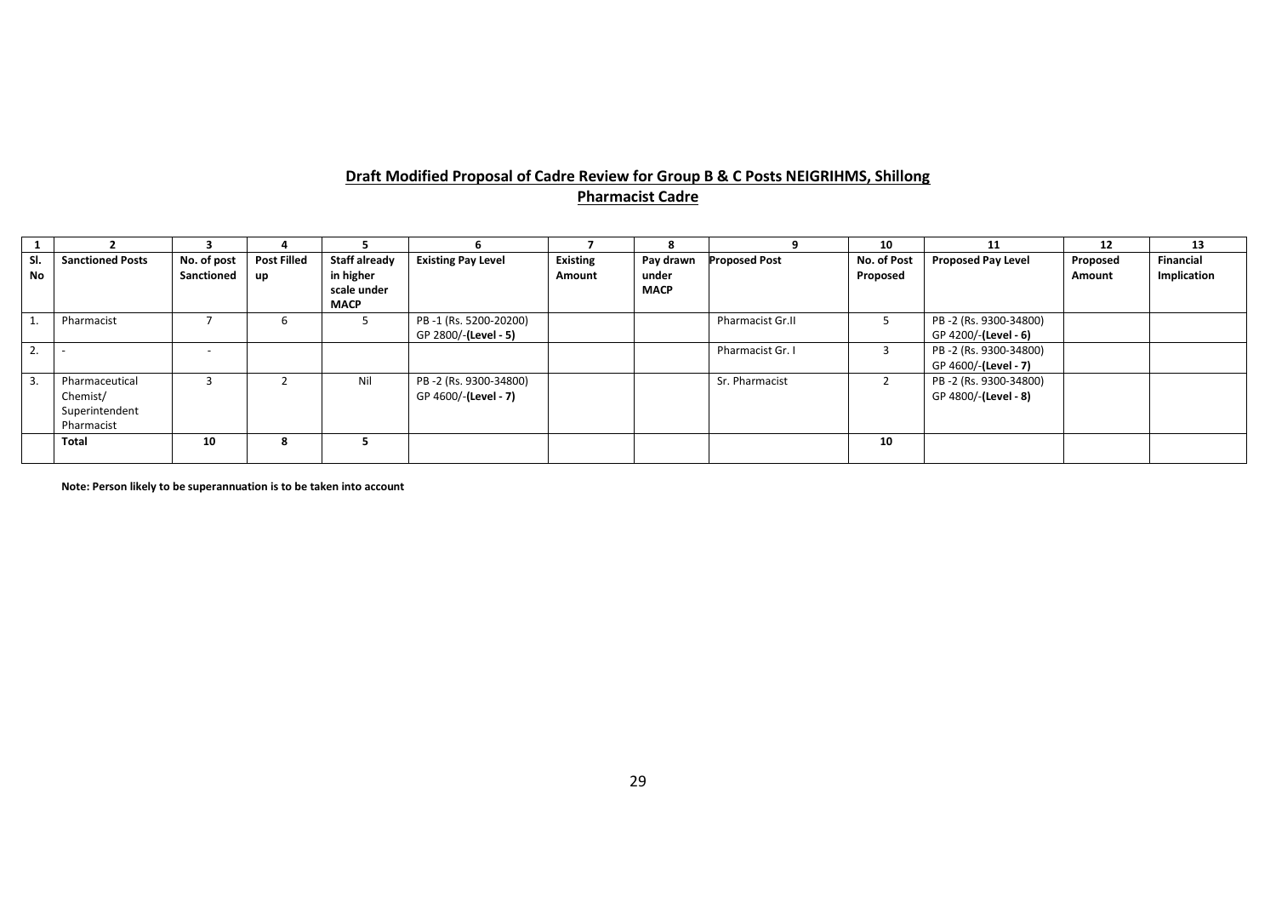# **Draft Modified Proposal of Cadre Review for Group B & C Posts NEIGRIHMS, Shillong Pharmacist Cadre**

|           |                                                            |                           |                          |                                                          |                                               |                           | 8                                 |                         | 10                      | 11                                            | 12                 | 13                              |
|-----------|------------------------------------------------------------|---------------------------|--------------------------|----------------------------------------------------------|-----------------------------------------------|---------------------------|-----------------------------------|-------------------------|-------------------------|-----------------------------------------------|--------------------|---------------------------------|
| SI.<br>No | <b>Sanctioned Posts</b>                                    | No. of post<br>Sanctioned | <b>Post Filled</b><br>up | Staff already<br>in higher<br>scale under<br><b>MACP</b> | <b>Existing Pay Level</b>                     | <b>Existing</b><br>Amount | Pay drawn<br>under<br><b>MACP</b> | <b>Proposed Post</b>    | No. of Post<br>Proposed | <b>Proposed Pay Level</b>                     | Proposed<br>Amount | <b>Financial</b><br>Implication |
|           | Pharmacist                                                 |                           |                          |                                                          | PB-1 (Rs. 5200-20200)<br>GP 2800/-(Level - 5) |                           |                                   | <b>Pharmacist Gr.II</b> |                         | PB-2 (Rs. 9300-34800)<br>GP 4200/-(Level - 6) |                    |                                 |
| <u>L.</u> |                                                            | $\overline{\phantom{0}}$  |                          |                                                          |                                               |                           |                                   | Pharmacist Gr. I        | 3                       | PB-2 (Rs. 9300-34800)<br>GP 4600/-(Level - 7) |                    |                                 |
|           | Pharmaceutical<br>Chemist/<br>Superintendent<br>Pharmacist |                           |                          | Nil                                                      | PB-2 (Rs. 9300-34800)<br>GP 4600/-(Level - 7) |                           |                                   | Sr. Pharmacist          |                         | PB-2 (Rs. 9300-34800)<br>GP 4800/-(Level - 8) |                    |                                 |
|           | <b>Total</b>                                               | 10                        | o                        |                                                          |                                               |                           |                                   |                         | 10                      |                                               |                    |                                 |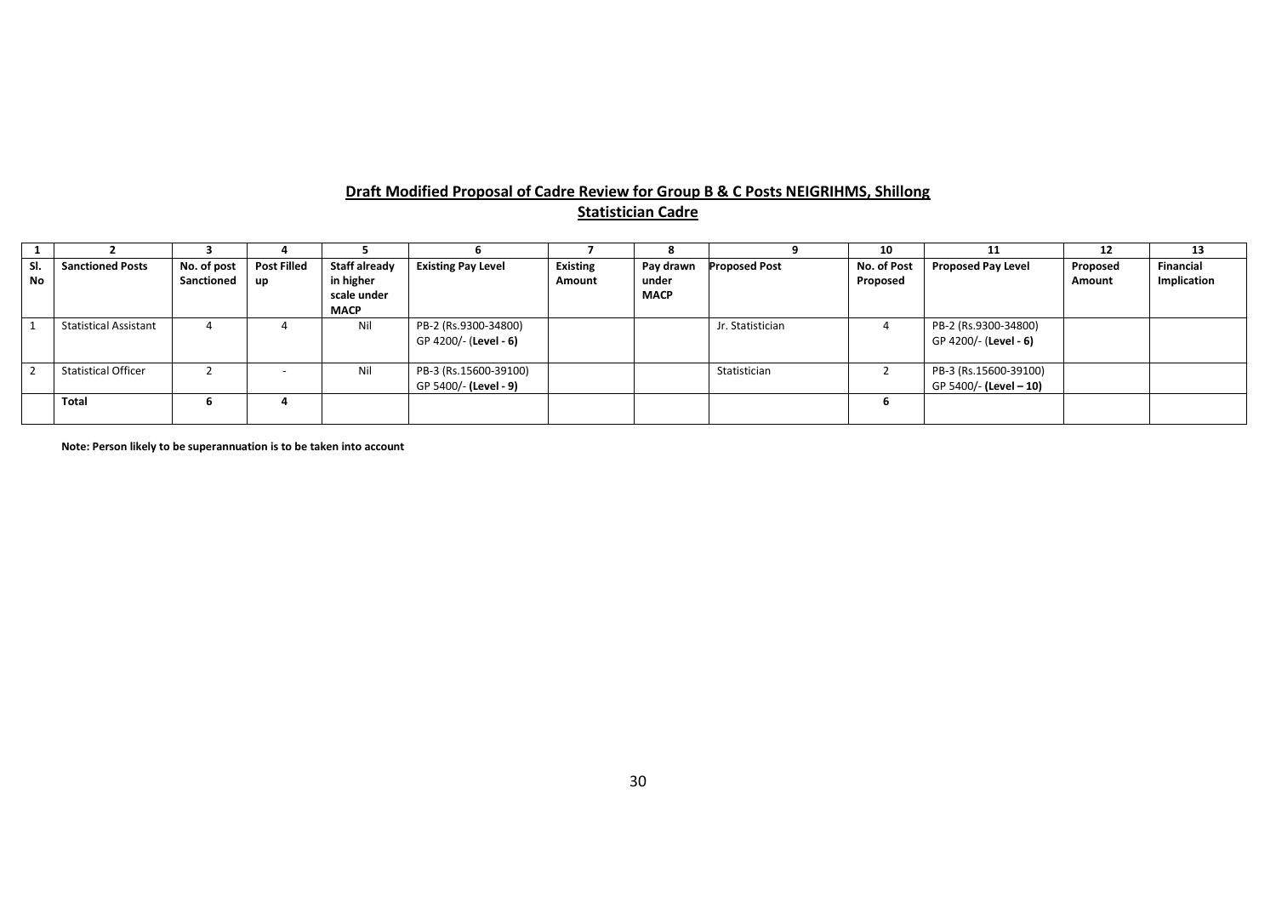# **Draft Modified Proposal of Cadre Review for Group B & C Posts NEIGRIHMS, Shillong Statistician Cadre**

|           |                              |             |                    |               |                           |                 |             |                  | 10          |                           | 12       | 13               |
|-----------|------------------------------|-------------|--------------------|---------------|---------------------------|-----------------|-------------|------------------|-------------|---------------------------|----------|------------------|
| SI.       | <b>Sanctioned Posts</b>      | No. of post | <b>Post Filled</b> | Staff already | <b>Existing Pay Level</b> | <b>Existing</b> | Pay drawn   | roposed Post     | No. of Post | <b>Proposed Pay Level</b> | Proposed | <b>Financial</b> |
| <b>No</b> |                              | Sanctioned  | up                 | in higher     |                           | Amount          | under       |                  | Proposed    |                           | Amount   | Implication      |
|           |                              |             |                    | scale under   |                           |                 | <b>MACP</b> |                  |             |                           |          |                  |
|           |                              |             |                    | <b>MACP</b>   |                           |                 |             |                  |             |                           |          |                  |
|           | <b>Statistical Assistant</b> |             |                    | Nil           | PB-2 (Rs.9300-34800)      |                 |             | Jr. Statistician |             | PB-2 (Rs.9300-34800)      |          |                  |
|           |                              |             |                    |               | GP 4200/- (Level - 6)     |                 |             |                  |             | GP 4200/- (Level - 6)     |          |                  |
|           |                              |             |                    |               |                           |                 |             |                  |             |                           |          |                  |
|           | <b>Statistical Officer</b>   |             |                    | Nil           | PB-3 (Rs.15600-39100)     |                 |             | Statistician     |             | PB-3 (Rs.15600-39100)     |          |                  |
|           |                              |             |                    |               | GP 5400/- (Level - 9)     |                 |             |                  |             | GP 5400/- (Level - 10)    |          |                  |
|           | <b>Total</b>                 | b           |                    |               |                           |                 |             |                  |             |                           |          |                  |
|           |                              |             |                    |               |                           |                 |             |                  |             |                           |          |                  |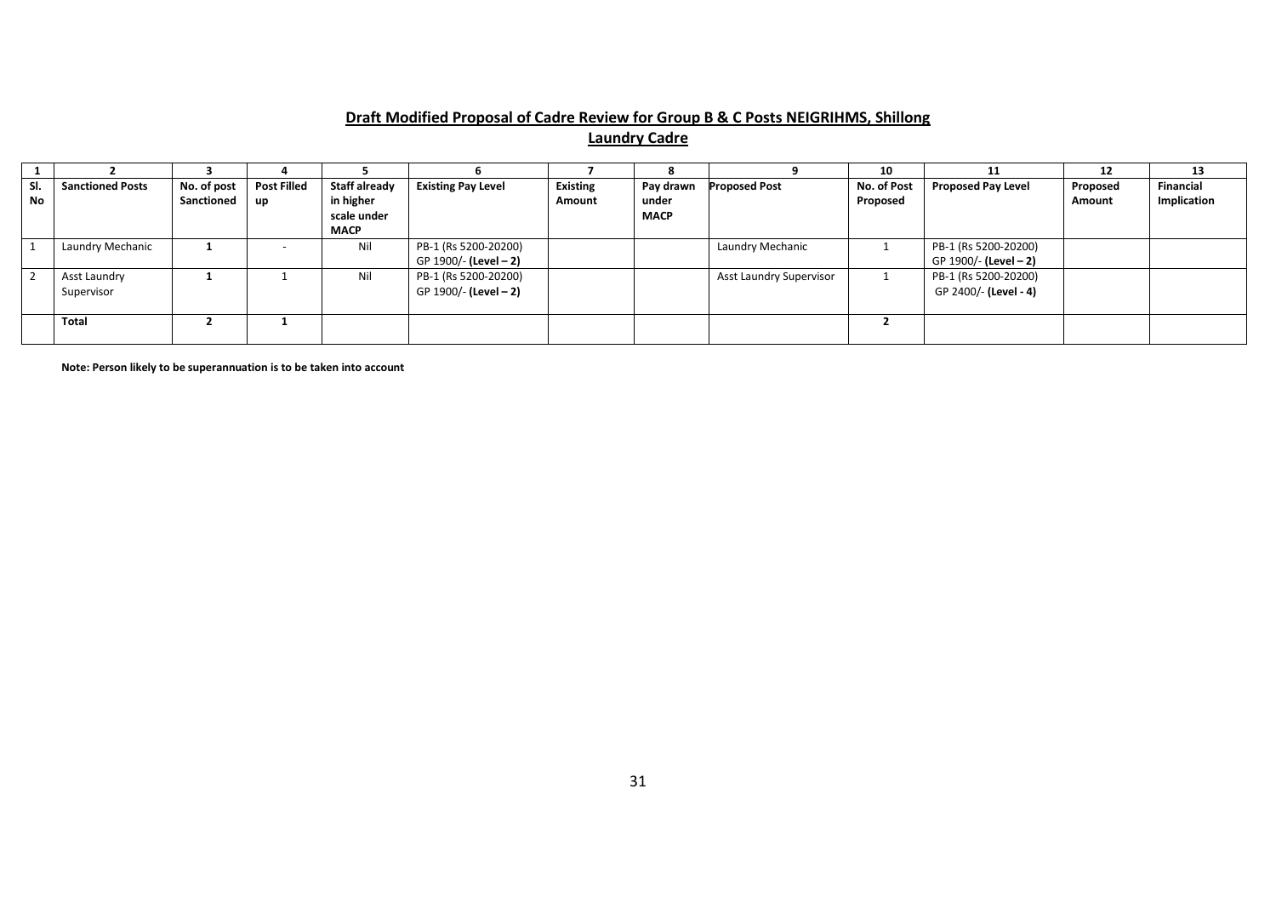# **Draft Modified Proposal of Cadre Review for Group B & C Posts NEIGRIHMS, Shillong**

**Laundry Cadre**

|     |                         |             |                    |               |                           |                 |             |                         | 10          | 11                        | 12       | 13               |
|-----|-------------------------|-------------|--------------------|---------------|---------------------------|-----------------|-------------|-------------------------|-------------|---------------------------|----------|------------------|
| SI. | <b>Sanctioned Posts</b> | No. of post | <b>Post Filled</b> | Staff already | <b>Existing Pay Level</b> | <b>Existing</b> | Pay drawn   | <b>Proposed Post</b>    | No. of Post | <b>Proposed Pay Level</b> | Proposed | <b>Financial</b> |
| No  |                         | Sanctioned  | up                 | in higher     |                           | Amount          | under       |                         | Proposed    |                           | Amount   | Implication      |
|     |                         |             |                    | scale under   |                           |                 | <b>MACP</b> |                         |             |                           |          |                  |
|     |                         |             |                    | <b>MACP</b>   |                           |                 |             |                         |             |                           |          |                  |
|     | Laundry Mechanic        |             |                    | Nil           | PB-1 (Rs 5200-20200)      |                 |             | Laundry Mechanic        |             | PB-1 (Rs 5200-20200)      |          |                  |
|     |                         |             |                    |               | GP 1900/- (Level - 2)     |                 |             |                         |             | GP 1900/- (Level - 2)     |          |                  |
|     | Asst Laundry            |             |                    | Nil           | PB-1 (Rs 5200-20200)      |                 |             | Asst Laundry Supervisor |             | PB-1 (Rs 5200-20200)      |          |                  |
|     | Supervisor              |             |                    |               | GP 1900/- (Level - 2)     |                 |             |                         |             | GP 2400/- (Level - 4)     |          |                  |
|     |                         |             |                    |               |                           |                 |             |                         |             |                           |          |                  |
|     | Total                   |             |                    |               |                           |                 |             |                         |             |                           |          |                  |
|     |                         |             |                    |               |                           |                 |             |                         |             |                           |          |                  |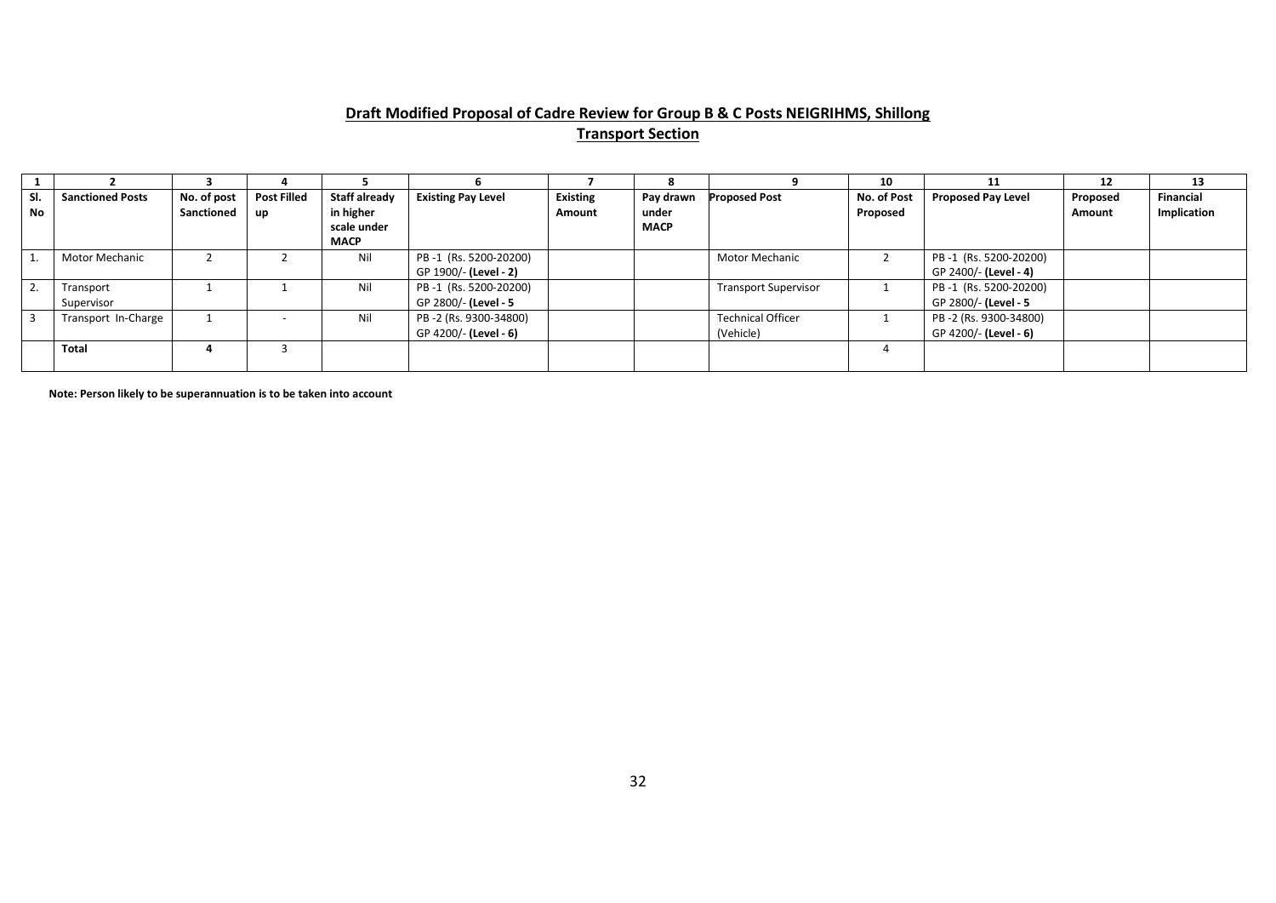# **Draft Modified Proposal of Cadre Review for Group B & C Posts NEIGRIHMS, Shillong Transport Section**

|                  |                         |             |                    |               |                           |                 |             |                             | 10          |                           | 12       | 13               |
|------------------|-------------------------|-------------|--------------------|---------------|---------------------------|-----------------|-------------|-----------------------------|-------------|---------------------------|----------|------------------|
| SI.              | <b>Sanctioned Posts</b> | No. of post | <b>Post Filled</b> | Staff already | <b>Existing Pay Level</b> | <b>Existing</b> | Pay drawn   | <b>Proposed Post</b>        | No. of Post | <b>Proposed Pay Level</b> | Proposed | <b>Financial</b> |
| <b>No</b>        |                         | Sanctioned  | up                 | in higher     |                           | Amount          | under       |                             | Proposed    |                           | Amount   | Implication      |
|                  |                         |             |                    | scale under   |                           |                 | <b>MACP</b> |                             |             |                           |          |                  |
|                  |                         |             |                    | <b>MACP</b>   |                           |                 |             |                             |             |                           |          |                  |
|                  | Motor Mechanic          |             |                    | Nil           | PB-1 (Rs. 5200-20200)     |                 |             | Motor Mechanic              |             | PB-1 (Rs. 5200-20200)     |          |                  |
|                  |                         |             |                    |               | GP 1900/- (Level - 2)     |                 |             |                             |             | GP 2400/- (Level - 4)     |          |                  |
| $\overline{2}$ . | Transport               |             |                    | Nil           | PB-1 (Rs. 5200-20200)     |                 |             | <b>Transport Supervisor</b> |             | PB-1 (Rs. 5200-20200)     |          |                  |
|                  | Supervisor              |             |                    |               | GP 2800/- (Level - 5      |                 |             |                             |             | GP 2800/- (Level - 5      |          |                  |
| -3               | Transport In-Charge     |             |                    | Nil           | PB-2 (Rs. 9300-34800)     |                 |             | <b>Technical Officer</b>    |             | PB-2 (Rs. 9300-34800)     |          |                  |
|                  |                         |             |                    |               | GP 4200/- (Level - 6)     |                 |             | (Vehicle)                   |             | GP 4200/- (Level - 6)     |          |                  |
|                  | Total                   |             |                    |               |                           |                 |             |                             |             |                           |          |                  |
|                  |                         |             |                    |               |                           |                 |             |                             |             |                           |          |                  |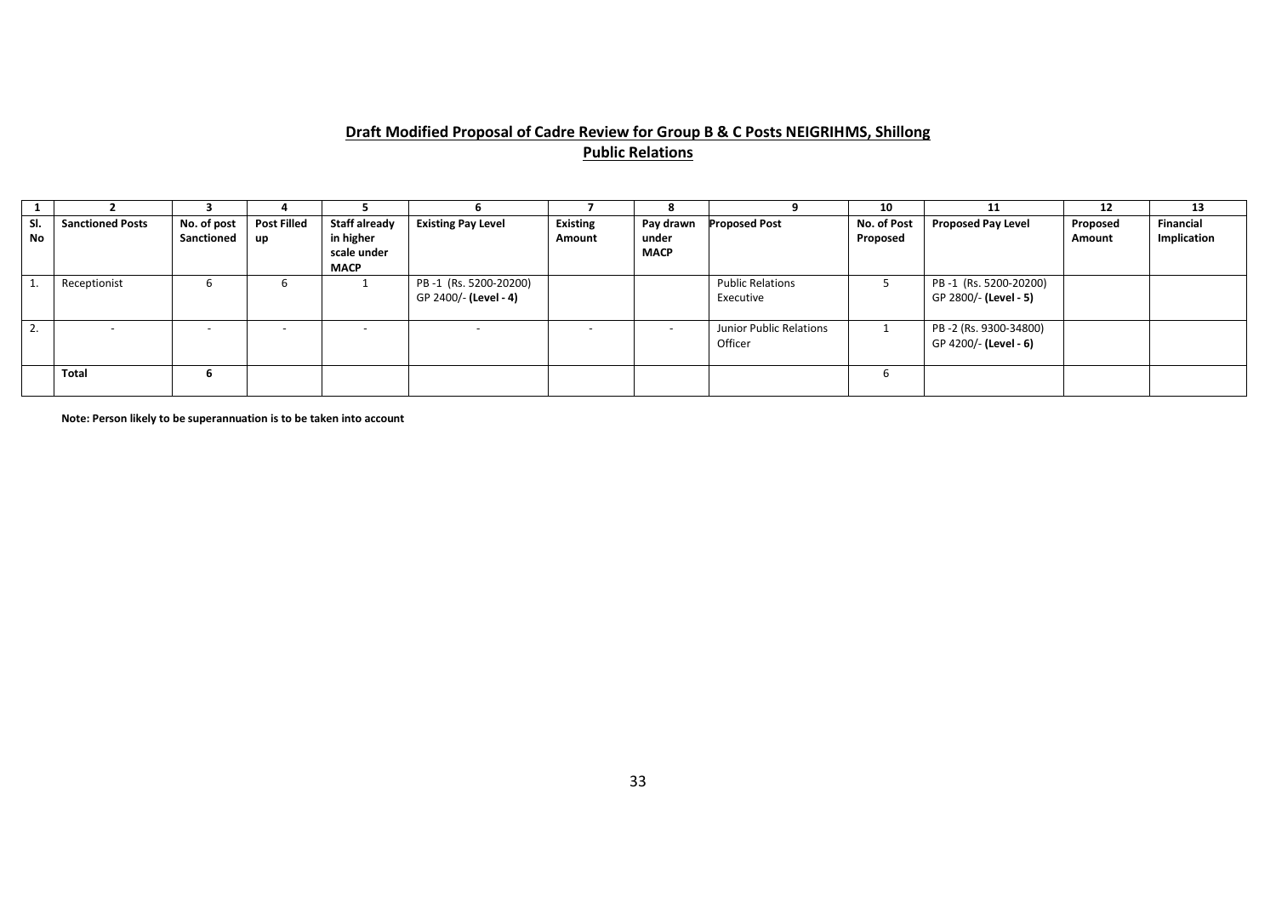# **Draft Modified Proposal of Cadre Review for Group B & C Posts NEIGRIHMS, Shillong Public Relations**

|                  |                         |                           |                          |                                                          |                                                |                           |                                   |                                      | 10                      |                                                | - 12               | 13                       |
|------------------|-------------------------|---------------------------|--------------------------|----------------------------------------------------------|------------------------------------------------|---------------------------|-----------------------------------|--------------------------------------|-------------------------|------------------------------------------------|--------------------|--------------------------|
| SI.<br><b>No</b> | <b>Sanctioned Posts</b> | No. of post<br>Sanctioned | <b>Post Filled</b><br>up | Staff already<br>in higher<br>scale under<br><b>MACP</b> | <b>Existing Pay Level</b>                      | <b>Existing</b><br>Amount | Pay drawn<br>under<br><b>MACP</b> | <b>Proposed Post</b>                 | No. of Post<br>Proposed | <b>Proposed Pay Level</b>                      | Proposed<br>Amount | Financial<br>Implication |
|                  | Receptionist            | b                         |                          |                                                          | PB-1 (Rs. 5200-20200)<br>GP 2400/- (Level - 4) |                           |                                   | <b>Public Relations</b><br>Executive |                         | PB-1 (Rs. 5200-20200)<br>GP 2800/- (Level - 5) |                    |                          |
| <b>4.</b>        |                         | $\sim$                    | -                        |                                                          | $\overline{\phantom{0}}$                       |                           | $\sim$                            | Junior Public Relations<br>Officer   |                         | PB-2 (Rs. 9300-34800)<br>GP 4200/- (Level - 6) |                    |                          |
|                  | <b>Total</b>            | b                         |                          |                                                          |                                                |                           |                                   |                                      |                         |                                                |                    |                          |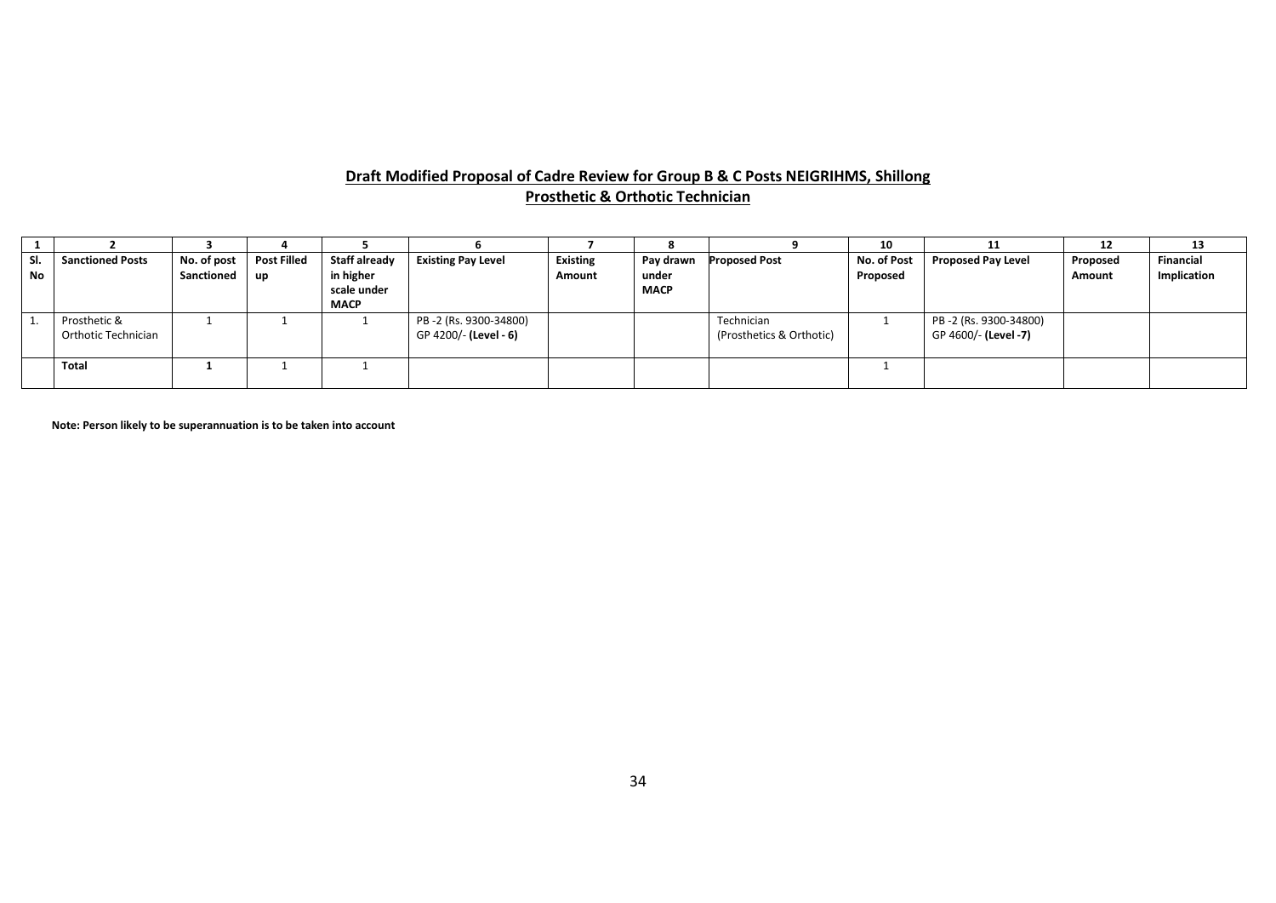#### **Draft Modified Proposal of Cadre Review for Group B & C Posts NEIGRIHMS, Shillong Prosthetic & Orthotic Technician**

|           |                                     |                           |                                 |                                                                 |                                                 |                           |                                   |                                        | 10                      | 11                                            | 12                        | 13                              |
|-----------|-------------------------------------|---------------------------|---------------------------------|-----------------------------------------------------------------|-------------------------------------------------|---------------------------|-----------------------------------|----------------------------------------|-------------------------|-----------------------------------------------|---------------------------|---------------------------------|
| SI.<br>No | <b>Sanctioned Posts</b>             | No. of post<br>Sanctioned | <b>Post Filled</b><br><b>up</b> | <b>Staff already</b><br>in higher<br>scale under<br><b>MACP</b> | <b>Existing Pay Level</b>                       | <b>Existing</b><br>Amount | Pay drawn<br>under<br><b>MACP</b> | <b>Proposed Post</b>                   | No. of Post<br>Proposed | <b>Proposed Pay Level</b>                     | Proposed<br><b>Amount</b> | <b>Financial</b><br>Implication |
|           | Prosthetic &<br>Orthotic Technician |                           |                                 |                                                                 | PB -2 (Rs. 9300-34800)<br>GP 4200/- (Level - 6) |                           |                                   | Technician<br>(Prosthetics & Orthotic) |                         | PB-2 (Rs. 9300-34800)<br>GP 4600/- (Level -7) |                           |                                 |
|           | Total                               |                           |                                 |                                                                 |                                                 |                           |                                   |                                        |                         |                                               |                           |                                 |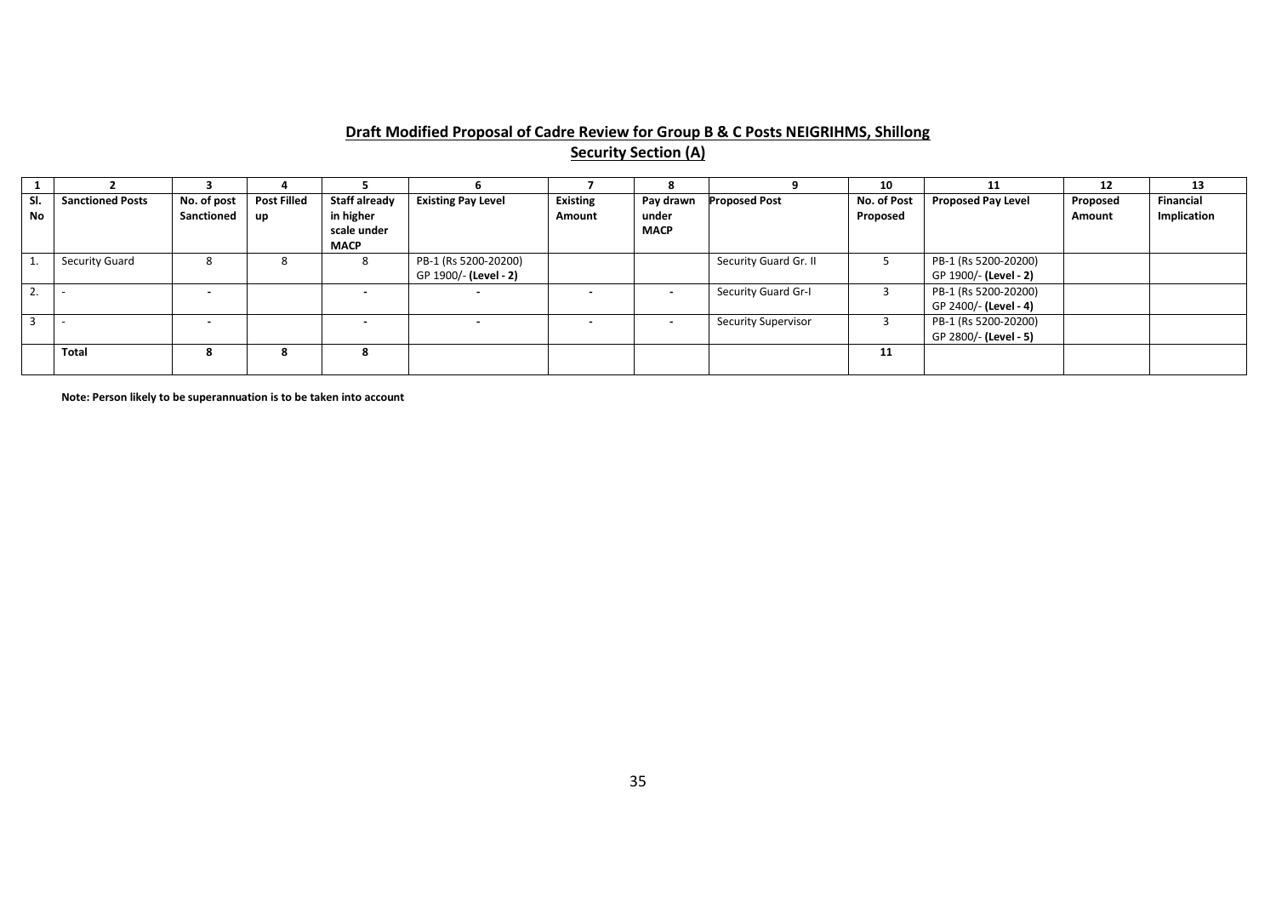# **Draft Modified Proposal of Cadre Review for Group B & C Posts NEIGRIHMS, Shillong Security Section (A)**

|     |                         |                          |                    |                      |                           |                 |             |                            | 10          | 11                        | 12       | 13               |
|-----|-------------------------|--------------------------|--------------------|----------------------|---------------------------|-----------------|-------------|----------------------------|-------------|---------------------------|----------|------------------|
| SI. | <b>Sanctioned Posts</b> | No. of post              | <b>Post Filled</b> | <b>Staff already</b> | <b>Existing Pay Level</b> | <b>Existing</b> | Pay drawn   | <b>Proposed Post</b>       | No. of Post | <b>Proposed Pay Level</b> | Proposed | <b>Financial</b> |
| No  |                         | Sanctioned               | up                 | in higher            |                           | Amount          | under       |                            | Proposed    |                           | Amount   | Implication      |
|     |                         |                          |                    | scale under          |                           |                 | <b>MACP</b> |                            |             |                           |          |                  |
|     |                         |                          |                    | <b>MACP</b>          |                           |                 |             |                            |             |                           |          |                  |
|     | <b>Security Guard</b>   | 8                        |                    | -8                   | PB-1 (Rs 5200-20200)      |                 |             | Security Guard Gr. II      |             | PB-1 (Rs 5200-20200)      |          |                  |
|     |                         |                          |                    |                      | GP 1900/- (Level - 2)     |                 |             |                            |             | GP 1900/- (Level - 2)     |          |                  |
|     |                         | $\blacksquare$           |                    |                      | $\,$                      |                 | $\sim$      | Security Guard Gr-I        |             | PB-1 (Rs 5200-20200)      |          |                  |
|     |                         |                          |                    |                      |                           |                 |             |                            |             | GP 2400/- (Level - 4)     |          |                  |
|     |                         | $\overline{\phantom{a}}$ |                    |                      |                           |                 | $\sim$      | <b>Security Supervisor</b> |             | PB-1 (Rs 5200-20200)      |          |                  |
|     |                         |                          |                    |                      |                           |                 |             |                            |             | GP 2800/- (Level - 5)     |          |                  |
|     | Total                   | 8                        |                    |                      |                           |                 |             |                            | 11          |                           |          |                  |
|     |                         |                          |                    |                      |                           |                 |             |                            |             |                           |          |                  |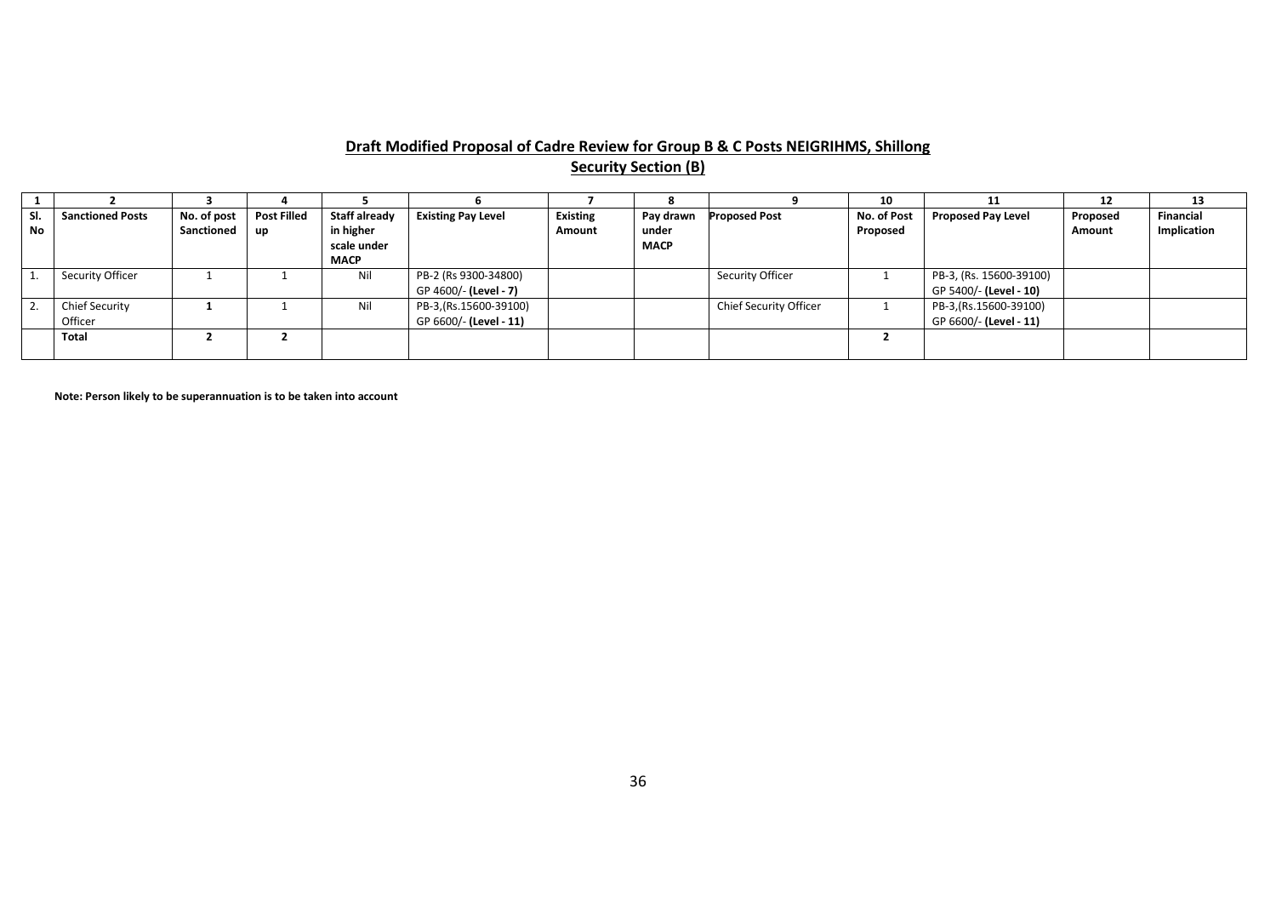#### **Draft Modified Proposal of Cadre Review for Group B & C Posts NEIGRIHMS, Shillong Security Section (B)**

|           |                         |                 |                    |               |                           |                 |             |                        | 10          |                           | 12       | 13               |
|-----------|-------------------------|-----------------|--------------------|---------------|---------------------------|-----------------|-------------|------------------------|-------------|---------------------------|----------|------------------|
| SI.       | <b>Sanctioned Posts</b> | No. of post     | <b>Post Filled</b> | Staff already | <b>Existing Pay Level</b> | <b>Existing</b> | Pay drawn   | <b>Proposed Post</b>   | No. of Post | <b>Proposed Pay Level</b> | Proposed | <b>Financial</b> |
| <b>No</b> |                         | Sanctioned   up |                    | in higher     |                           | Amount          | under       |                        | Proposed    |                           | Amount   | Implication      |
|           |                         |                 |                    | scale under   |                           |                 | <b>MACP</b> |                        |             |                           |          |                  |
|           |                         |                 |                    | <b>MACP</b>   |                           |                 |             |                        |             |                           |          |                  |
|           | Security Officer        |                 |                    | Nil           | PB-2 (Rs 9300-34800)      |                 |             | Security Officer       |             | PB-3, (Rs. 15600-39100)   |          |                  |
|           |                         |                 |                    |               | GP 4600/- (Level - 7)     |                 |             |                        |             | GP 5400/- (Level - 10)    |          |                  |
|           | <b>Chief Security</b>   |                 |                    | Nil           | PB-3,(Rs.15600-39100)     |                 |             | Chief Security Officer |             | PB-3,(Rs.15600-39100)     |          |                  |
|           | Officer                 |                 |                    |               | GP 6600/- (Level - 11)    |                 |             |                        |             | GP 6600/- (Level - 11)    |          |                  |
|           | <b>Total</b>            |                 |                    |               |                           |                 |             |                        |             |                           |          |                  |
|           |                         |                 |                    |               |                           |                 |             |                        |             |                           |          |                  |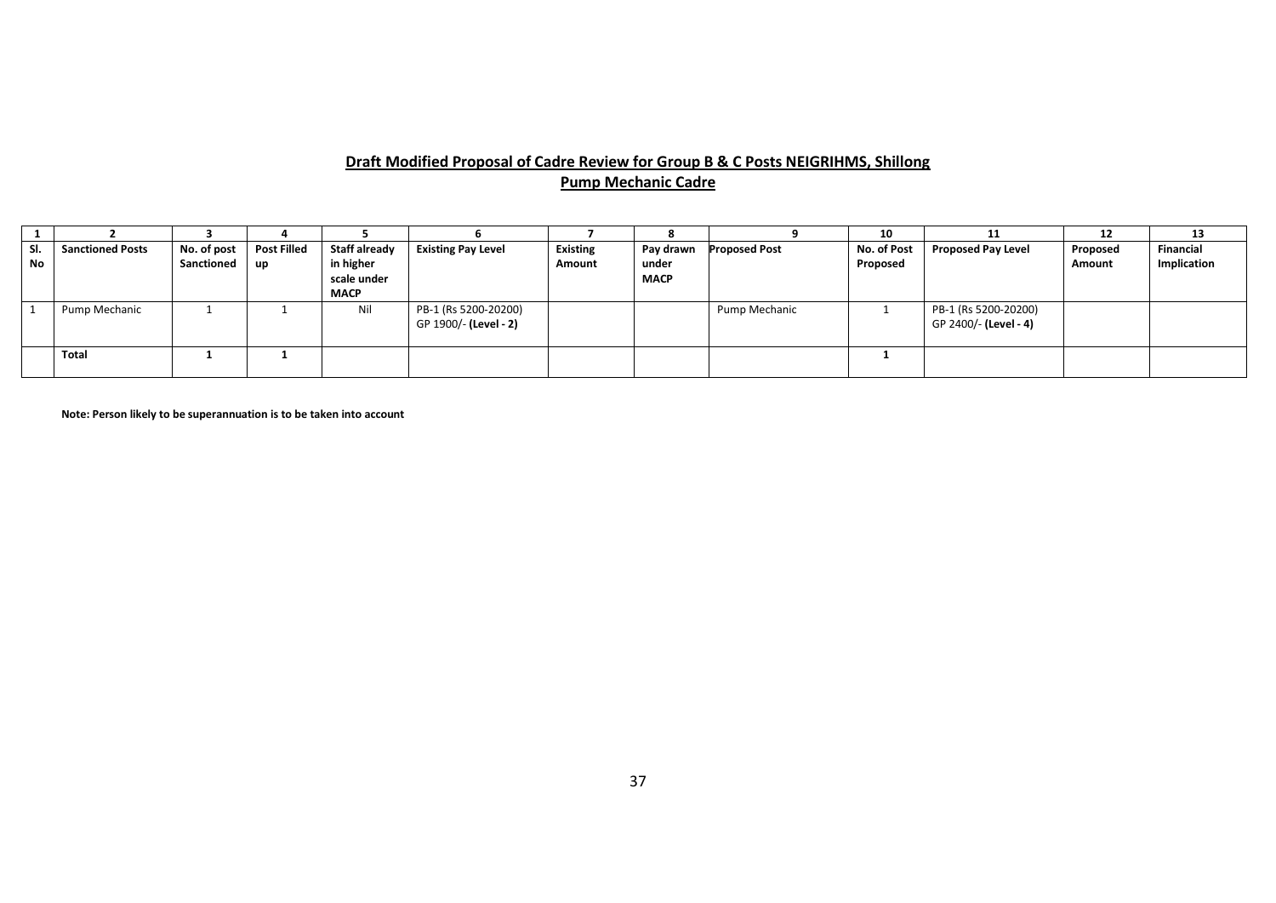# **Draft Modified Proposal of Cadre Review for Group B & C Posts NEIGRIHMS, Shillong Pump Mechanic Cadre**

|                  |                         |                           |                            |                                                          |                                               |                           |                                   |               | 10                      | 11                                            | 12                 | 13                              |
|------------------|-------------------------|---------------------------|----------------------------|----------------------------------------------------------|-----------------------------------------------|---------------------------|-----------------------------------|---------------|-------------------------|-----------------------------------------------|--------------------|---------------------------------|
| SI.<br><b>No</b> | <b>Sanctioned Posts</b> | No. of post<br>Sanctioned | <b>Post Filled</b><br>  up | Staff already<br>in higher<br>scale under<br><b>MACP</b> | <b>Existing Pay Level</b>                     | <b>Existing</b><br>Amount | Pay drawn<br>under<br><b>MACP</b> | Proposed Post | No. of Post<br>Proposed | <b>Proposed Pay Level</b>                     | Proposed<br>Amount | <b>Financial</b><br>Implication |
|                  | Pump Mechanic           |                           |                            | Nil                                                      | PB-1 (Rs 5200-20200)<br>GP 1900/- (Level - 2) |                           |                                   | Pump Mechanic |                         | PB-1 (Rs 5200-20200)<br>GP 2400/- (Level - 4) |                    |                                 |
|                  | <b>Total</b>            |                           |                            |                                                          |                                               |                           |                                   |               |                         |                                               |                    |                                 |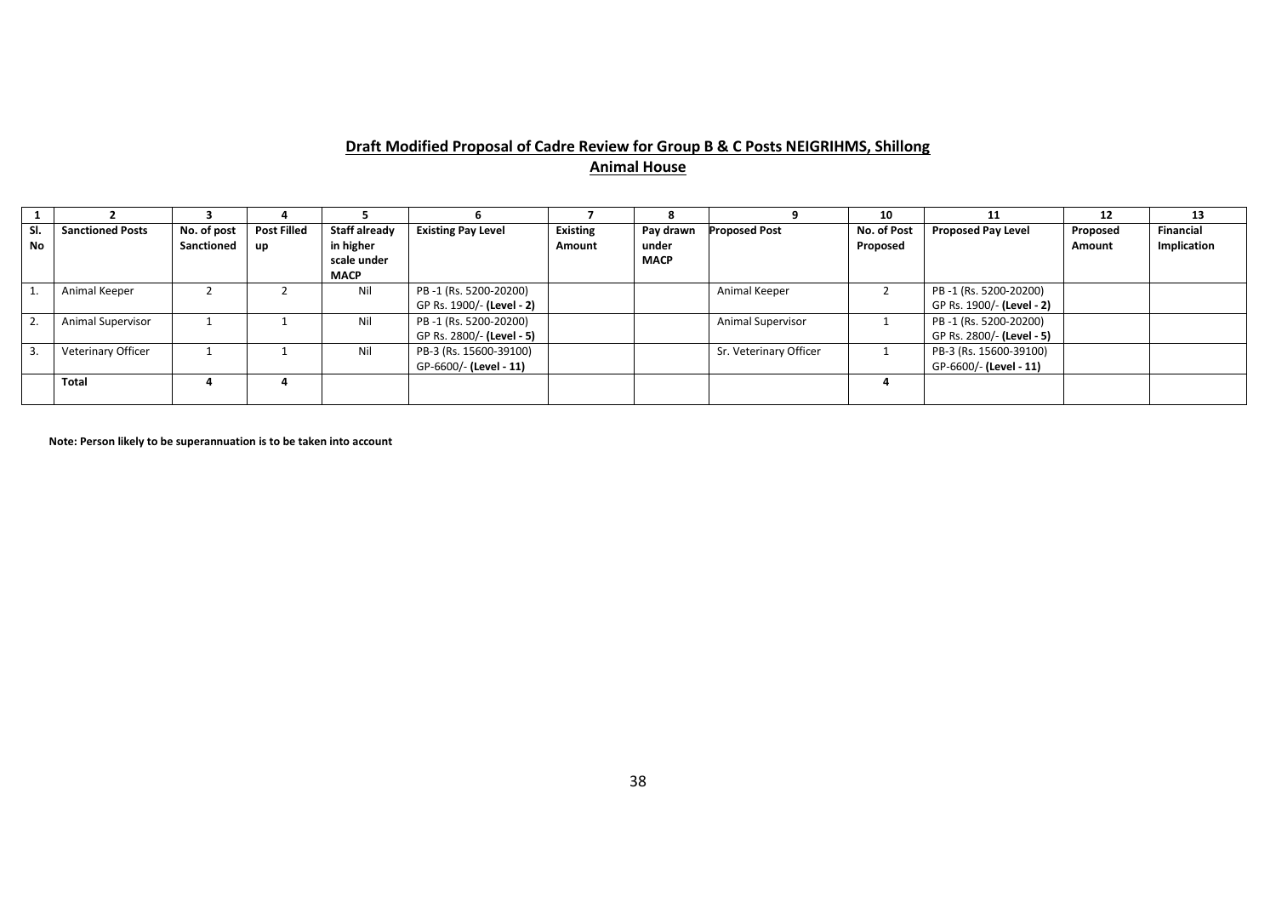#### **Draft Modified Proposal of Cadre Review for Group B & C Posts NEIGRIHMS, Shillong Animal House**

|           |                         |             |                    |               |                           |                 |             |                        | 10          | 11                        | 12       | 13               |
|-----------|-------------------------|-------------|--------------------|---------------|---------------------------|-----------------|-------------|------------------------|-------------|---------------------------|----------|------------------|
| SI.       | <b>Sanctioned Posts</b> | No. of post | <b>Post Filled</b> | Staff already | <b>Existing Pay Level</b> | <b>Existing</b> | Pay drawn   | Proposed Post          | No. of Post | <b>Proposed Pay Level</b> | Proposed | <b>Financial</b> |
| <b>No</b> |                         | Sanctioned  | up                 | in higher     |                           | Amount          | under       |                        | Proposed    |                           | Amount   | Implication      |
|           |                         |             |                    | scale under   |                           |                 | <b>MACP</b> |                        |             |                           |          |                  |
|           |                         |             |                    | <b>MACP</b>   |                           |                 |             |                        |             |                           |          |                  |
|           | Animal Keeper           |             |                    | Nil           | PB-1 (Rs. 5200-20200)     |                 |             | Animal Keeper          |             | PB-1 (Rs. 5200-20200)     |          |                  |
|           |                         |             |                    |               | GP Rs. 1900/- (Level - 2) |                 |             |                        |             | GP Rs. 1900/- (Level - 2) |          |                  |
|           | Animal Supervisor       |             |                    | Nil           | PB-1 (Rs. 5200-20200)     |                 |             | Animal Supervisor      |             | PB-1 (Rs. 5200-20200)     |          |                  |
|           |                         |             |                    |               | GP Rs. 2800/- (Level - 5) |                 |             |                        |             | GP Rs. 2800/- (Level - 5) |          |                  |
|           | Veterinary Officer      |             |                    | Nil           | PB-3 (Rs. 15600-39100)    |                 |             | Sr. Veterinary Officer |             | PB-3 (Rs. 15600-39100)    |          |                  |
|           |                         |             |                    |               | GP-6600/- (Level - 11)    |                 |             |                        |             | GP-6600/- (Level - 11)    |          |                  |
|           | Total                   | 4           |                    |               |                           |                 |             |                        |             |                           |          |                  |
|           |                         |             |                    |               |                           |                 |             |                        |             |                           |          |                  |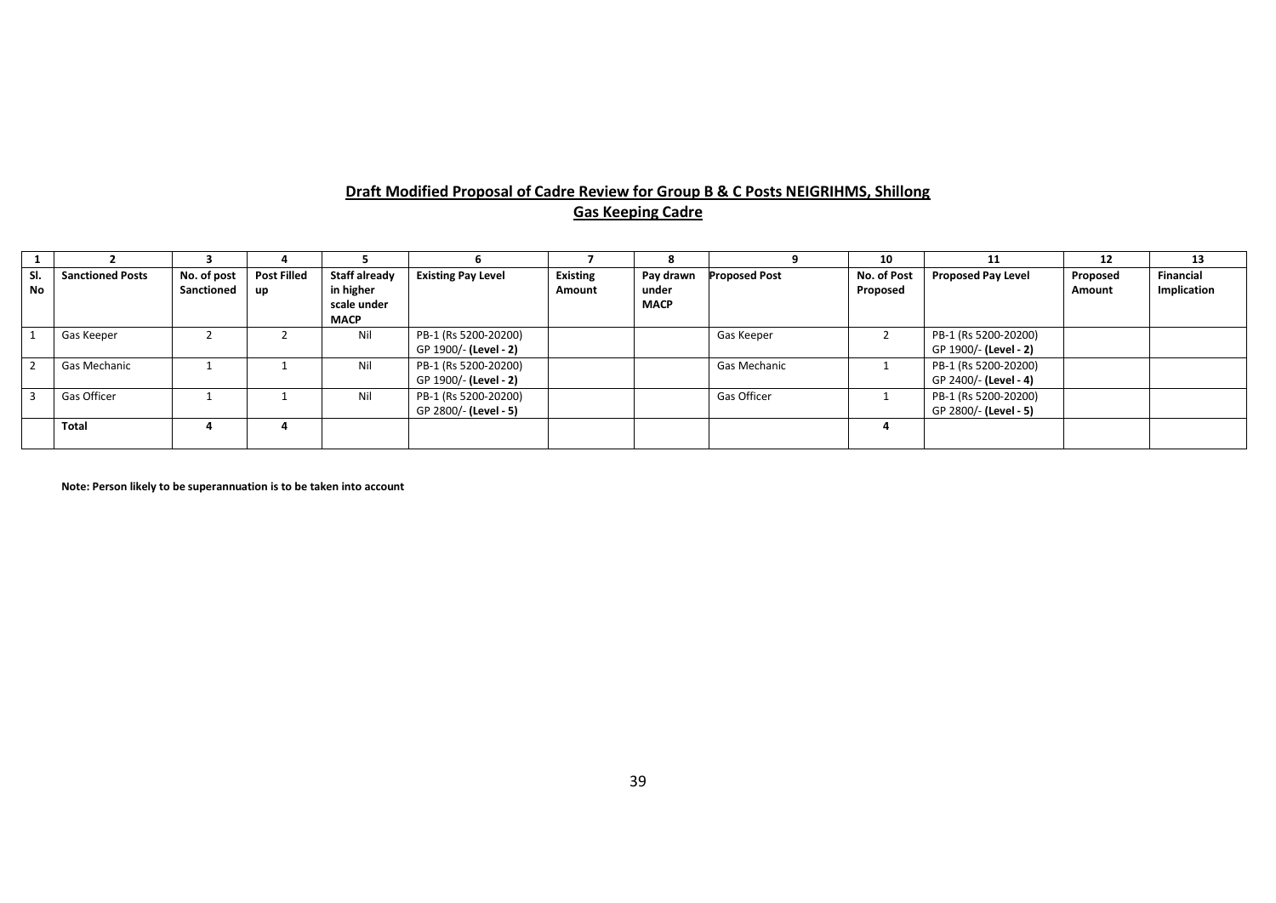#### **Draft Modified Proposal of Cadre Review for Group B & C Posts NEIGRIHMS, Shillong Gas Keeping Cadre**

|           |                         |                           |                          |                                                                 |                                               |                           |                                   |                      | 10                      |                                               | 12                 | 13                              |
|-----------|-------------------------|---------------------------|--------------------------|-----------------------------------------------------------------|-----------------------------------------------|---------------------------|-----------------------------------|----------------------|-------------------------|-----------------------------------------------|--------------------|---------------------------------|
| SI.<br>No | <b>Sanctioned Posts</b> | No. of post<br>Sanctioned | <b>Post Filled</b><br>up | <b>Staff already</b><br>in higher<br>scale under<br><b>MACP</b> | <b>Existing Pay Level</b>                     | <b>Existing</b><br>Amount | Pay drawn<br>under<br><b>MACP</b> | <b>Proposed Post</b> | No. of Post<br>Proposed | <b>Proposed Pay Level</b>                     | Proposed<br>Amount | <b>Financial</b><br>Implication |
|           | Gas Keeper              |                           |                          | Nil                                                             | PB-1 (Rs 5200-20200)<br>GP 1900/- (Level - 2) |                           |                                   | Gas Keeper           |                         | PB-1 (Rs 5200-20200)<br>GP 1900/- (Level - 2) |                    |                                 |
| -7        | Gas Mechanic            |                           |                          | Nil                                                             | PB-1 (Rs 5200-20200)<br>GP 1900/- (Level - 2) |                           |                                   | Gas Mechanic         |                         | PB-1 (Rs 5200-20200)<br>GP 2400/- (Level - 4) |                    |                                 |
|           | Gas Officer             |                           |                          | Nil                                                             | PB-1 (Rs 5200-20200)<br>GP 2800/- (Level - 5) |                           |                                   | Gas Officer          |                         | PB-1 (Rs 5200-20200)<br>GP 2800/- (Level - 5) |                    |                                 |
|           | <b>Total</b>            |                           |                          |                                                                 |                                               |                           |                                   |                      |                         |                                               |                    |                                 |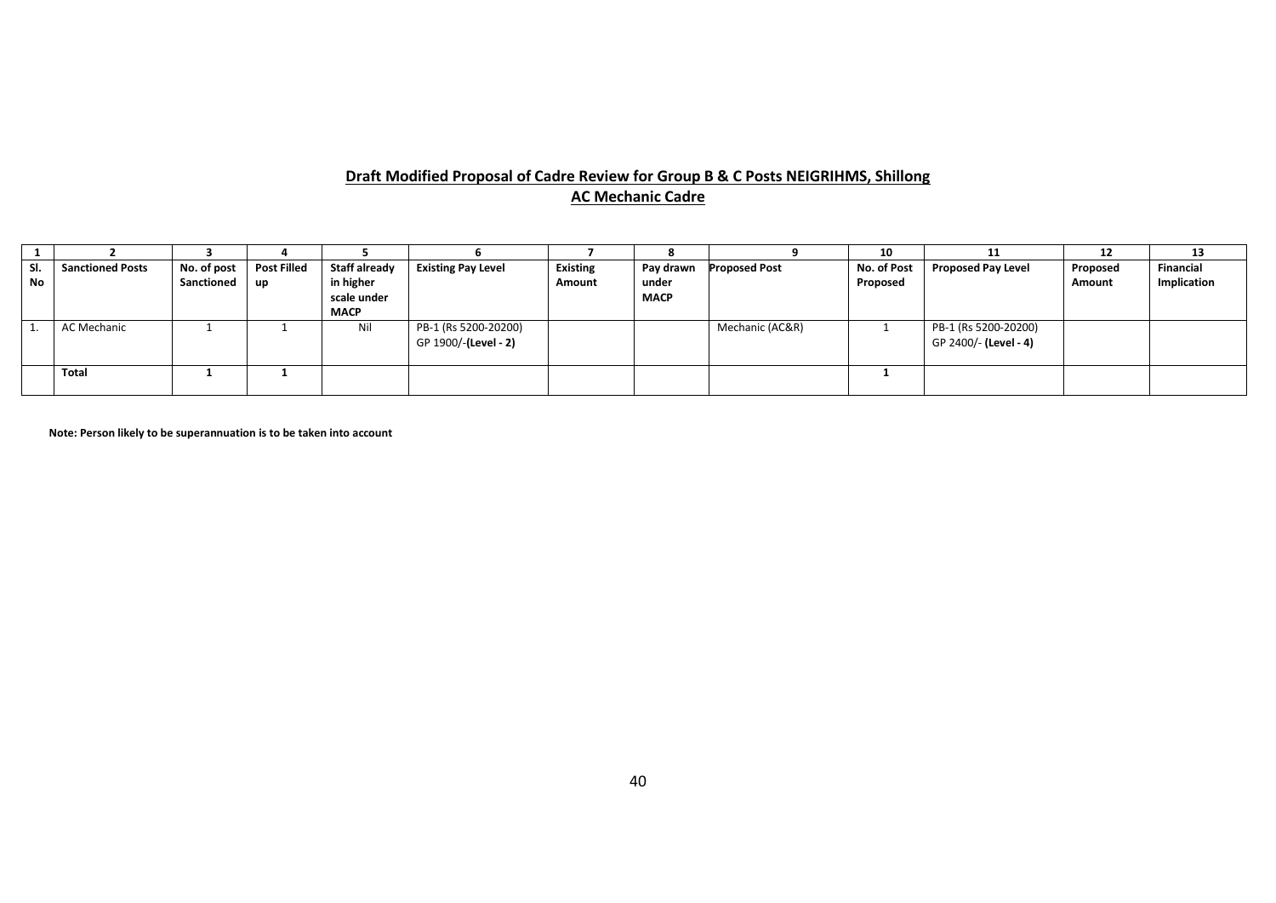# **Draft Modified Proposal of Cadre Review for Group B & C Posts NEIGRIHMS, Shillong AC Mechanic Cadre**

|                  |                         |                           |                            |                                                          |                                              |                           |                                   |                 | 10                      | 11                                            | 12                 | 13                       |
|------------------|-------------------------|---------------------------|----------------------------|----------------------------------------------------------|----------------------------------------------|---------------------------|-----------------------------------|-----------------|-------------------------|-----------------------------------------------|--------------------|--------------------------|
| SI.<br><b>No</b> | <b>Sanctioned Posts</b> | No. of post<br>Sanctioned | <b>Post Filled</b><br>l up | Staff already<br>in higher<br>scale under<br><b>MACP</b> | <b>Existing Pay Level</b>                    | <b>Existing</b><br>Amount | Pay drawn<br>under<br><b>MACP</b> | Proposed Post   | No. of Post<br>Proposed | <b>Proposed Pay Level</b>                     | Proposed<br>Amount | Financial<br>Implication |
|                  | AC Mechanic             |                           |                            | Nil                                                      | PB-1 (Rs 5200-20200)<br>GP 1900/-(Level - 2) |                           |                                   | Mechanic (AC&R) |                         | PB-1 (Rs 5200-20200)<br>GP 2400/- (Level - 4) |                    |                          |
|                  | Total                   |                           |                            |                                                          |                                              |                           |                                   |                 |                         |                                               |                    |                          |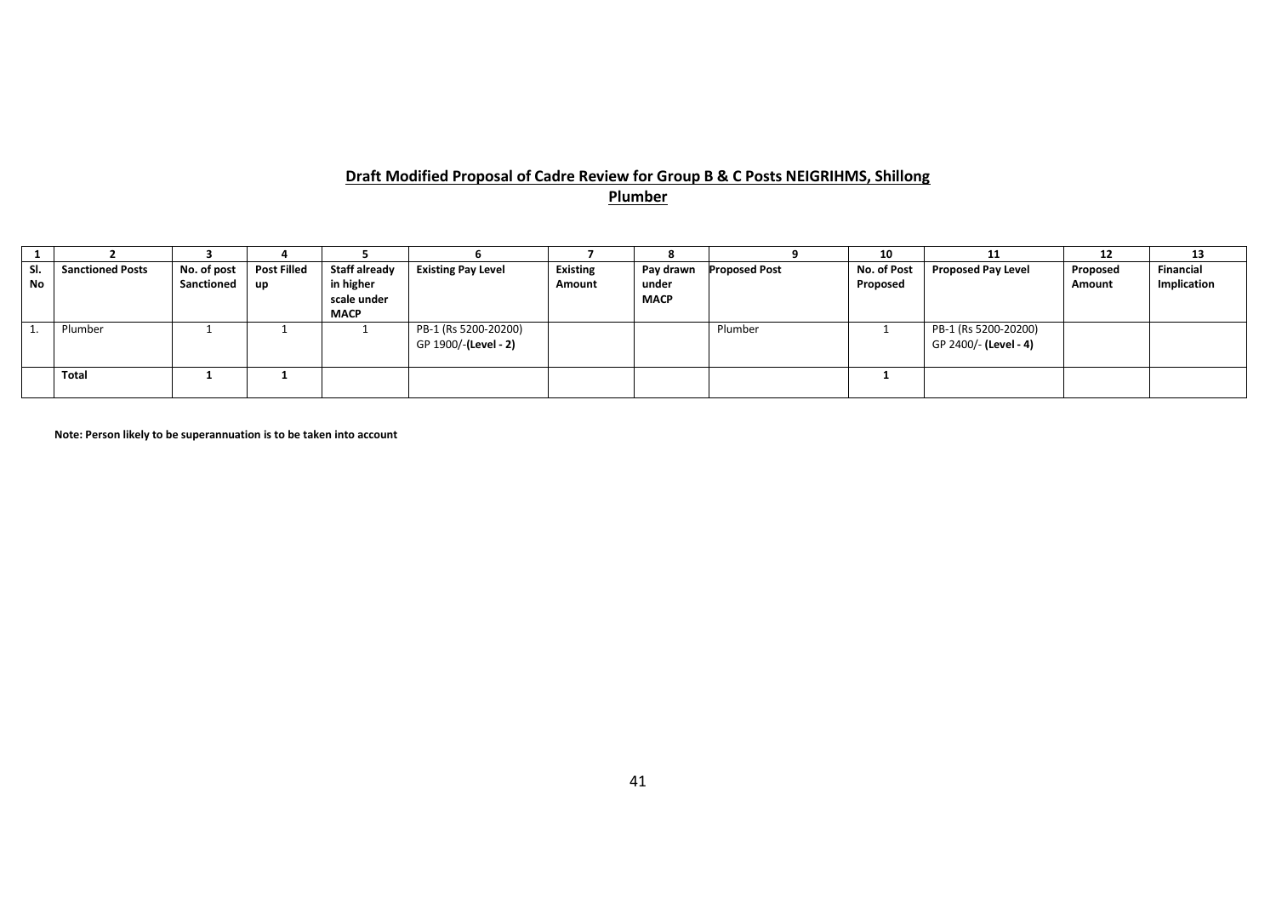# **Draft Modified Proposal of Cadre Review for Group B & C Posts NEIGRIHMS, Shillong Plumber**

|     |                         |                   |                    |               |                           |                 |             |                      | 10          | 11                        | 12       | 13          |
|-----|-------------------------|-------------------|--------------------|---------------|---------------------------|-----------------|-------------|----------------------|-------------|---------------------------|----------|-------------|
| SI. | <b>Sanctioned Posts</b> | No. of post       | <b>Post Filled</b> | Staff already | <b>Existing Pay Level</b> | <b>Existing</b> | Pay drawn   | <b>Proposed Post</b> | No. of Post | <b>Proposed Pay Level</b> | Proposed | Financial   |
| No  |                         | <b>Sanctioned</b> | up                 | in higher     |                           | Amount          | under       |                      | Proposed    |                           | Amount   | Implication |
|     |                         |                   |                    | scale under   |                           |                 | <b>MACP</b> |                      |             |                           |          |             |
|     |                         |                   |                    | <b>MACP</b>   |                           |                 |             |                      |             |                           |          |             |
|     | Plumber                 |                   |                    |               | PB-1 (Rs 5200-20200)      |                 |             | Plumber              |             | PB-1 (Rs 5200-20200)      |          |             |
|     |                         |                   |                    |               | GP 1900/-(Level - 2)      |                 |             |                      |             | GP 2400/- (Level - 4)     |          |             |
|     |                         |                   |                    |               |                           |                 |             |                      |             |                           |          |             |
|     | Total                   |                   |                    |               |                           |                 |             |                      |             |                           |          |             |
|     |                         |                   |                    |               |                           |                 |             |                      |             |                           |          |             |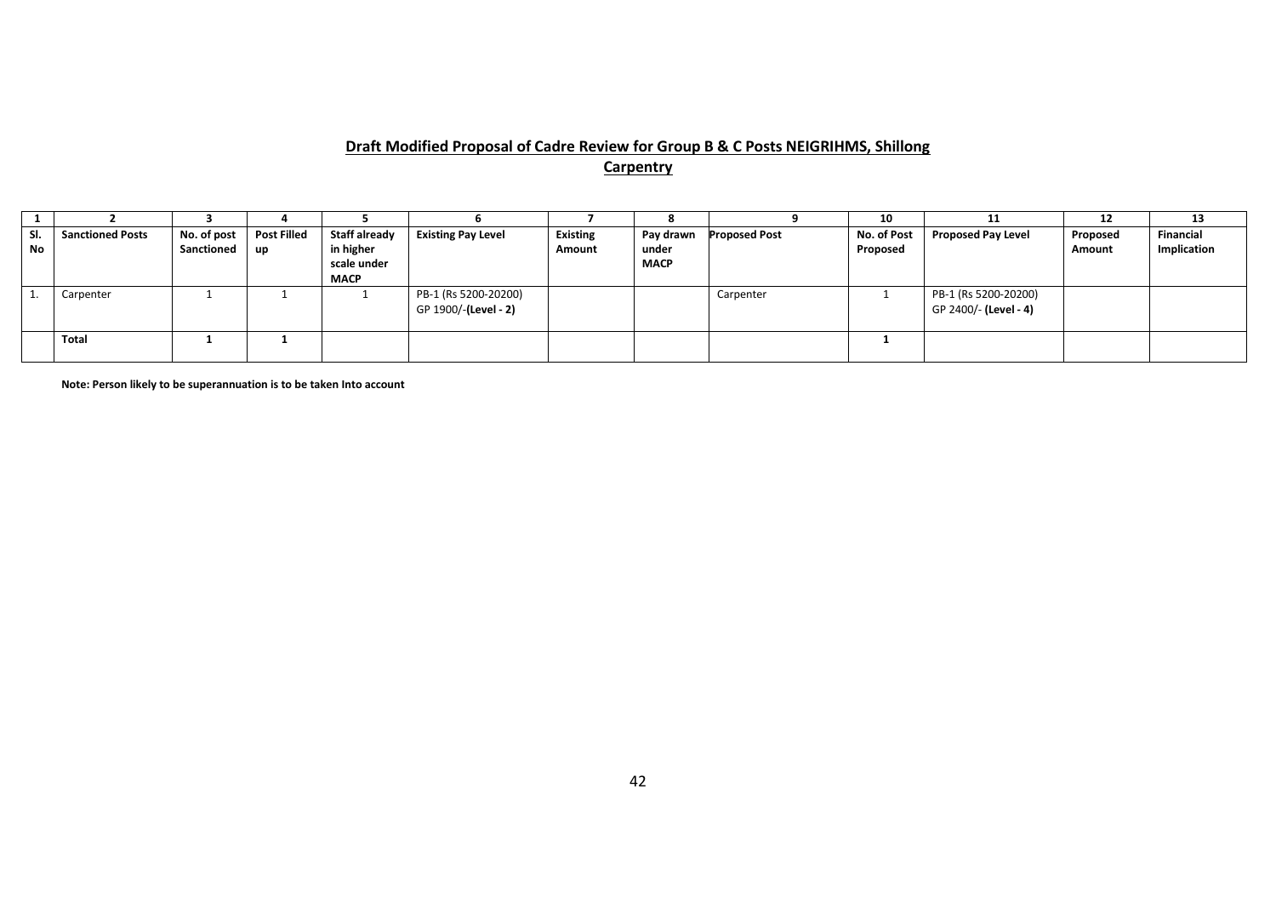# **Draft Modified Proposal of Cadre Review for Group B & C Posts NEIGRIHMS, Shillong Carpentry**

|     |                         |             |                    |                      |                           |                 |             |                      | 10          |                           | 12       | 13          |
|-----|-------------------------|-------------|--------------------|----------------------|---------------------------|-----------------|-------------|----------------------|-------------|---------------------------|----------|-------------|
| SI. | <b>Sanctioned Posts</b> | No. of post | <b>Post Filled</b> | <b>Staff already</b> | <b>Existing Pay Level</b> | <b>Existing</b> | Pay drawn   | <b>Proposed Post</b> | No. of Post | <b>Proposed Pay Level</b> | Proposed | Financial   |
| No  |                         | Sanctioned  | <b>up</b>          | in higher            |                           | Amount          | under       |                      | Proposed    |                           | Amount   | Implication |
|     |                         |             |                    | scale under          |                           |                 | <b>MACP</b> |                      |             |                           |          |             |
|     |                         |             |                    | <b>MACP</b>          |                           |                 |             |                      |             |                           |          |             |
|     | Carpenter               |             |                    |                      | PB-1 (Rs 5200-20200)      |                 |             | Carpenter            |             | PB-1 (Rs 5200-20200)      |          |             |
|     |                         |             |                    |                      | GP 1900/-(Level - 2)      |                 |             |                      |             | GP 2400/- (Level - 4)     |          |             |
|     |                         |             |                    |                      |                           |                 |             |                      |             |                           |          |             |
|     | Total                   |             |                    |                      |                           |                 |             |                      |             |                           |          |             |
|     |                         |             |                    |                      |                           |                 |             |                      |             |                           |          |             |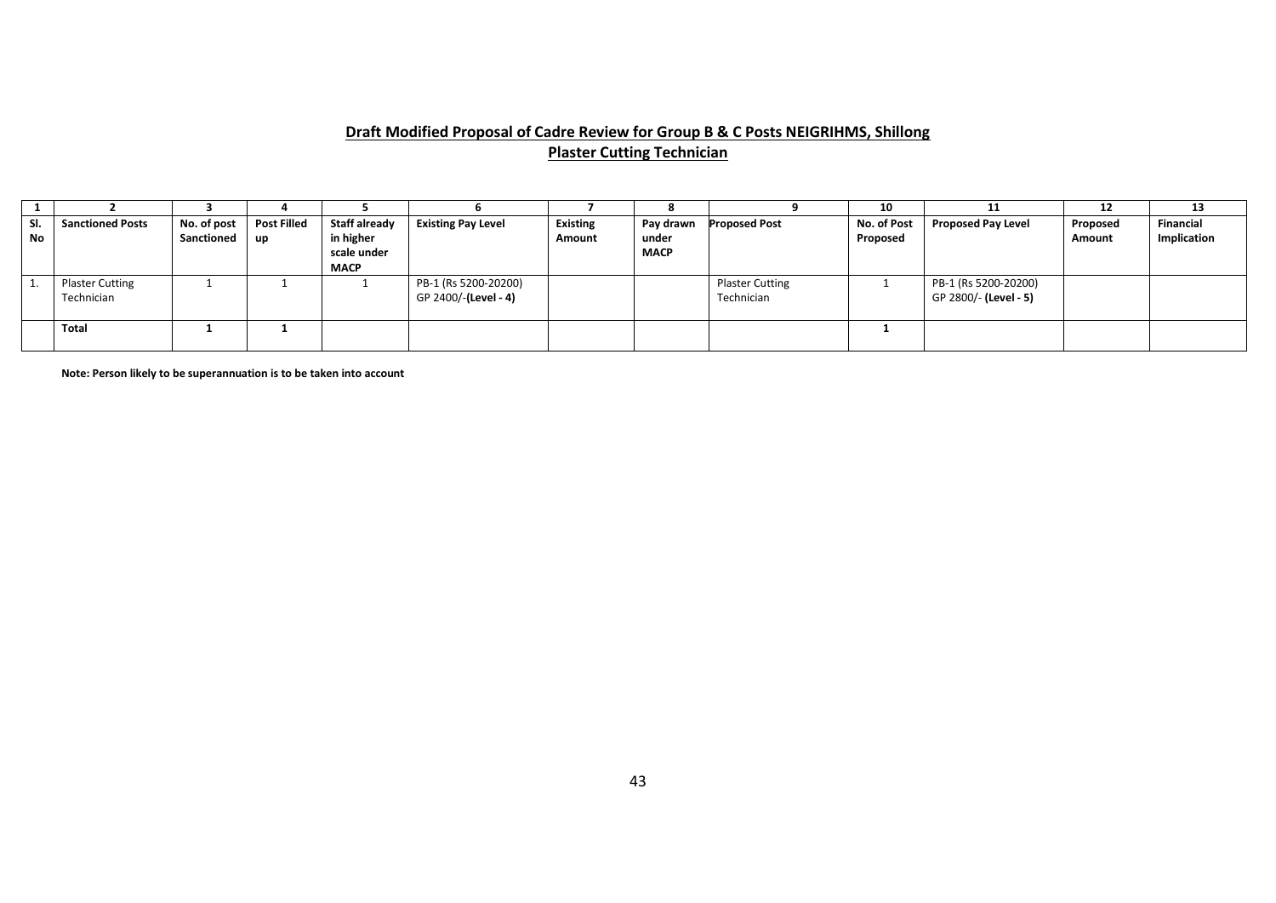# **Draft Modified Proposal of Cadre Review for Group B & C Posts NEIGRIHMS, Shillong Plaster Cutting Technician**

|           |                                      |                           |                          |                                                          |                                              |                           |                                   |                                      | 10                      |                                               | 12                        | 13                       |
|-----------|--------------------------------------|---------------------------|--------------------------|----------------------------------------------------------|----------------------------------------------|---------------------------|-----------------------------------|--------------------------------------|-------------------------|-----------------------------------------------|---------------------------|--------------------------|
| SI.<br>No | <b>Sanctioned Posts</b>              | No. of post<br>Sanctioned | <b>Post Filled</b><br>up | Staff already<br>in higher<br>scale under<br><b>MACP</b> | <b>Existing Pay Level</b>                    | <b>Existing</b><br>Amount | Pay drawn<br>under<br><b>MACP</b> | <b>Proposed Post</b>                 | No. of Post<br>Proposed | <b>Proposed Pay Level</b>                     | Proposed<br><b>Amount</b> | Financial<br>Implication |
|           | <b>Plaster Cutting</b><br>Technician |                           |                          |                                                          | PB-1 (Rs 5200-20200)<br>GP 2400/-(Level - 4) |                           |                                   | <b>Plaster Cutting</b><br>Technician |                         | PB-1 (Rs 5200-20200)<br>GP 2800/- (Level - 5) |                           |                          |
|           | <b>Total</b>                         |                           |                          |                                                          |                                              |                           |                                   |                                      |                         |                                               |                           |                          |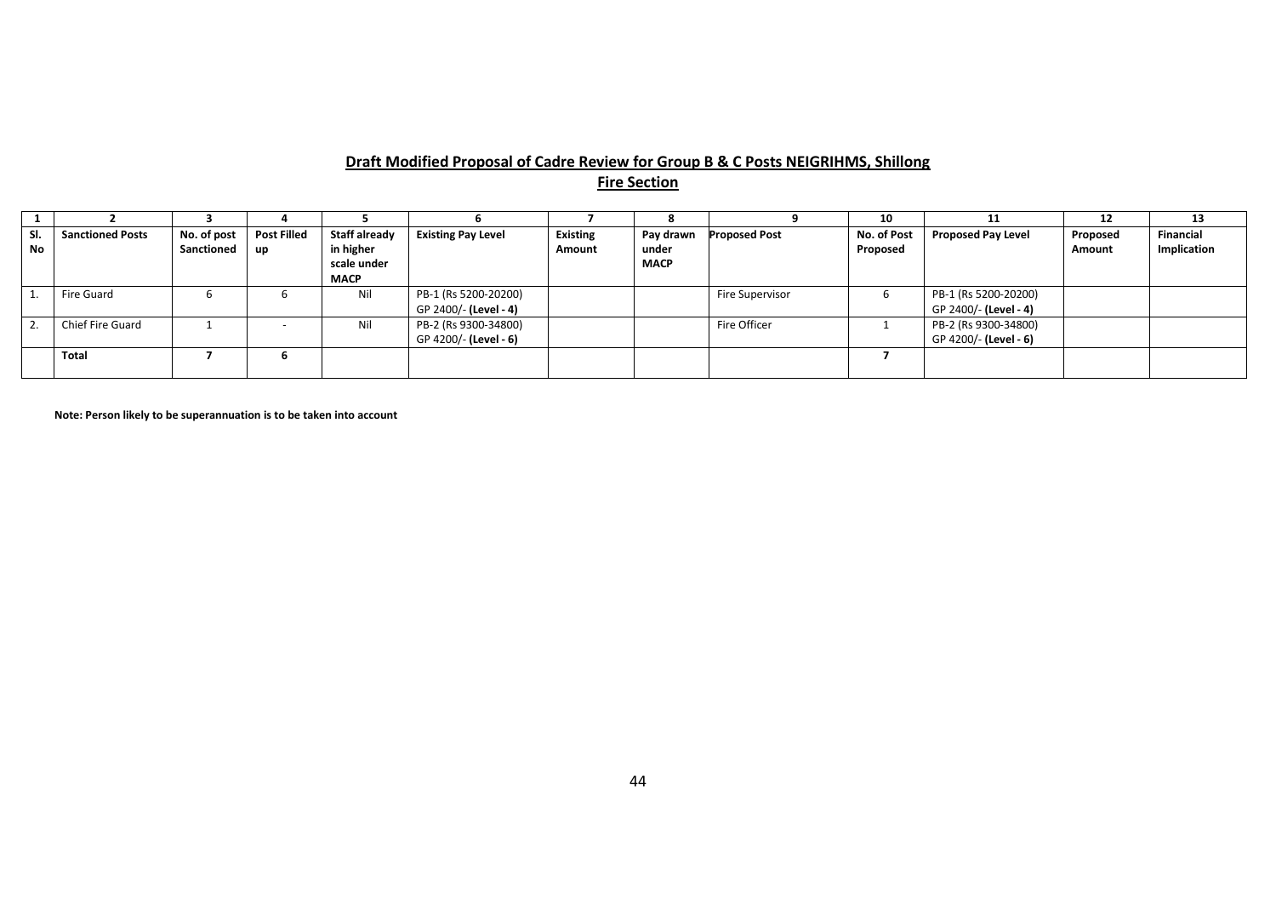# **Draft Modified Proposal of Cadre Review for Group B & C Posts NEIGRIHMS, Shillong**

**Fire Section**

|           |                         |             |                    |                          |                           |                 |                      |                      | 10          |                           | 12       | 13          |
|-----------|-------------------------|-------------|--------------------|--------------------------|---------------------------|-----------------|----------------------|----------------------|-------------|---------------------------|----------|-------------|
| SI.       | <b>Sanctioned Posts</b> | No. of post | <b>Post Filled</b> | <b>Staff already</b>     | <b>Existing Pay Level</b> | <b>Existing</b> | Pay drawn            | <b>Proposed Post</b> | No. of Post | <b>Proposed Pay Level</b> | Proposed | Financial   |
| <b>No</b> |                         | Sanctioned  | l up               | in higher<br>scale under |                           | Amount          | under<br><b>MACP</b> |                      | Proposed    |                           | Amount   | Implication |
|           |                         |             |                    | <b>MACP</b>              |                           |                 |                      |                      |             |                           |          |             |
|           | Fire Guard              | b           |                    | Nil                      | PB-1 (Rs 5200-20200)      |                 |                      | Fire Supervisor      |             | PB-1 (Rs 5200-20200)      |          |             |
|           |                         |             |                    |                          | GP 2400/- (Level - 4)     |                 |                      |                      |             | GP 2400/- (Level - 4)     |          |             |
|           | Chief Fire Guard        |             |                    | Nil                      | PB-2 (Rs 9300-34800)      |                 |                      | Fire Officer         |             | PB-2 (Rs 9300-34800)      |          |             |
|           |                         |             |                    |                          | GP 4200/- (Level - 6)     |                 |                      |                      |             | GP 4200/- (Level - 6)     |          |             |
|           | Total                   |             |                    |                          |                           |                 |                      |                      |             |                           |          |             |
|           |                         |             |                    |                          |                           |                 |                      |                      |             |                           |          |             |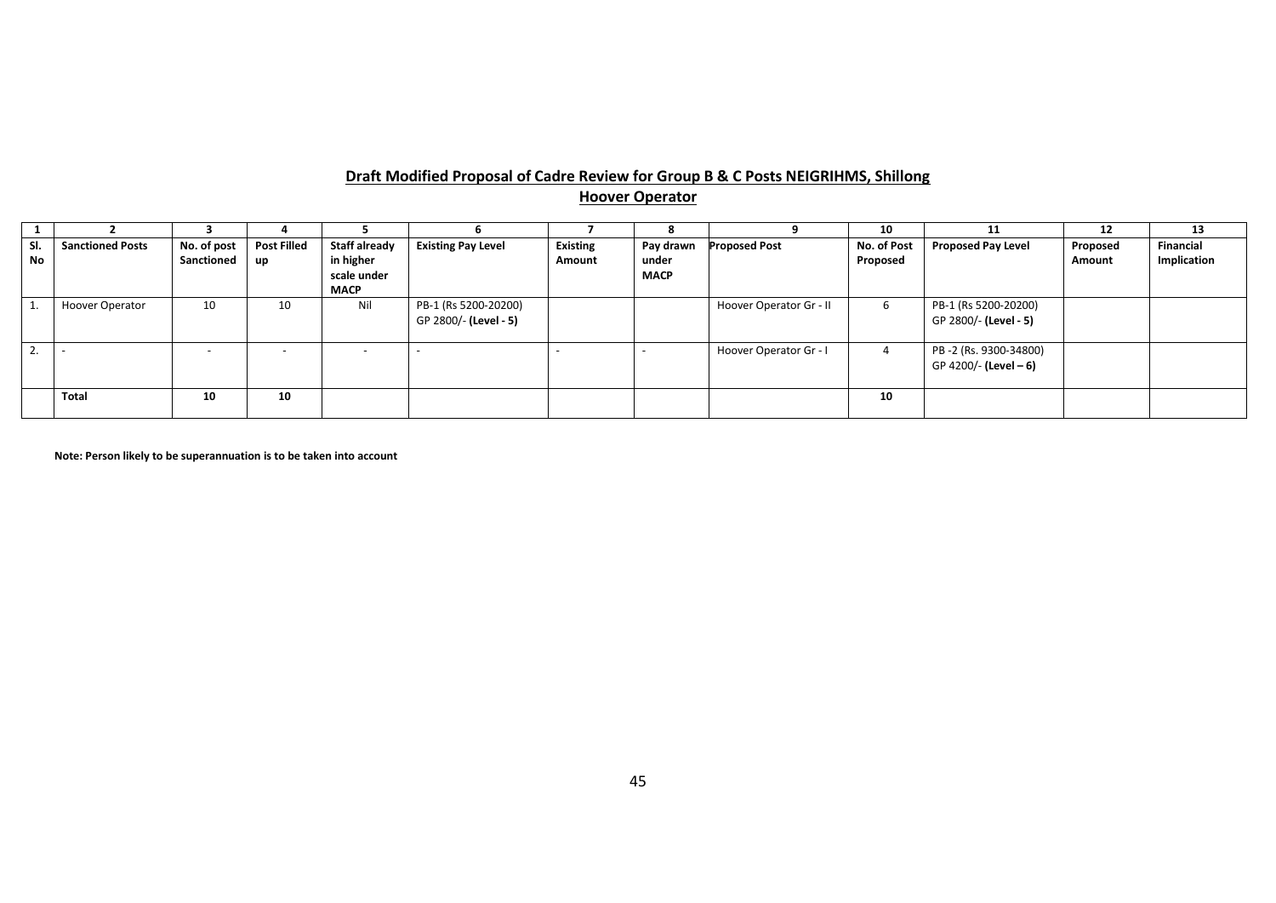# **Draft Modified Proposal of Cadre Review for Group B & C Posts NEIGRIHMS, Shillong Hoover Operator**

|                  |                         |                           |                          |                                   |                                               |                           |                    |                         | 10                      |                                                | 12                 | 13                       |
|------------------|-------------------------|---------------------------|--------------------------|-----------------------------------|-----------------------------------------------|---------------------------|--------------------|-------------------------|-------------------------|------------------------------------------------|--------------------|--------------------------|
| SI.<br><b>No</b> | <b>Sanctioned Posts</b> | No. of post<br>Sanctioned | <b>Post Filled</b>       | <b>Staff already</b><br>in higher | <b>Existing Pay Level</b>                     | <b>Existing</b><br>Amount | Pay drawn<br>under | <b>Proposed Post</b>    | No. of Post<br>Proposed | <b>Proposed Pay Level</b>                      | Proposed<br>Amount | Financial<br>Implication |
|                  |                         |                           | <b>up</b>                | scale under<br><b>MACP</b>        |                                               |                           | <b>MACP</b>        |                         |                         |                                                |                    |                          |
|                  | <b>Hoover Operator</b>  | 10                        | 10                       | Nil                               | PB-1 (Rs 5200-20200)<br>GP 2800/- (Level - 5) |                           |                    | Hoover Operator Gr - II | b                       | PB-1 (Rs 5200-20200)<br>GP 2800/- (Level - 5)  |                    |                          |
| <b>4.</b>        |                         | $\overline{\phantom{0}}$  | $\overline{\phantom{a}}$ |                                   |                                               |                           |                    | Hoover Operator Gr - I  | 4                       | PB-2 (Rs. 9300-34800)<br>GP 4200/- (Level - 6) |                    |                          |
|                  | Total                   | 10                        | 10                       |                                   |                                               |                           |                    |                         | 10                      |                                                |                    |                          |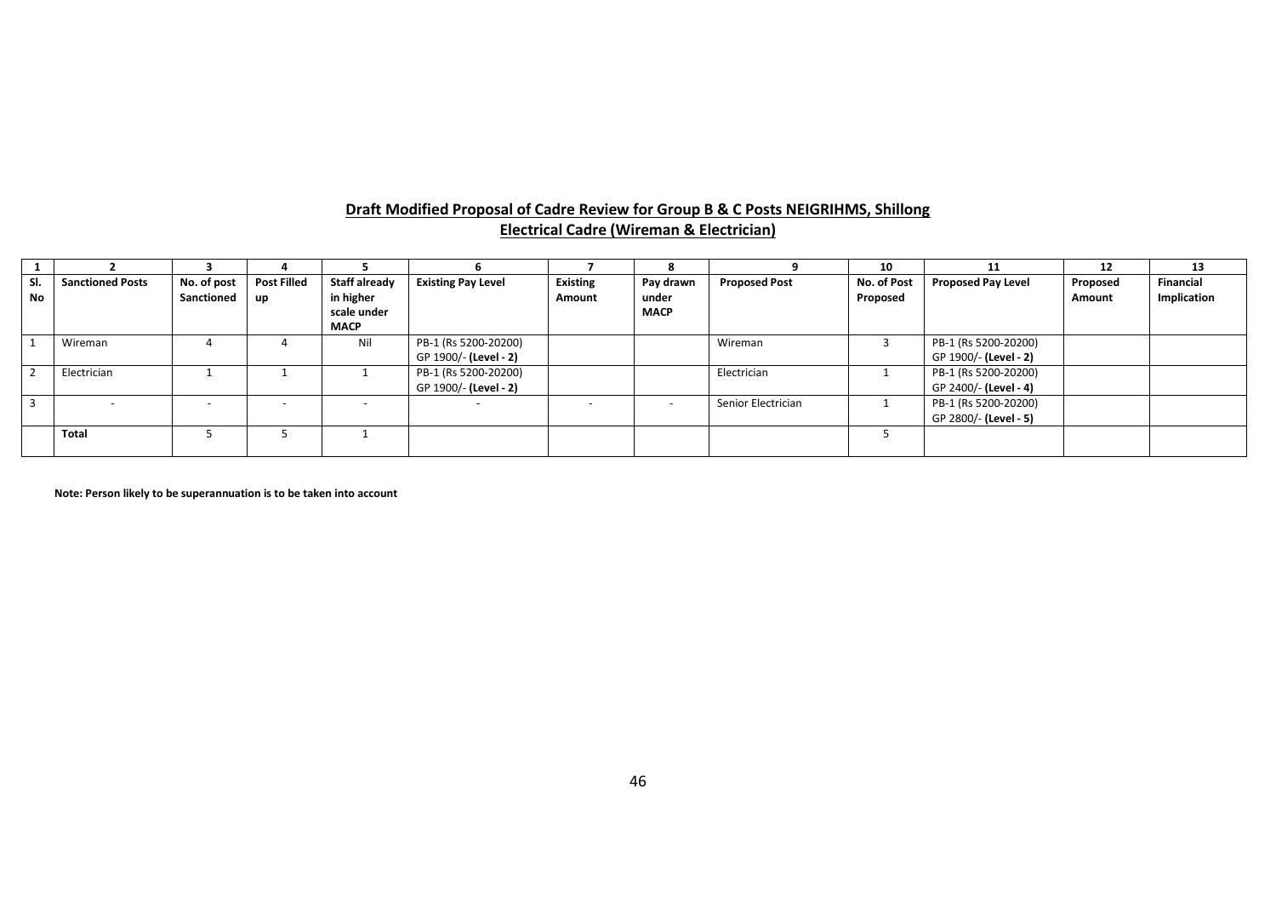| Draft Modified Proposal of Cadre Review for Group B & C Posts NEIGRIHMS, Shillong |  |
|-----------------------------------------------------------------------------------|--|
| <b>Electrical Cadre (Wireman &amp; Electrician)</b>                               |  |

|                  |                         |                           |                          |                                                          |                                               |                           |                                   |                      | 10                      | 11                                            | 12                 | 13                              |
|------------------|-------------------------|---------------------------|--------------------------|----------------------------------------------------------|-----------------------------------------------|---------------------------|-----------------------------------|----------------------|-------------------------|-----------------------------------------------|--------------------|---------------------------------|
| SI.<br><b>No</b> | <b>Sanctioned Posts</b> | No. of post<br>Sanctioned | <b>Post Filled</b><br>up | Staff already<br>in higher<br>scale under<br><b>MACP</b> | <b>Existing Pay Level</b>                     | <b>Existing</b><br>Amount | Pay drawn<br>under<br><b>MACP</b> | <b>Proposed Post</b> | No. of Post<br>Proposed | <b>Proposed Pay Level</b>                     | Proposed<br>Amount | <b>Financial</b><br>Implication |
|                  | Wireman                 |                           |                          | Nil                                                      | PB-1 (Rs 5200-20200)<br>GP 1900/- (Level - 2) |                           |                                   | Wireman              |                         | PB-1 (Rs 5200-20200)<br>GP 1900/- (Level - 2) |                    |                                 |
|                  | Electrician             |                           |                          |                                                          | PB-1 (Rs 5200-20200)<br>GP 1900/- (Level - 2) |                           |                                   | Electrician          |                         | PB-1 (Rs 5200-20200)<br>GP 2400/- (Level - 4) |                    |                                 |
| $\overline{3}$   |                         | $\overline{\phantom{0}}$  |                          |                                                          |                                               |                           |                                   | Senior Electrician   |                         | PB-1 (Rs 5200-20200)<br>GP 2800/- (Level - 5) |                    |                                 |
|                  | <b>Total</b>            |                           |                          |                                                          |                                               |                           |                                   |                      |                         |                                               |                    |                                 |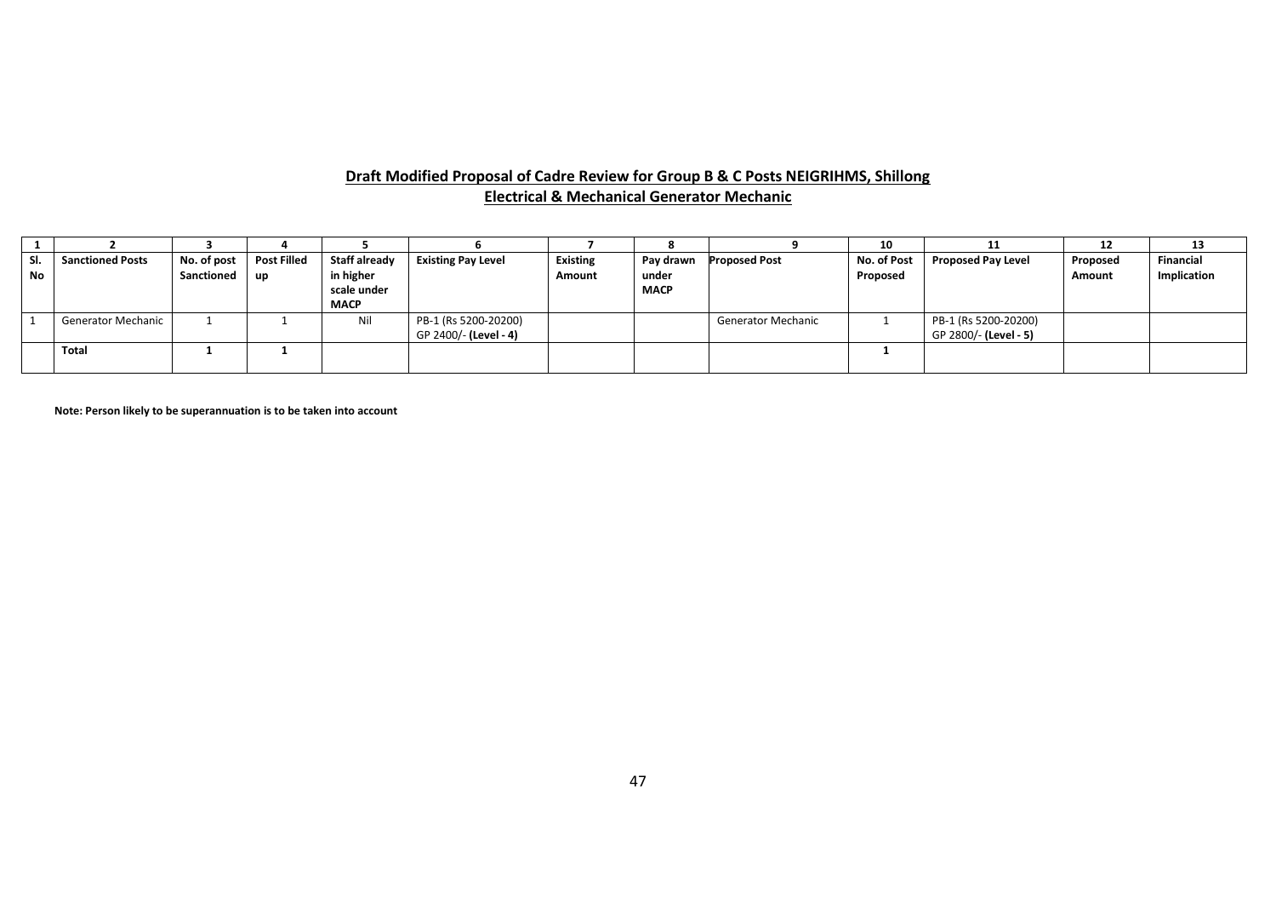#### **Draft Modified Proposal of Cadre Review for Group B & C Posts NEIGRIHMS, Shillong Electrical & Mechanical Generator Mechanic**

|     |                           |             |                    |               |                           |                 |             |                           | 10          | ᆠ                         | 1Z            | 13          |
|-----|---------------------------|-------------|--------------------|---------------|---------------------------|-----------------|-------------|---------------------------|-------------|---------------------------|---------------|-------------|
| SI. | <b>Sanctioned Posts</b>   | No. of post | <b>Post Filled</b> | Staff already | <b>Existing Pay Level</b> | <b>Existing</b> | Pay drawn   | <b>Proposed Post</b>      | No. of Post | <b>Proposed Pay Level</b> | Proposed      | Financial   |
| No  |                           | Sanctioned  | up                 | in higher     |                           | Amount          | under       |                           | Proposed    |                           | <b>Amount</b> | Implication |
|     |                           |             |                    | scale under   |                           |                 | <b>MACP</b> |                           |             |                           |               |             |
|     |                           |             |                    | <b>MACP</b>   |                           |                 |             |                           |             |                           |               |             |
|     | <b>Generator Mechanic</b> |             |                    | Nil           | PB-1 (Rs 5200-20200)      |                 |             | <b>Generator Mechanic</b> |             | PB-1 (Rs 5200-20200)      |               |             |
|     |                           |             |                    |               | GP 2400/- (Level - 4)     |                 |             |                           |             | GP 2800/- (Level - 5)     |               |             |
|     | Total                     |             |                    |               |                           |                 |             |                           |             |                           |               |             |
|     |                           |             |                    |               |                           |                 |             |                           |             |                           |               |             |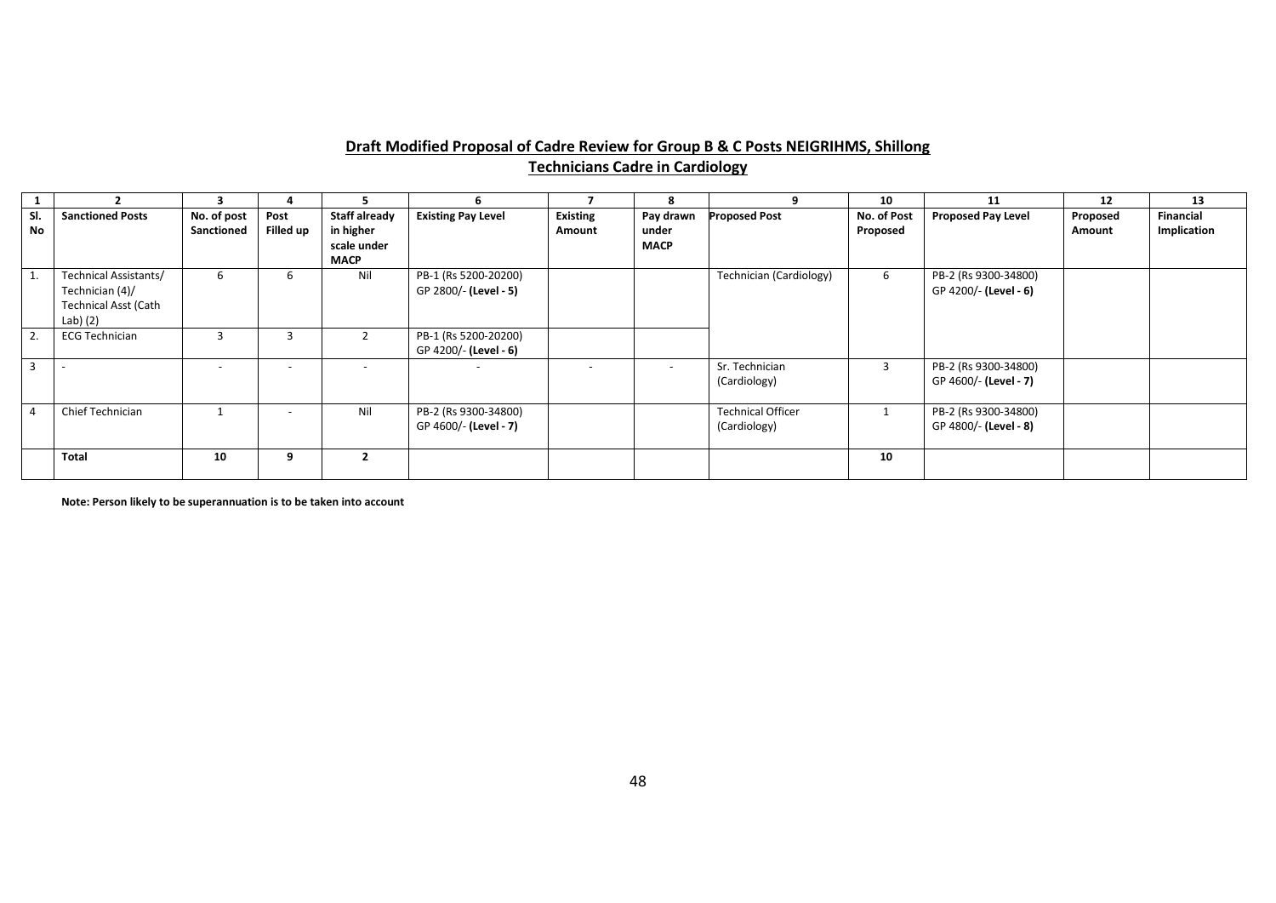#### **Draft Modified Proposal of Cadre Review for Group B & C Posts NEIGRIHMS, Shillong Technicians Cadre in Cardiology**

|           |                                                                                     |                           |                          |                                                                 |                                               |                           |                                   | 9                                        | 10                      | 11                                            | 12                 | 13                       |
|-----------|-------------------------------------------------------------------------------------|---------------------------|--------------------------|-----------------------------------------------------------------|-----------------------------------------------|---------------------------|-----------------------------------|------------------------------------------|-------------------------|-----------------------------------------------|--------------------|--------------------------|
| SI.<br>No | <b>Sanctioned Posts</b>                                                             | No. of post<br>Sanctioned | Post<br>Filled up        | <b>Staff already</b><br>in higher<br>scale under<br><b>MACP</b> | <b>Existing Pay Level</b>                     | <b>Existing</b><br>Amount | Pay drawn<br>under<br><b>MACP</b> | <b>Proposed Post</b>                     | No. of Post<br>Proposed | <b>Proposed Pay Level</b>                     | Proposed<br>Amount | Financial<br>Implication |
|           | Technical Assistants/<br>Technician (4)/<br><b>Technical Asst (Cath</b><br>Lab) (2) | 6                         | b                        | Nil                                                             | PB-1 (Rs 5200-20200)<br>GP 2800/- (Level - 5) |                           |                                   | Technician (Cardiology)                  | 6                       | PB-2 (Rs 9300-34800)<br>GP 4200/- (Level - 6) |                    |                          |
| 2.        | <b>ECG Technician</b>                                                               |                           | 3                        |                                                                 | PB-1 (Rs 5200-20200)<br>GP 4200/- (Level - 6) |                           |                                   |                                          |                         |                                               |                    |                          |
| 3         |                                                                                     | $\overline{\phantom{a}}$  | $\overline{a}$           |                                                                 | $\overline{\phantom{a}}$                      |                           |                                   | Sr. Technician<br>(Cardiology)           | 3                       | PB-2 (Rs 9300-34800)<br>GP 4600/- (Level - 7) |                    |                          |
|           | Chief Technician                                                                    |                           | $\overline{\phantom{a}}$ | Nil                                                             | PB-2 (Rs 9300-34800)<br>GP 4600/- (Level - 7) |                           |                                   | <b>Technical Officer</b><br>(Cardiology) | 1                       | PB-2 (Rs 9300-34800)<br>GP 4800/- (Level - 8) |                    |                          |
|           | <b>Total</b>                                                                        | 10                        | 9                        |                                                                 |                                               |                           |                                   |                                          | 10                      |                                               |                    |                          |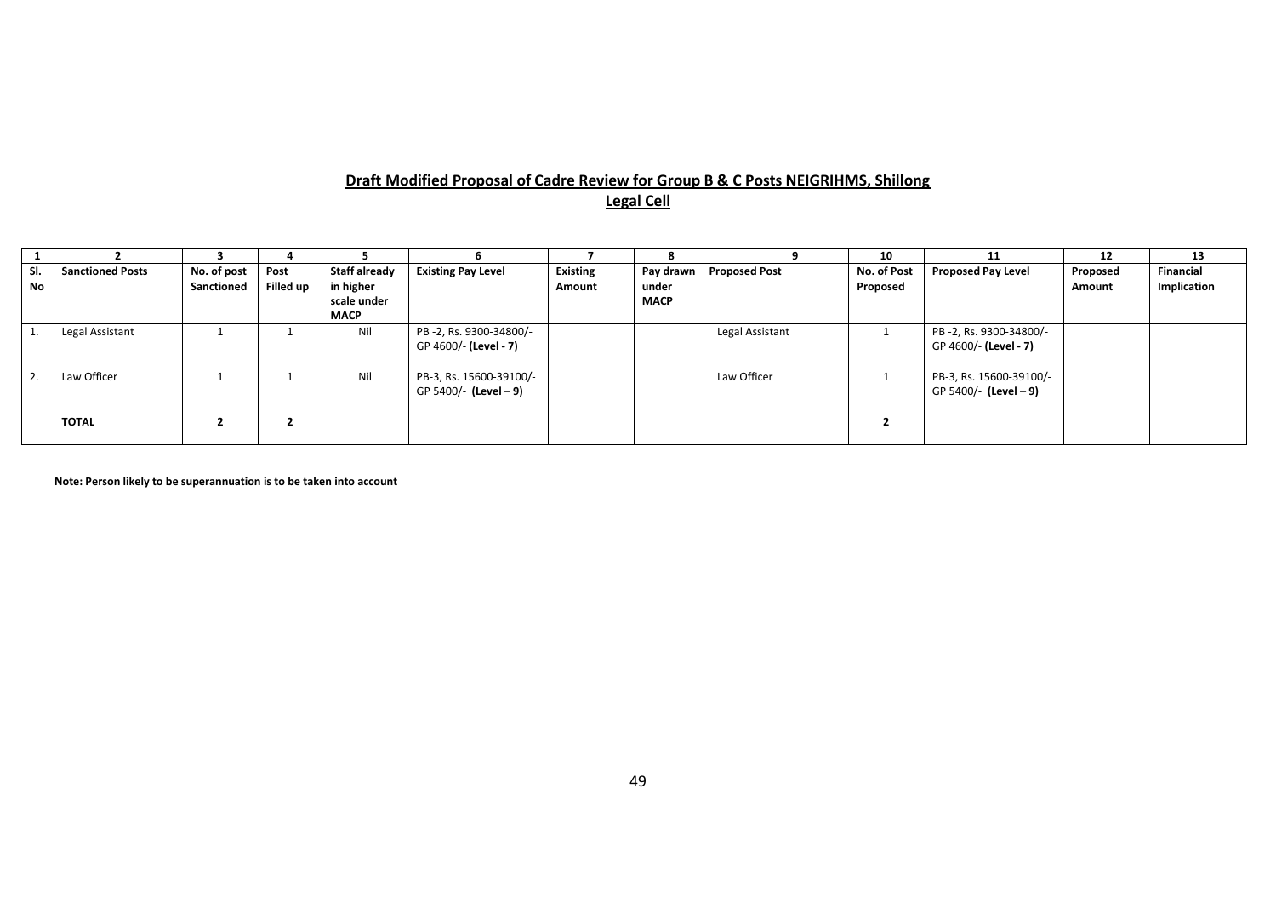# **Draft Modified Proposal of Cadre Review for Group B & C Posts NEIGRIHMS, Shillong Legal Cell**

|           |                         |             |           |               |                           |                 | 8           |                      | 10          | 11                        | 12       | 13               |
|-----------|-------------------------|-------------|-----------|---------------|---------------------------|-----------------|-------------|----------------------|-------------|---------------------------|----------|------------------|
| SI.       | <b>Sanctioned Posts</b> | No. of post | Post      | Staff already | <b>Existing Pay Level</b> | <b>Existing</b> | Pay drawn   | <b>Proposed Post</b> | No. of Post | <b>Proposed Pay Level</b> | Proposed | <b>Financial</b> |
| <b>No</b> |                         | Sanctioned  | Filled up | in higher     |                           | Amount          | under       |                      | Proposed    |                           | Amount   | Implication      |
|           |                         |             |           | scale under   |                           |                 | <b>MACP</b> |                      |             |                           |          |                  |
|           |                         |             |           | <b>MACP</b>   |                           |                 |             |                      |             |                           |          |                  |
|           | Legal Assistant         |             |           | Nil           | PB-2, Rs. 9300-34800/-    |                 |             | Legal Assistant      |             | PB-2, Rs. 9300-34800/-    |          |                  |
|           |                         |             |           |               | GP 4600/- (Level - 7)     |                 |             |                      |             | GP 4600/- (Level - 7)     |          |                  |
|           |                         |             |           |               |                           |                 |             |                      |             |                           |          |                  |
|           | Law Officer             |             |           | Nil           | PB-3, Rs. 15600-39100/-   |                 |             | Law Officer          |             | PB-3, Rs. 15600-39100/-   |          |                  |
|           |                         |             |           |               | GP 5400/- (Level - 9)     |                 |             |                      |             | GP 5400/- (Level - 9)     |          |                  |
|           |                         |             |           |               |                           |                 |             |                      |             |                           |          |                  |
|           | TOTAL                   |             | ▴         |               |                           |                 |             |                      |             |                           |          |                  |
|           |                         |             |           |               |                           |                 |             |                      |             |                           |          |                  |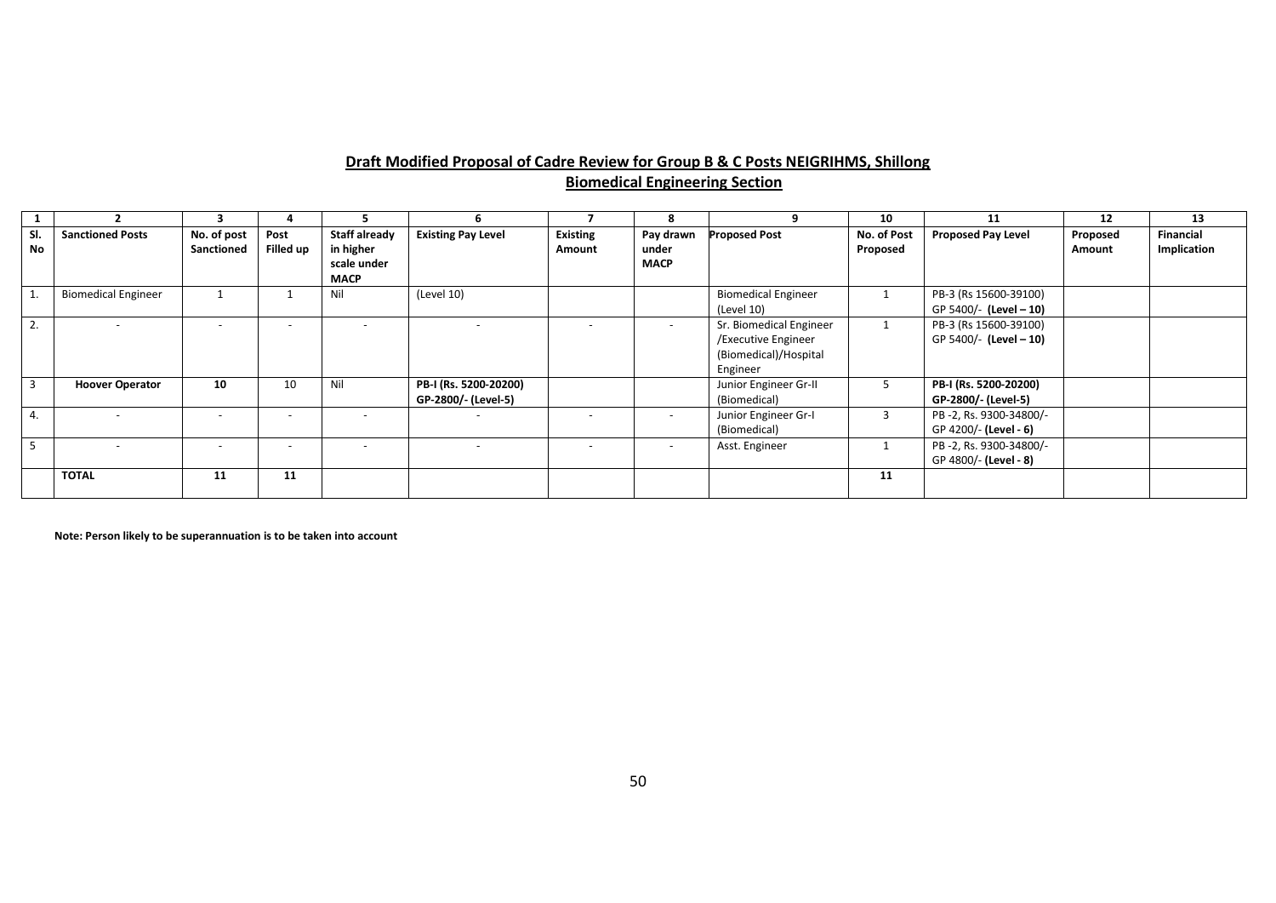# **Draft Modified Proposal of Cadre Review for Group B & C Posts NEIGRIHMS, Shillong Biomedical Engineering Section**

|           |                            |                           |                          |                                                                 |                                              |                           | 8                                 |                                                                                     | 10                      | 11                                              | 12                 | 13                       |
|-----------|----------------------------|---------------------------|--------------------------|-----------------------------------------------------------------|----------------------------------------------|---------------------------|-----------------------------------|-------------------------------------------------------------------------------------|-------------------------|-------------------------------------------------|--------------------|--------------------------|
| SI.<br>No | <b>Sanctioned Posts</b>    | No. of post<br>Sanctioned | Post<br>Filled up        | <b>Staff already</b><br>in higher<br>scale under<br><b>MACP</b> | <b>Existing Pay Level</b>                    | <b>Existing</b><br>Amount | Pay drawn<br>under<br><b>MACP</b> | <b>Proposed Post</b>                                                                | No. of Post<br>Proposed | <b>Proposed Pay Level</b>                       | Proposed<br>Amount | Financial<br>Implication |
|           | <b>Biomedical Engineer</b> |                           |                          | Nil                                                             | (Level 10)                                   |                           |                                   | <b>Biomedical Engineer</b><br>(Level 10)                                            |                         | PB-3 (Rs 15600-39100)<br>GP 5400/- (Level - 10) |                    |                          |
| 2.        |                            |                           | $\overline{\phantom{a}}$ |                                                                 |                                              |                           | $\sim$                            | Sr. Biomedical Engineer<br>/Executive Engineer<br>(Biomedical)/Hospital<br>Engineer |                         | PB-3 (Rs 15600-39100)<br>GP 5400/- (Level - 10) |                    |                          |
| 3         | <b>Hoover Operator</b>     | 10                        | 10                       | Nil                                                             | PB-I (Rs. 5200-20200)<br>GP-2800/- (Level-5) |                           |                                   | Junior Engineer Gr-II<br>(Biomedical)                                               | 5                       | PB-I (Rs. 5200-20200)<br>GP-2800/- (Level-5)    |                    |                          |
| 4.        |                            |                           | $\overline{\phantom{a}}$ |                                                                 |                                              |                           |                                   | Junior Engineer Gr-I<br>(Biomedical)                                                | 3                       | PB-2, Rs. 9300-34800/-<br>GP 4200/- (Level - 6) |                    |                          |
| 5         |                            | $\overline{\phantom{m}}$  | $\overline{\phantom{a}}$ | $\overline{\phantom{0}}$                                        |                                              |                           | $\sim$                            | Asst. Engineer                                                                      |                         | PB-2, Rs. 9300-34800/-<br>GP 4800/- (Level - 8) |                    |                          |
|           | <b>TOTAL</b>               | 11                        | 11                       |                                                                 |                                              |                           |                                   |                                                                                     | 11                      |                                                 |                    |                          |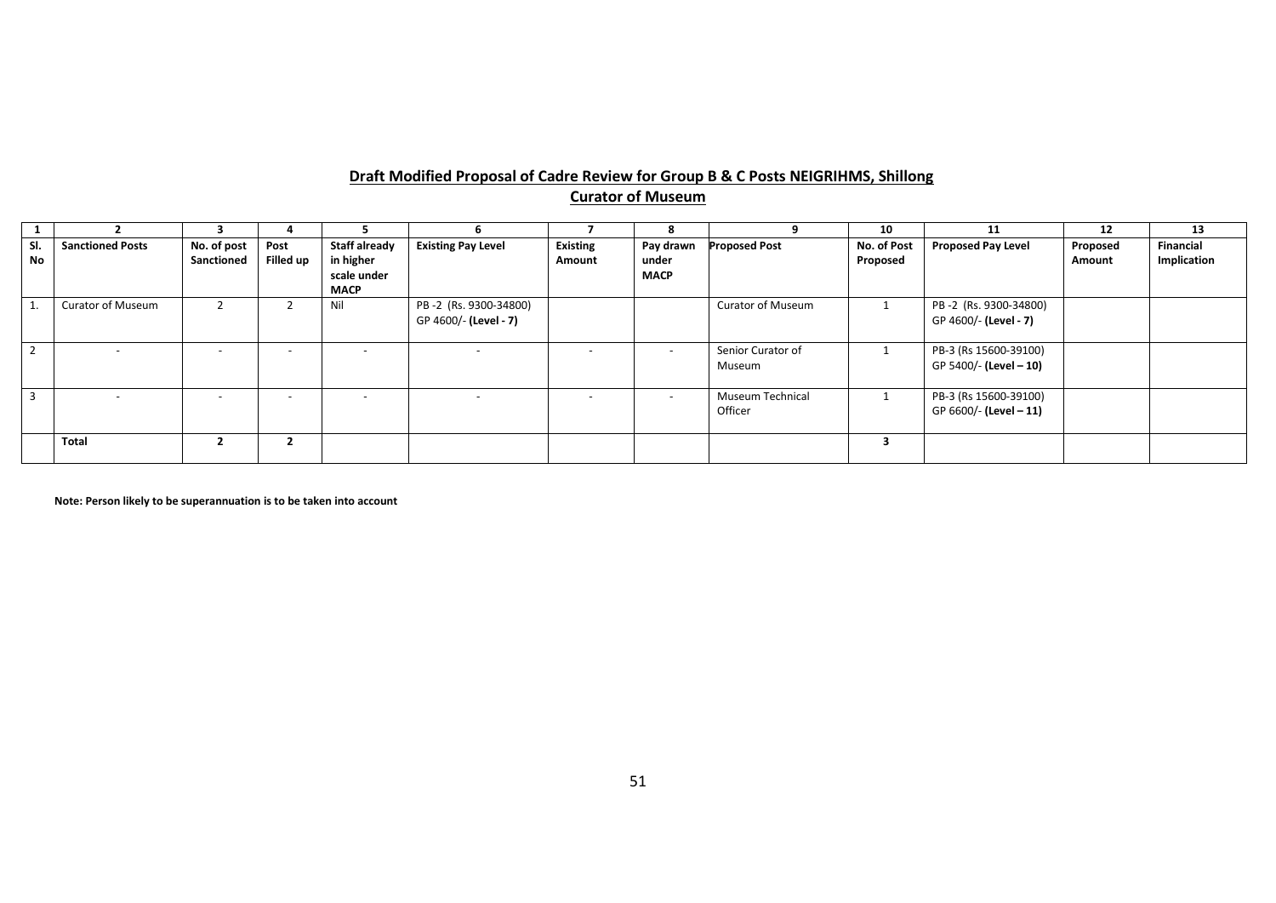# **Draft Modified Proposal of Cadre Review for Group B & C Posts NEIGRIHMS, Shillong Curator of Museum**

|                |                          |                           |                          |                                                                 |                                                |                           |                                   |                             | 10                      | 11                                              | 12                 | 13                       |
|----------------|--------------------------|---------------------------|--------------------------|-----------------------------------------------------------------|------------------------------------------------|---------------------------|-----------------------------------|-----------------------------|-------------------------|-------------------------------------------------|--------------------|--------------------------|
| SI.<br>No      | <b>Sanctioned Posts</b>  | No. of post<br>Sanctioned | Post<br>Filled up        | <b>Staff already</b><br>in higher<br>scale under<br><b>MACP</b> | <b>Existing Pay Level</b>                      | <b>Existing</b><br>Amount | Pay drawn<br>under<br><b>MACP</b> | <b>Proposed Post</b>        | No. of Post<br>Proposed | <b>Proposed Pay Level</b>                       | Proposed<br>Amount | Financial<br>Implication |
|                | <b>Curator of Museum</b> |                           |                          | Nil                                                             | PB-2 (Rs. 9300-34800)<br>GP 4600/- (Level - 7) |                           |                                   | <b>Curator of Museum</b>    |                         | PB-2 (Rs. 9300-34800)<br>GP 4600/- (Level - 7)  |                    |                          |
| $\overline{2}$ |                          |                           | $\overline{\phantom{0}}$ |                                                                 |                                                |                           | $\overline{\phantom{0}}$          | Senior Curator of<br>Museum |                         | PB-3 (Rs 15600-39100)<br>GP 5400/- (Level - 10) |                    |                          |
| $\overline{3}$ |                          | $\overline{\phantom{0}}$  | $\overline{\phantom{a}}$ | $\overline{\phantom{0}}$                                        | $\overline{\phantom{a}}$                       |                           | $\overline{\phantom{a}}$          | Museum Technical<br>Officer |                         | PB-3 (Rs 15600-39100)<br>GP 6600/- (Level - 11) |                    |                          |
|                | <b>Total</b>             |                           | $\overline{2}$           |                                                                 |                                                |                           |                                   |                             | з                       |                                                 |                    |                          |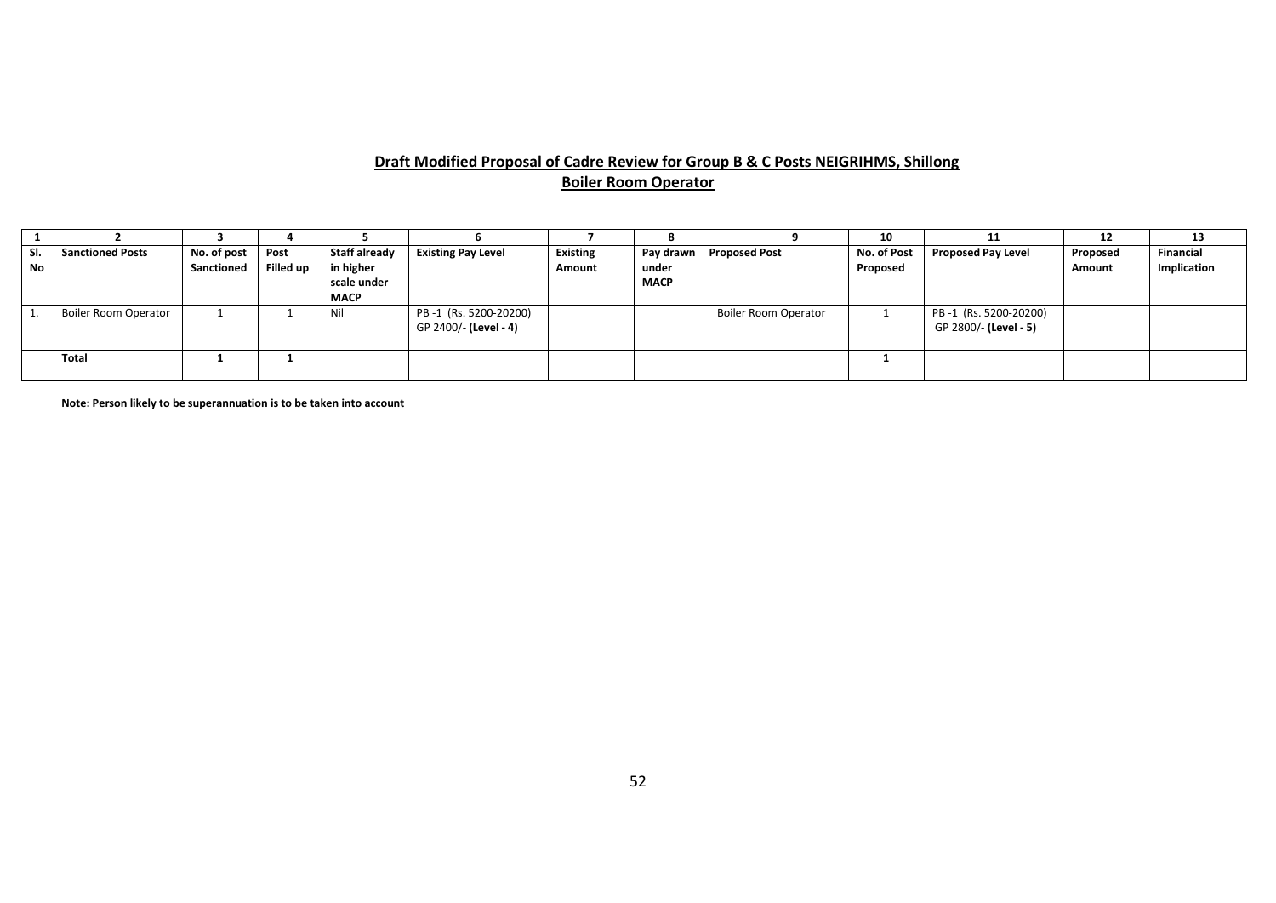#### **Draft Modified Proposal of Cadre Review for Group B & C Posts NEIGRIHMS, Shillong Boiler Room Operator**

|                  |                         |                           |                          |                                                          |                                                |                           |                                   |                             | 10                      | 11                                             | ΨŁ                 | 13                       |
|------------------|-------------------------|---------------------------|--------------------------|----------------------------------------------------------|------------------------------------------------|---------------------------|-----------------------------------|-----------------------------|-------------------------|------------------------------------------------|--------------------|--------------------------|
| SI.<br><b>No</b> | <b>Sanctioned Posts</b> | No. of post<br>Sanctioned | Post<br><b>Filled up</b> | Staff already<br>in higher<br>scale under<br><b>MACP</b> | <b>Existing Pay Level</b>                      | <b>Existing</b><br>Amount | Pay drawn<br>under<br><b>MACP</b> | Proposed Post               | No. of Post<br>Proposed | <b>Proposed Pay Level</b>                      | Proposed<br>Amount | Financial<br>Implication |
|                  | Boiler Room Operator    |                           |                          | Nil                                                      | PB-1 (Rs. 5200-20200)<br>GP 2400/- (Level - 4) |                           |                                   | <b>Boiler Room Operator</b> |                         | PB-1 (Rs. 5200-20200)<br>GP 2800/- (Level - 5) |                    |                          |
|                  | Total                   |                           |                          |                                                          |                                                |                           |                                   |                             |                         |                                                |                    |                          |